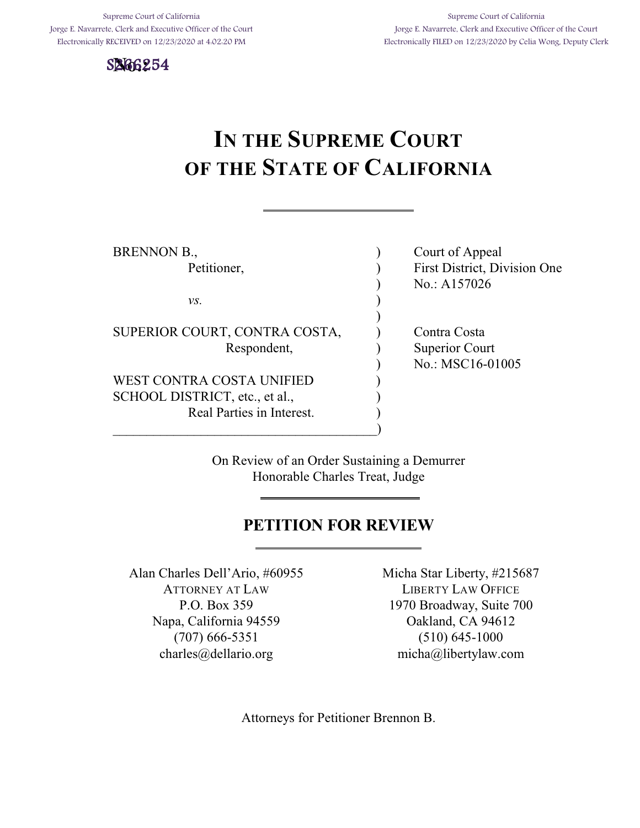Supreme Court of California Jorge E. Navarrete, Clerk and Executive Officer of the Court Electronically RECEIVED on 12/23/2020 at 4:02:20 PM



# **IN THE SUPREME COURT OF THE STATE OF CALIFORNIA**

| BRENNON B.,                    | Court of Appeal              |
|--------------------------------|------------------------------|
| Petitioner,                    | First District, Division One |
|                                | No.: A157026                 |
| VS.                            |                              |
|                                |                              |
| SUPERIOR COURT, CONTRA COSTA,  | Contra Costa                 |
| Respondent,                    | Superior Court               |
|                                | No.: MSC16-01005             |
| WEST CONTRA COSTA UNIFIED      |                              |
| SCHOOL DISTRICT, etc., et al., |                              |
| Real Parties in Interest.      |                              |
|                                |                              |

On Review of an Order Sustaining a Demurrer Honorable Charles Treat, Judge

## **PETITION FOR REVIEW**

Alan Charles Dell'Ario, #60955 ATTORNEY AT LAW P.O. Box 359 Napa, California 94559 (707) 666-5351 charles@dellario.org

Micha Star Liberty, #215687 LIBERTY LAW OFFICE 1970 Broadway, Suite 700 Oakland, CA 94612 (510) 645-1000 micha@libertylaw.com

Attorneys for Petitioner Brennon B.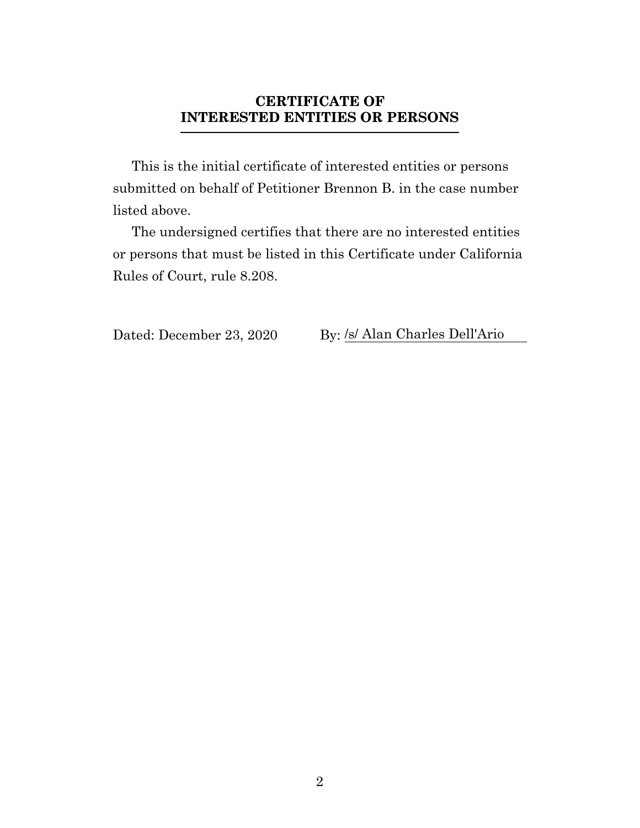## **CERTIFICATE OF INTERESTED ENTITIES OR PERSONS**

<span id="page-1-0"></span>This is the initial certificate of interested entities or persons submitted on behalf of Petitioner Brennon B. in the case number listed above.

The undersigned certifies that there are no interested entities or persons that must be listed in this Certificate under California Rules of Court, rule 8.208.

Dated: December 23, 2020 By: /s/ Alan Charles Dell'Ario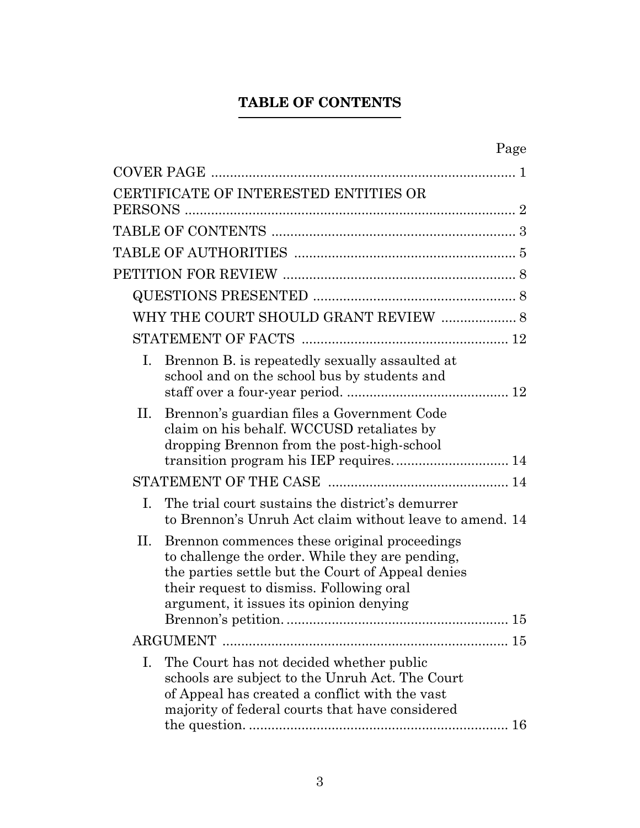# **TABLE OF CONTENTS**

<span id="page-2-0"></span>

| Page                                                                                                                                                                                                                                              |
|---------------------------------------------------------------------------------------------------------------------------------------------------------------------------------------------------------------------------------------------------|
|                                                                                                                                                                                                                                                   |
| CERTIFICATE OF INTERESTED ENTITIES OR                                                                                                                                                                                                             |
|                                                                                                                                                                                                                                                   |
|                                                                                                                                                                                                                                                   |
|                                                                                                                                                                                                                                                   |
|                                                                                                                                                                                                                                                   |
|                                                                                                                                                                                                                                                   |
| WHY THE COURT SHOULD GRANT REVIEW  8                                                                                                                                                                                                              |
|                                                                                                                                                                                                                                                   |
| Brennon B. is repeatedly sexually assaulted at<br>Ι.<br>school and on the school bus by students and                                                                                                                                              |
| Brennon's guardian files a Government Code<br>П.<br>claim on his behalf. WCCUSD retaliates by<br>dropping Brennon from the post-high-school                                                                                                       |
|                                                                                                                                                                                                                                                   |
| The trial court sustains the district's demurrer<br>Ι.<br>to Brennon's Unruh Act claim without leave to amend. 14                                                                                                                                 |
| П.<br>Brennon commences these original proceedings<br>to challenge the order. While they are pending,<br>the parties settle but the Court of Appeal denies<br>their request to dismiss. Following oral<br>argument, it issues its opinion denying |
|                                                                                                                                                                                                                                                   |
| The Court has not decided whether public<br>Ι.<br>schools are subject to the Unruh Act. The Court<br>of Appeal has created a conflict with the vast<br>majority of federal courts that have considered                                            |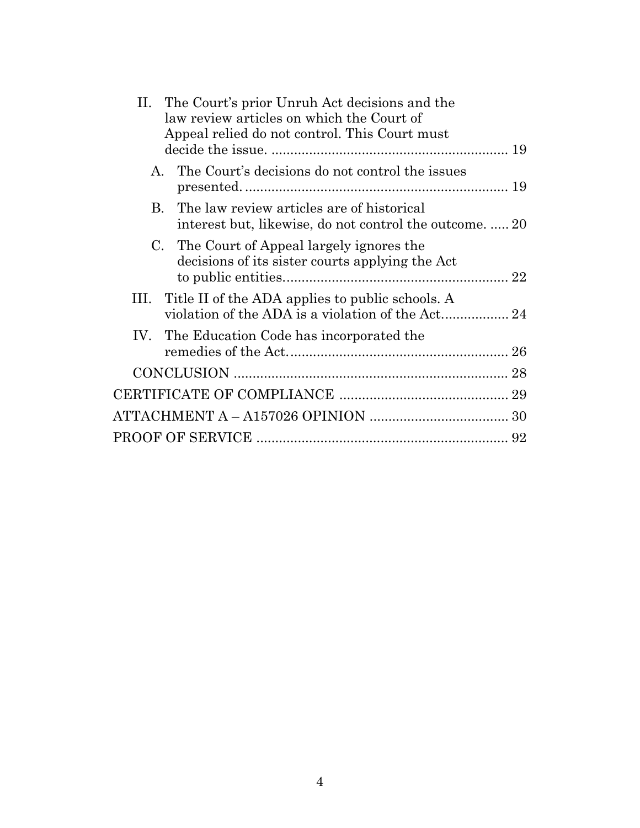| II. The Court's prior Unruh Act decisions and the<br>law review articles on which the Court of<br>Appeal relied do not control. This Court must |  |
|-------------------------------------------------------------------------------------------------------------------------------------------------|--|
| A. The Court's decisions do not control the issues                                                                                              |  |
| The law review articles are of historical<br>B.<br>interest but, likewise, do not control the outcome.  20                                      |  |
| C. The Court of Appeal largely ignores the<br>decisions of its sister courts applying the Act                                                   |  |
| III. Title II of the ADA applies to public schools. A<br>violation of the ADA is a violation of the Act 24                                      |  |
| IV. The Education Code has incorporated the                                                                                                     |  |
|                                                                                                                                                 |  |
|                                                                                                                                                 |  |
|                                                                                                                                                 |  |
|                                                                                                                                                 |  |
|                                                                                                                                                 |  |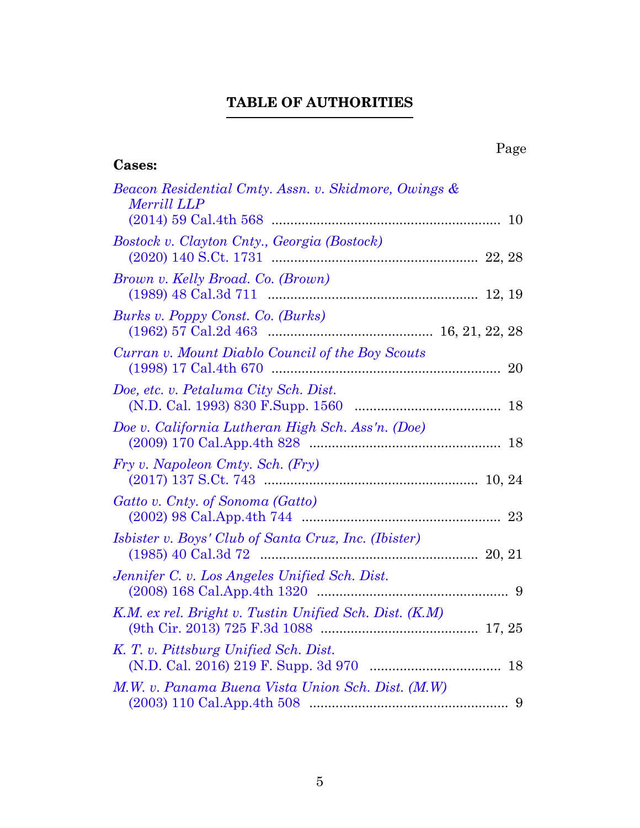# **TABLE OF AUTHORITIES**

<span id="page-4-0"></span>

| <b>Cases:</b>                                                              | Page |
|----------------------------------------------------------------------------|------|
| Beacon Residential Cmty. Assn. v. Skidmore, Owings &<br><b>Merrill LLP</b> |      |
| Bostock v. Clayton Cnty., Georgia (Bostock)                                |      |
| Brown v. Kelly Broad. Co. (Brown)                                          |      |
| Burks v. Poppy Const. Co. (Burks)                                          |      |
| Curran v. Mount Diablo Council of the Boy Scouts                           |      |
| Doe, etc. v. Petaluma City Sch. Dist.                                      |      |
| Doe v. California Lutheran High Sch. Ass'n. (Doe)                          |      |
| Fry v. Napoleon Cmty. Sch. (Fry)                                           |      |
| Gatto v. Cnty. of Sonoma (Gatto)                                           |      |
| <i>Isbister v. Boys' Club of Santa Cruz, Inc. (Ibister)</i>                |      |
| Jennifer C. v. Los Angeles Unified Sch. Dist.                              |      |
| K.M. ex rel. Bright v. Tustin Unified Sch. Dist. (K.M)                     |      |
| K. T. v. Pittsburg Unified Sch. Dist.                                      |      |
| M.W. v. Panama Buena Vista Union Sch. Dist. (M.W)                          | 9    |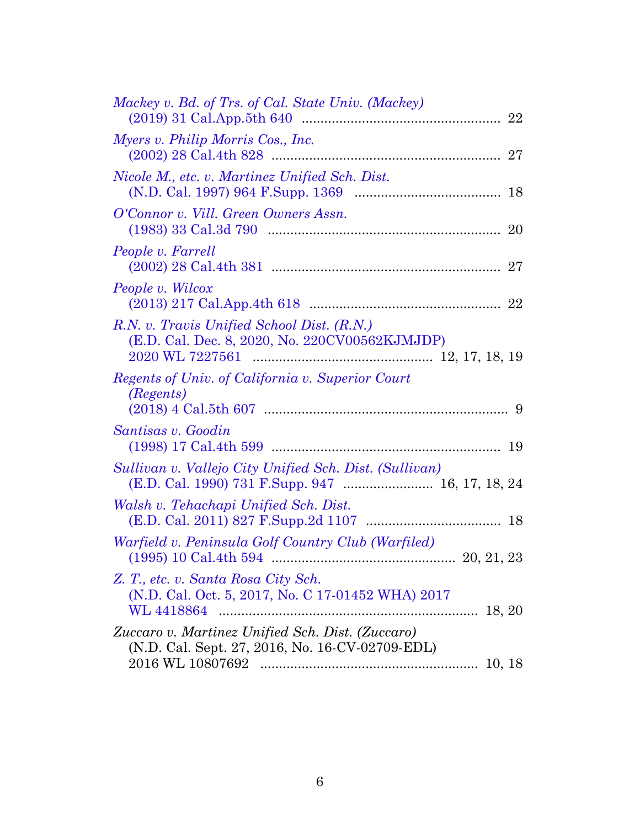| Mackey v. Bd. of Trs. of Cal. State Univ. (Mackey)                                                     |
|--------------------------------------------------------------------------------------------------------|
| Myers v. Philip Morris Cos., Inc.                                                                      |
| Nicole M., etc. v. Martinez Unified Sch. Dist.                                                         |
| O'Connor v. Vill. Green Owners Assn.                                                                   |
| People v. Farrell                                                                                      |
| People v. Wilcox                                                                                       |
| R.N. v. Travis Unified School Dist. (R.N.)<br>(E.D. Cal. Dec. 8, 2020, No. 220CV00562KJMJDP)           |
| Regents of Univ. of California v. Superior Court<br><i>(Regents)</i>                                   |
| Santisas v. Goodin                                                                                     |
| Sullivan v. Vallejo City Unified Sch. Dist. (Sullivan)                                                 |
| Walsh v. Tehachapi Unified Sch. Dist.                                                                  |
| Warfield v. Peninsula Golf Country Club (Warfiled)                                                     |
| Z. T., etc. v. Santa Rosa City Sch.<br>(N.D. Cal. Oct. 5, 2017, No. C 17-01452 WHA) 2017<br>WL 4418864 |
| Zuccaro v. Martinez Unified Sch. Dist. (Zuccaro)                                                       |
| (N.D. Cal. Sept. 27, 2016, No. 16-CV-02709-EDL)                                                        |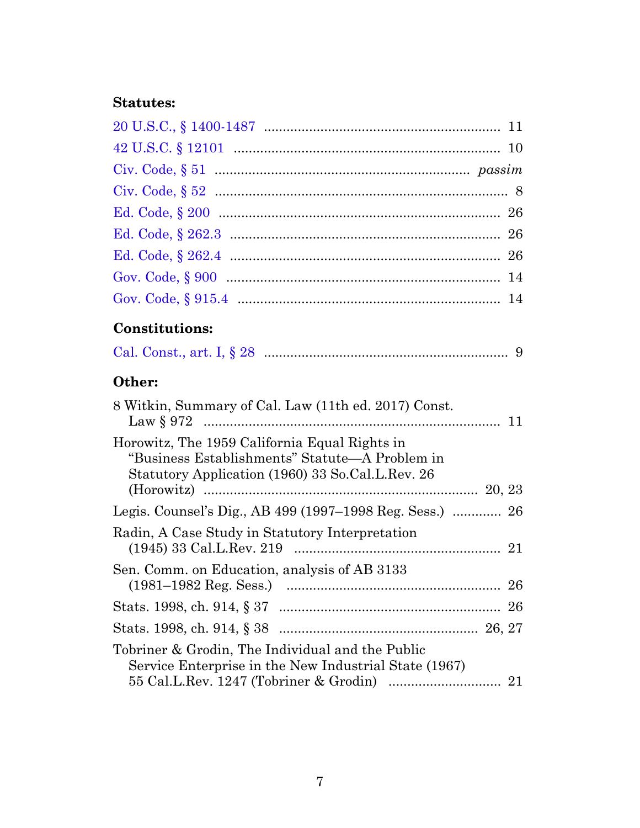# **Statutes:**

# **Constitutions:**

|--|--|--|--|--|--|

# **Other:**

| 8 Witkin, Summary of Cal. Law (11th ed. 2017) Const.                                                                                                |  |
|-----------------------------------------------------------------------------------------------------------------------------------------------------|--|
| Horowitz, The 1959 California Equal Rights in<br>"Business Establishments" Statute—A Problem in<br>Statutory Application (1960) 33 So.Cal.L.Rev. 26 |  |
| Legis. Counsel's Dig., AB 499 (1997–1998 Reg. Sess.)  26                                                                                            |  |
| Radin, A Case Study in Statutory Interpretation                                                                                                     |  |
| Sen. Comm. on Education, analysis of AB 3133                                                                                                        |  |
|                                                                                                                                                     |  |
|                                                                                                                                                     |  |
| Tobriner & Grodin, The Individual and the Public<br>Service Enterprise in the New Industrial State (1967)                                           |  |
|                                                                                                                                                     |  |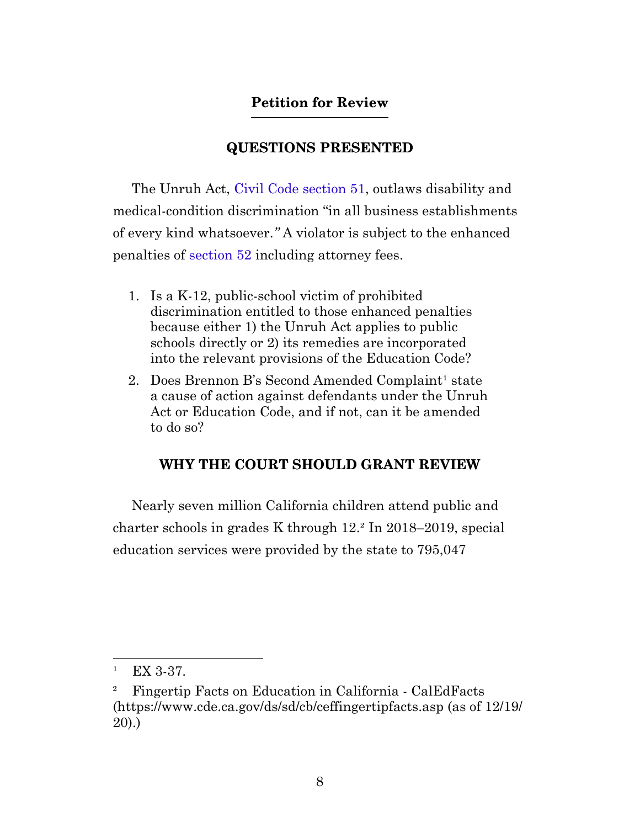## **Petition for Review**

### **QUESTIONS PRESENTED**

<span id="page-7-1"></span><span id="page-7-0"></span>The Unruh Act, [Civil Code section 51,](https://leginfo.legislature.ca.gov/faces/codes_displaySection.xhtml?sectionNum=51.&lawCode=CIV) outlaws disability and medical-condition discrimination "in all business establishments of every kind whatsoever.*"* A violator is subject to the enhanced penalties of [section 52](https://leginfo.legislature.ca.gov/faces/codes_displaySection.xhtml?sectionNum=52.&lawCode=CIV) including attorney fees.

- 1. Is a K-12, public-school victim of prohibited discrimination entitled to those enhanced penalties because either 1) the Unruh Act applies to public schools directly or 2) its remedies are incorporated into the relevant provisions of the Education Code?
- 2. Does Brennon B's Second Amended Complaint<sup>1</sup> state a cause of action against defendants under the Unruh Act or Education Code, and if not, can it be amended to do so?

#### **WHY THE COURT SHOULD GRANT REVIEW**

<span id="page-7-2"></span>Nearly seven million California children attend public and charter schools in grades K through 12.² In 2018–2019, special education services were provided by the state to 795,047

 $E[X]$  3-37.

² Fingertip Facts on Education in California - CalEdFacts (https://www.cde.ca.gov/ds/sd/cb/ceffingertipfacts.asp (as of 12/19/ 20).)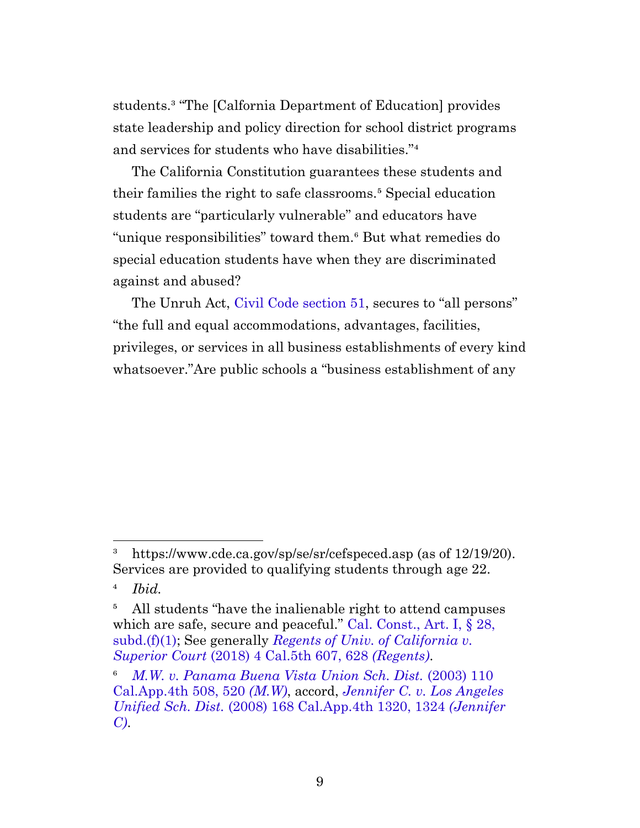students.³ "The [Calfornia Department of Education] provides state leadership and policy direction for school district programs and services for students who have disabilities."<sup>4</sup>

The California Constitution guarantees these students and their families the right to safe classrooms.⁵ Special education students are "particularly vulnerable" and educators have "unique responsibilities" toward them.<sup>6</sup> But what remedies do special education students have when they are discriminated against and abused?

The Unruh Act, [Civil Code section 51,](https://leginfo.legislature.ca.gov/faces/codes_displaySection.xhtml?sectionNum=51.&lawCode=CIV) secures to "all persons" "the full and equal accommodations, advantages, facilities, privileges, or services in all business establishments of every kind whatsoever."Are public schools a "business establishment of any

<sup>&</sup>lt;sup>3</sup> https://www.cde.ca.gov/sp/se/sr/cefspeced.asp (as of 12/19/20). Services are provided to qualifying students through age 22.

⁴ *Ibid.*

<sup>&</sup>lt;sup>5</sup> All students "have the inalienable right to attend campuses" which are safe, secure and peaceful." [Cal. Const., Art. I, § 28,](https://leginfo.legislature.ca.gov/faces/codes_displaySection.xhtml?lawCode=CONS§ionNum=SEC.%2028.&article=I) [subd.\(f\)\(1\)](https://leginfo.legislature.ca.gov/faces/codes_displaySection.xhtml?lawCode=CONS§ionNum=SEC.%2028.&article=I); See generally *[Regents of Univ. of California v.](https://casetext.com/case/regents-of-the-univ-of-cal-v-superior-court-of-l-a-cnty-3#p628) Superior Court* [\(2018\) 4 Cal.5th 607, 628](https://casetext.com/case/regents-of-the-univ-of-cal-v-superior-court-of-l-a-cnty-3#p628) *(Regents)*.

⁶ *[M.W. v. Panama Buena Vista Union Sch. Dist.](https://casetext.com/case/m-w-v-panama-buena-vista-union-school#p520)* (2003) 110 [Cal.App.4th 508, 520](https://casetext.com/case/m-w-v-panama-buena-vista-union-school#p520) *(M.W)*, accord, *[Jennifer C. v. Los Angeles](https://casetext.com/case/jennifer-c-v-los-angeles-unified-school-dist#p1324) Unified Sch. Dist.* [\(2008\) 168 Cal.App.4th 1320, 1324](https://casetext.com/case/jennifer-c-v-los-angeles-unified-school-dist#p1324) *(Jennifer [C\)](https://casetext.com/case/jennifer-c-v-los-angeles-unified-school-dist#p1324)*.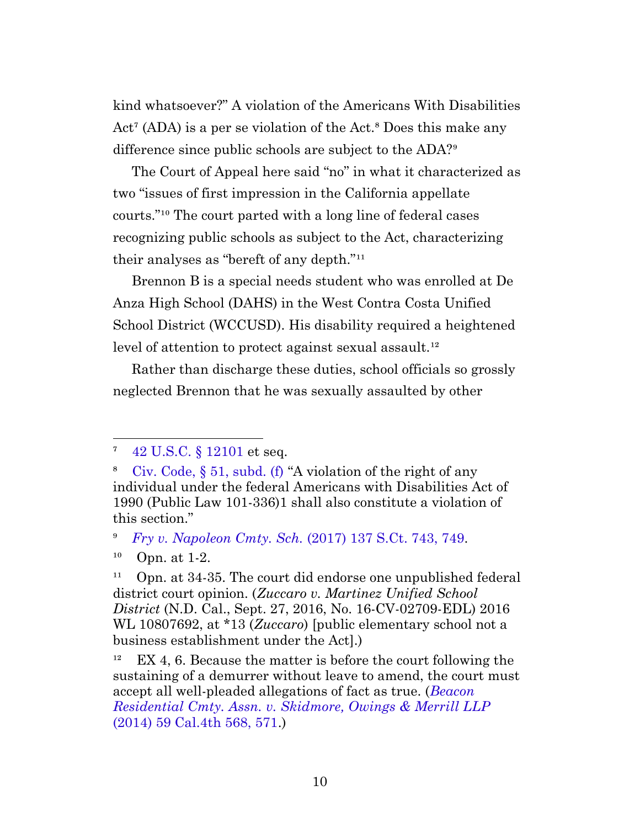kind whatsoever?" A violation of the Americans With Disabilities  $Act^{\tau}$  (ADA) is a per se violation of the Act.<sup>8</sup> Does this make any difference since public schools are subject to the ADA?<sup>9</sup>

The Court of Appeal here said "no" in what it characterized as two "issues of first impression in the California appellate courts."<sup>10</sup> The court parted with a long line of federal cases recognizing public schools as subject to the Act, characterizing their analyses as "bereft of any depth."<sup>11</sup>

Brennon B is a special needs student who was enrolled at De Anza High School (DAHS) in the West Contra Costa Unified School District (WCCUSD). His disability required a heightened level of attention to protect against sexual assault.<sup>12</sup>

Rather than discharge these duties, school officials so grossly neglected Brennon that he was sexually assaulted by other

⁹ *[Fry v. Napoleon Cmty. Sch.](https://casetext.com/case/fry-v-napoleon-cmty-sch-1#p749)* (2017) 137 S.Ct. 743, 749.

⁷ [42 U.S.C. § 12101](http://uscode.house.gov/view.xhtml?req=granuleid:USC-prelim-title42-section12101&num=0&edition=prelim) et seq.

⁸ [Civ. Code, § 51, subd. \(f\)](https://leginfo.legislature.ca.gov/faces/codes_displaySection.xhtml?sectionNum=51.&lawCode=CIV) "A violation of the right of any individual under the federal Americans with Disabilities Act of 1990 (Public Law 101-336)1 shall also constitute a violation of this section."

 $10$  Opn. at 1-2.

<span id="page-9-0"></span> $^{11}$  Opn. at 34-35. The court did endorse one unpublished federal district court opinion. (*Zuccaro v. Martinez Unified School District* (N.D. Cal., Sept. 27, 2016, No. 16-CV-02709-EDL) 2016 WL 10807692, at \*13 (*Zuccaro*) [public elementary school not a business establishment under the Act].)

 $E[X 4, 6]$ . Because the matter is before the court following the sustaining of a demurrer without leave to amend, the court must accept all well-pleaded allegations of fact as true. (*[Beacon](https://casetext.com/case/beacon-residential-cmty-assn-v-skidmore-owings-merrill-llp#p571) [Residential Cmty. Assn. v. Skidmore, Owings & Merrill LLP](https://casetext.com/case/beacon-residential-cmty-assn-v-skidmore-owings-merrill-llp#p571)* [\(2014\) 59 Cal.4th 568, 571](https://casetext.com/case/beacon-residential-cmty-assn-v-skidmore-owings-merrill-llp#p571).)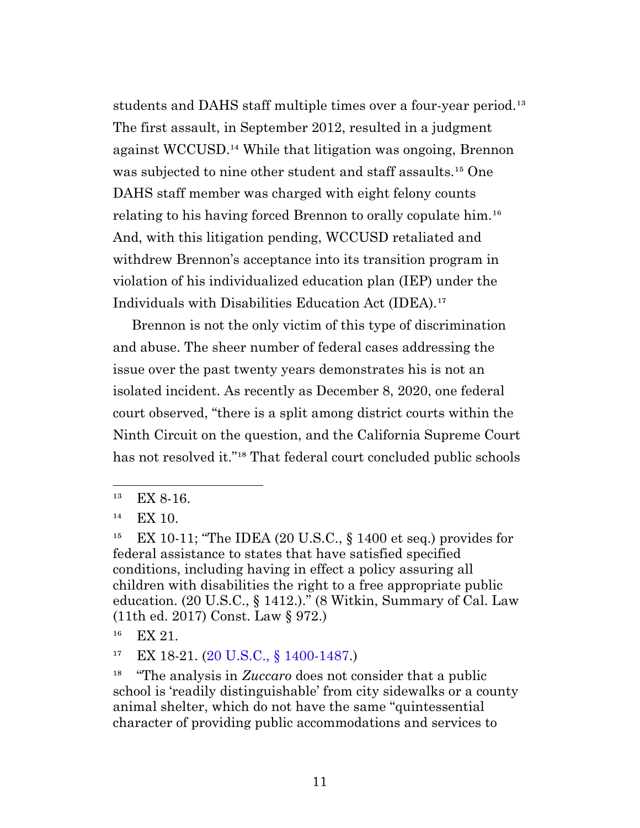students and DAHS staff multiple times over a four-year period.<sup>13</sup> The first assault, in September 2012, resulted in a judgment against WCCUSD.<sup>14</sup> While that litigation was ongoing, Brennon was subjected to nine other student and staff assaults.<sup>15</sup> One DAHS staff member was charged with eight felony counts relating to his having forced Brennon to orally copulate him.<sup>16</sup> And, with this litigation pending, WCCUSD retaliated and withdrew Brennon's acceptance into its transition program in violation of his individualized education plan (IEP) under the Individuals with Disabilities Education Act (IDEA).<sup>17</sup>

Brennon is not the only victim of this type of discrimination and abuse. The sheer number of federal cases addressing the issue over the past twenty years demonstrates his is not an isolated incident. As recently as December 8, 2020, one federal court observed, "there is a split among district courts within the Ninth Circuit on the question, and the California Supreme Court has not resolved it."<sup>18</sup> That federal court concluded public schools

 $13$  EX 8-16.

 $14$  EX 10.

 $^{15}$  EX 10-11; "The IDEA (20 U.S.C., § 1400 et seq.) provides for federal assistance to states that have satisfied specified conditions, including having in effect a policy assuring all children with disabilities the right to a free appropriate public education. (20 U.S.C., § 1412.)." (8 Witkin, Summary of Cal. Law (11th ed. 2017) Const. Law § 972.)

<span id="page-10-0"></span> $16$  EX 21.

<sup>&</sup>lt;sup>17</sup> EX 18-21. ([20 U.S.C., § 1400-1487](http://uscode.house.gov/view.xhtml?req=granuleid:USC-prelim-title20-section1400-1487&num=0&edition=prelim).)

<sup>&</sup>lt;sup>18</sup> "The analysis in *Zuccaro* does not consider that a public school is 'readily distinguishable' from city sidewalks or a county animal shelter, which do not have the same "quintessential character of providing public accommodations and services to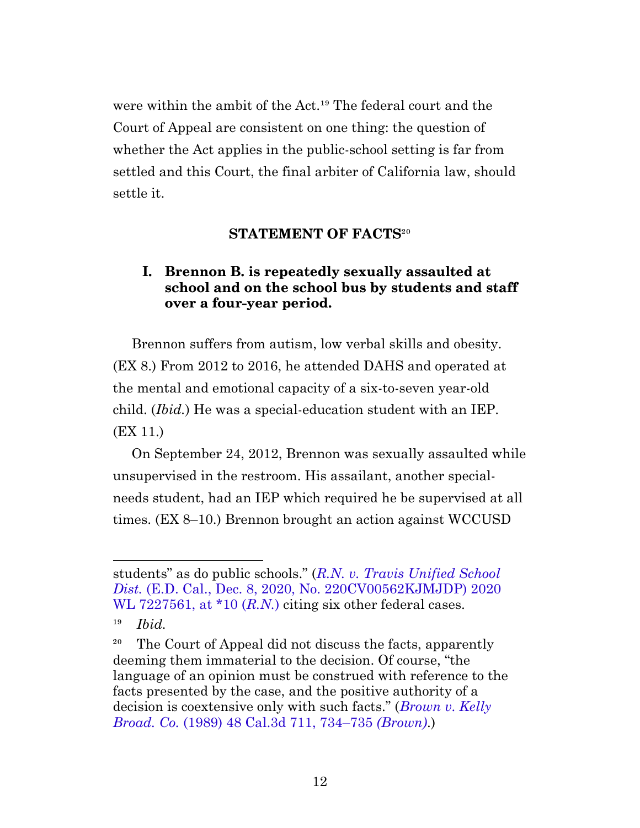were within the ambit of the Act.<sup>19</sup> The federal court and the Court of Appeal are consistent on one thing: the question of whether the Act applies in the public-school setting is far from settled and this Court, the final arbiter of California law, should settle it.

## **STATEMENT OF FACTS<sup>20</sup>**

## <span id="page-11-0"></span>**I. Brennon B. is repeatedly sexually assaulted at school and on the school bus by students and staff over a four-year period.**

<span id="page-11-1"></span>Brennon suffers from autism, low verbal skills and obesity. (EX 8.) From 2012 to 2016, he attended DAHS and operated at the mental and emotional capacity of a six-to-seven year-old child. (*Ibid.*) He was a special-education student with an IEP. (EX 11.)

On September 24, 2012, Brennon was sexually assaulted while unsupervised in the restroom. His assailant, another specialneeds student, had an IEP which required he be supervised at all times. (EX 8–10.) Brennon brought an action against WCCUSD

students" as do public schools." (*[R.N. v. Travis Unified School](https://casetext.com/case/rn-v-travis-unified-sch-dist) Dist.* [\(E.D. Cal., Dec. 8, 2020, No. 220CV00562KJMJDP\) 2020](https://casetext.com/case/rn-v-travis-unified-sch-dist) [WL 7227561, at \\*10 \(](https://casetext.com/case/rn-v-travis-unified-sch-dist)R.N.) citing six other federal cases.

 $19$  *Ibid.* 

<sup>&</sup>lt;sup>20</sup> The Court of Appeal did not discuss the facts, apparently deeming them immaterial to the decision. Of course, "the language of an opinion must be construed with reference to the facts presented by the case, and the positive authority of a decision is coextensive only with such facts." (*[Brown v. Kelly](https://casetext.com/case/brown-v-kelly-broadcasting-co#p734) Broad. Co.* [\(1989\) 48 Cal.3d 711, 734–735](https://casetext.com/case/brown-v-kelly-broadcasting-co#p734) *(Brown)*.)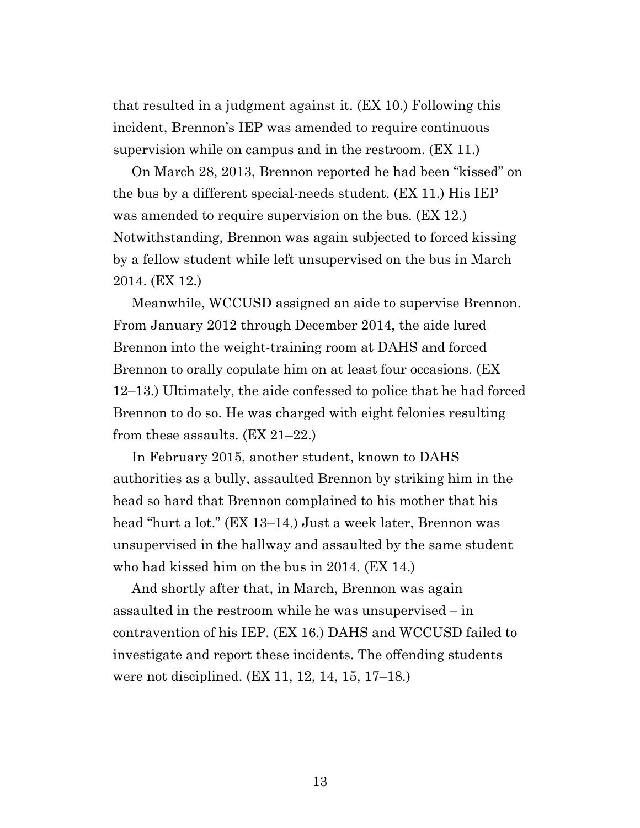that resulted in a judgment against it. (EX 10.) Following this incident, Brennon's IEP was amended to require continuous supervision while on campus and in the restroom. (EX 11.)

On March 28, 2013, Brennon reported he had been "kissed" on the bus by a different special-needs student. (EX 11.) His IEP was amended to require supervision on the bus. (EX 12.) Notwithstanding, Brennon was again subjected to forced kissing by a fellow student while left unsupervised on the bus in March 2014. (EX 12.)

Meanwhile, WCCUSD assigned an aide to supervise Brennon. From January 2012 through December 2014, the aide lured Brennon into the weight-training room at DAHS and forced Brennon to orally copulate him on at least four occasions. (EX 12–13.) Ultimately, the aide confessed to police that he had forced Brennon to do so. He was charged with eight felonies resulting from these assaults. (EX 21–22.)

In February 2015, another student, known to DAHS authorities as a bully, assaulted Brennon by striking him in the head so hard that Brennon complained to his mother that his head "hurt a lot." (EX 13–14.) Just a week later, Brennon was unsupervised in the hallway and assaulted by the same student who had kissed him on the bus in 2014. (EX 14.)

And shortly after that, in March, Brennon was again assaulted in the restroom while he was unsupervised – in contravention of his IEP. (EX 16.) DAHS and WCCUSD failed to investigate and report these incidents. The offending students were not disciplined. (EX 11, 12, 14, 15, 17–18.)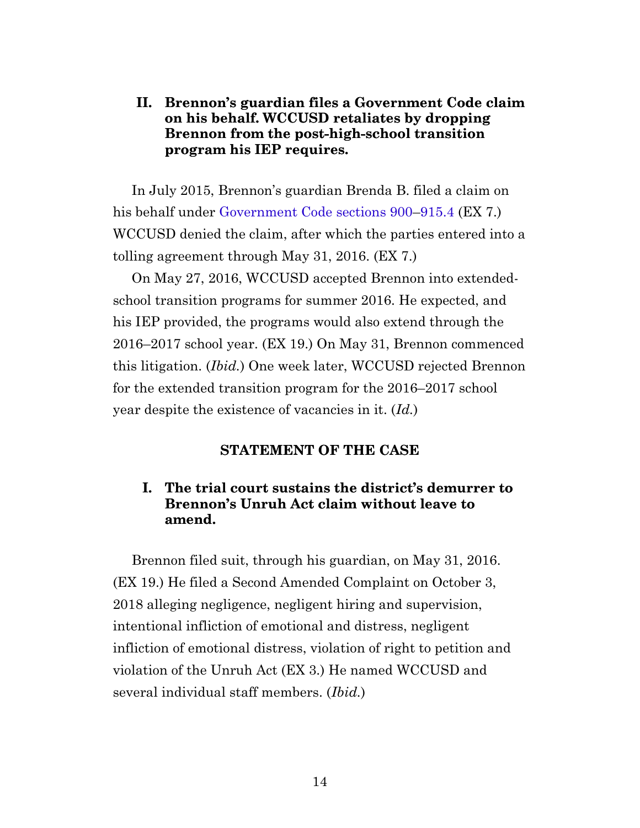## <span id="page-13-0"></span>**II. Brennon's guardian files a Government Code claim on his behalf. WCCUSD retaliates by dropping Brennon from the post-high-school transition program his IEP requires.**

In July 2015, Brennon's guardian Brenda B. filed a claim on his behalf under [Government Code sections 900](https://leginfo.legislature.ca.gov/faces/codes_displaySection.xhtml?sectionNum=900.&lawCode=GOV)[–915.4](https://leginfo.legislature.ca.gov/faces/codes_displaySection.xhtml?sectionNum=915.4.&lawCode=GOV) (EX 7.) WCCUSD denied the claim, after which the parties entered into a tolling agreement through May 31, 2016. (EX 7.)

On May 27, 2016, WCCUSD accepted Brennon into extendedschool transition programs for summer 2016. He expected, and his IEP provided, the programs would also extend through the 2016–2017 school year. (EX 19.) On May 31, Brennon commenced this litigation. (*Ibid.*) One week later, WCCUSD rejected Brennon for the extended transition program for the 2016–2017 school year despite the existence of vacancies in it. (*Id.*)

#### **STATEMENT OF THE CASE**

### <span id="page-13-1"></span>**I. The trial court sustains the district's demurrer to Brennon's Unruh Act claim without leave to amend.**

<span id="page-13-2"></span>Brennon filed suit, through his guardian, on May 31, 2016. (EX 19.) He filed a Second Amended Complaint on October 3, 2018 alleging negligence, negligent hiring and supervision, intentional infliction of emotional and distress, negligent infliction of emotional distress, violation of right to petition and violation of the Unruh Act (EX 3.) He named WCCUSD and several individual staff members. (*Ibid.*)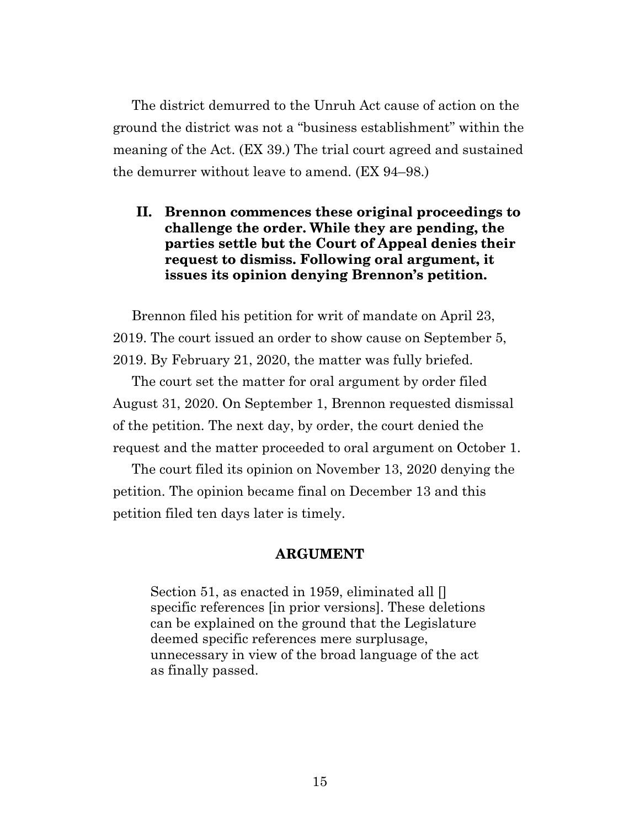The district demurred to the Unruh Act cause of action on the ground the district was not a "business establishment" within the meaning of the Act. (EX 39.) The trial court agreed and sustained the demurrer without leave to amend. (EX 94–98.)

### <span id="page-14-0"></span>**II. Brennon commences these original proceedings to challenge the order. While they are pending, the parties settle but the Court of Appeal denies their request to dismiss. Following oral argument, it issues its opinion denying Brennon's petition.**

Brennon filed his petition for writ of mandate on April 23, 2019. The court issued an order to show cause on September 5, 2019. By February 21, 2020, the matter was fully briefed.

The court set the matter for oral argument by order filed August 31, 2020. On September 1, Brennon requested dismissal of the petition. The next day, by order, the court denied the request and the matter proceeded to oral argument on October 1.

<span id="page-14-1"></span>The court filed its opinion on November 13, 2020 denying the petition. The opinion became final on December 13 and this petition filed ten days later is timely.

#### **ARGUMENT**

Section 51, as enacted in 1959, eliminated all [] specific references [in prior versions]. These deletions can be explained on the ground that the Legislature deemed specific references mere surplusage, unnecessary in view of the broad language of the act as finally passed.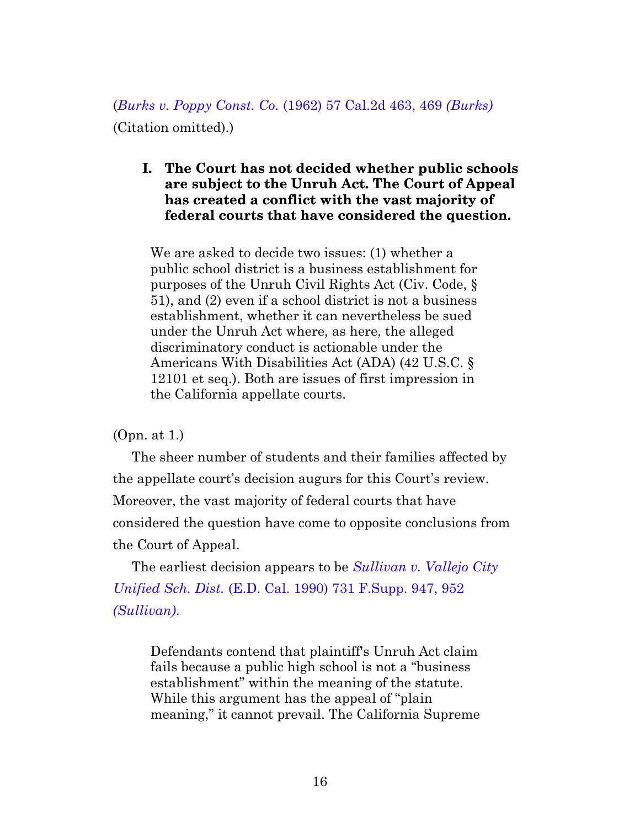<span id="page-15-0"></span>(*[Burks v. Poppy Const. Co.](https://casetext.com/case/burks-v-poppy-construction-co#p469)* (1962) 57 Cal.2d 463, 469 *(Burks)* (Citation omitted).)

#### **I. The Court has not decided whether public schools are subject to the Unruh Act. The Court of Appeal has created a conflict with the vast majority of federal courts that have considered the question.**

We are asked to decide two issues: (1) whether a public school district is a business establishment for purposes of the Unruh Civil Rights Act (Civ. Code, § 51), and (2) even if a school district is not a business establishment, whether it can nevertheless be sued under the Unruh Act where, as here, the alleged discriminatory conduct is actionable under the Americans With Disabilities Act (ADA) (42 U.S.C. § 12101 et seq.). Both are issues of first impression in the California appellate courts.

(Opn. at 1.)

The sheer number of students and their families affected by the appellate court's decision augurs for this Court's review. Moreover, the vast majority of federal courts that have considered the question have come to opposite conclusions from the Court of Appeal.

The earliest decision appears to be *[Sullivan v. Vallejo City](https://casetext.com/case/sullivan-v-vallejo-city-unified-school#p952) Unified Sch. Dist.* [\(E.D. Cal. 1990\) 731 F.Supp. 947, 952](https://casetext.com/case/sullivan-v-vallejo-city-unified-school#p952) *[\(Sullivan\)](https://casetext.com/case/sullivan-v-vallejo-city-unified-school#p952)*.

Defendants contend that plaintiff's Unruh Act claim fails because a public high school is not a "business establishment" within the meaning of the statute. While this argument has the appeal of "plain meaning," it cannot prevail. The California Supreme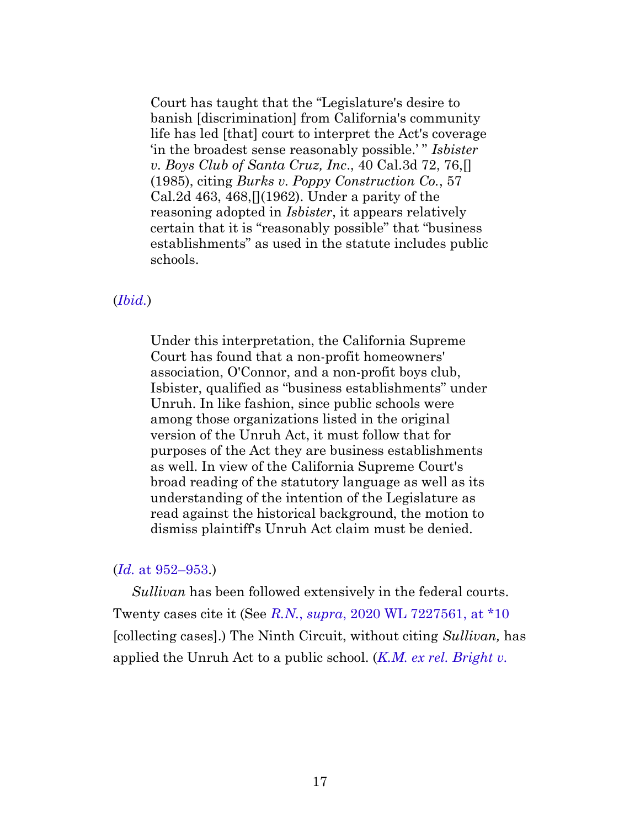Court has taught that the "Legislature's desire to banish [discrimination] from California's community life has led [that] court to interpret the Act's coverage 'in the broadest sense reasonably possible.' " *Isbister v. Boys Club of Santa Cruz, Inc*., 40 Cal.3d 72, 76,[] (1985), citing *Burks v. Poppy Construction Co.*, 57 Cal.2d 463, 468,  $(1962)$ . Under a parity of the reasoning adopted in *Isbister*, it appears relatively certain that it is "reasonably possible" that "business establishments" as used in the statute includes public schools.

#### (*[Ibid.](https://casetext.com/case/sullivan-v-vallejo-city-unified-school#p952)*)

Under this interpretation, the California Supreme Court has found that a non-profit homeowners' association, O'Connor, and a non-profit boys club, Isbister, qualified as "business establishments" under Unruh. In like fashion, since public schools were among those organizations listed in the original version of the Unruh Act, it must follow that for purposes of the Act they are business establishments as well. In view of the California Supreme Court's broad reading of the statutory language as well as its understanding of the intention of the Legislature as read against the historical background, the motion to dismiss plaintiff's Unruh Act claim must be denied.

#### (*Id.* [at 952–953](https://casetext.com/case/sullivan-v-vallejo-city-unified-school#p952).)

*Sullivan* has been followed extensively in the federal courts. Twenty cases cite it (See *R.N.*, *supra*[, 2020 WL 7227561, at \\*10](https://casetext.com/case/rn-v-travis-unified-sch-dist) [collecting cases].) The Ninth Circuit, without citing *Sullivan,* has applied the Unruh Act to a public school. (*[K.M. ex rel. Bright v.](https://casetext.com/case/km-v-tustin-unified-sch-dist#p1103)*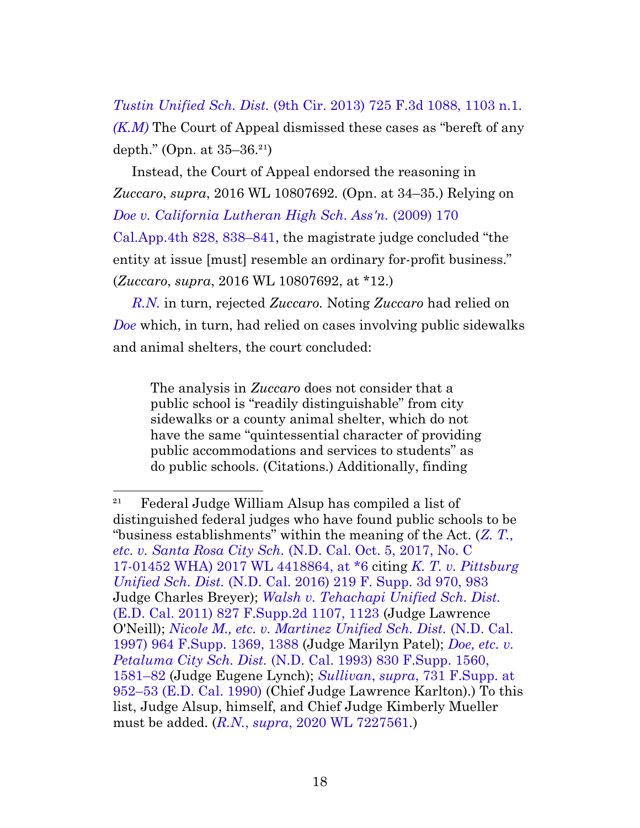*Tustin Unified Sch. Dist.* [\(9th Cir. 2013\) 725 F.3d 1088, 1103 n.1.](https://casetext.com/case/km-v-tustin-unified-sch-dist#p1103) *[\(K.M\)](https://casetext.com/case/km-v-tustin-unified-sch-dist#p1103)* The Court of Appeal dismissed these cases as "bereft of any depth." (Opn. at  $35-36.^{21}$ )

Instead, the Court of Appeal endorsed the reasoning in *Zuccaro*, *supra*, 2016 WL 10807692*.* (Opn. at 34–35.) Relying on *[Doe v. California Lutheran High Sch. Ass'n.](https://casetext.com/case/doe-v-ca-lutheran-high-school#p838)* (2009) 170 [Cal.App.4th 828, 838–841,](https://casetext.com/case/doe-v-ca-lutheran-high-school#p838) the magistrate judge concluded "the entity at issue [must] resemble an ordinary for-profit business." (*Zuccaro*, *supra*, 2016 WL 10807692, at \*12.)

*[R.N.](https://casetext.com/case/rn-v-travis-unified-sch-dist)* in turn, rejected *Zuccaro.* Noting *Zuccaro* had relied on *[Doe](https://casetext.com/case/doe-v-ca-lutheran-high-school)* which, in turn, had relied on cases involving public sidewalks and animal shelters, the court concluded:

The analysis in *Zuccaro* does not consider that a public school is "readily distinguishable" from city sidewalks or a county animal shelter, which do not have the same "quintessential character of providing public accommodations and services to students" as do public schools. (Citations.) Additionally, finding

 $^{21}$  Federal Judge William Alsup has compiled a list of distinguished federal judges who have found public schools to be "business establishments" within the meaning of the Act. (*[Z. T.,](https://casetext.com/case/through-her-parent-gina-hunter-v-santa-rosa-city-sch) etc. v. Santa Rosa City Sch.* [\(N.D. Cal. Oct. 5, 2017, No. C](https://casetext.com/case/through-her-parent-gina-hunter-v-santa-rosa-city-sch) [17-01452 WHA\) 2017 WL 4418864, at \\*6](https://casetext.com/case/through-her-parent-gina-hunter-v-santa-rosa-city-sch) citing *[K. T. v. Pittsburg](https://casetext.com/case/kt-v-pittsburg-unified-sch-dist#p983) Unified Sch. Dist.* [\(N.D. Cal. 2016\) 219 F. Supp. 3d 970, 983](https://casetext.com/case/kt-v-pittsburg-unified-sch-dist#p983) Judge Charles Breyer); *[Walsh v. Tehachapi Unified Sch. Dist.](https://casetext.com/case/walsh-v-tehachapi-unified-sch-dist#p1123)* [\(E.D. Cal. 2011\) 827 F.Supp.2d 1107, 1123](https://casetext.com/case/walsh-v-tehachapi-unified-sch-dist#p1123) (Judge Lawrence O'Neill); *[Nicole M., etc. v. Martinez Unified Sch. Dist.](https://casetext.com/case/nicole-m-v-martinez-unified-sch-dist#p1388)* (N.D. Cal. [1997\) 964 F.Supp. 1369, 1388](https://casetext.com/case/nicole-m-v-martinez-unified-sch-dist#p1388) (Judge Marilyn Patel); *[Doe, etc. v.](https://casetext.com/case/doe-v-petaluma-city-school-dist#p1581) Petaluma City Sch. Dist.* [\(N.D. Cal. 1993\) 830 F.Supp. 1560,](https://casetext.com/case/doe-v-petaluma-city-school-dist#p1581) [1581–82](https://casetext.com/case/doe-v-petaluma-city-school-dist#p1581) (Judge Eugene Lynch); *Sullivan*, *supra*[, 731 F.Supp. at](https://casetext.com/case/sullivan-v-vallejo-city-unified-school#p952) [952–53 \(E.D. Cal. 1990\)](https://casetext.com/case/sullivan-v-vallejo-city-unified-school#p952) (Chief Judge Lawrence Karlton).) To this list, Judge Alsup, himself, and Chief Judge Kimberly Mueller must be added. (*R.N.*, *supra*[, 2020 WL 7227561](https://casetext.com/case/rn-v-travis-unified-sch-dist)*.*)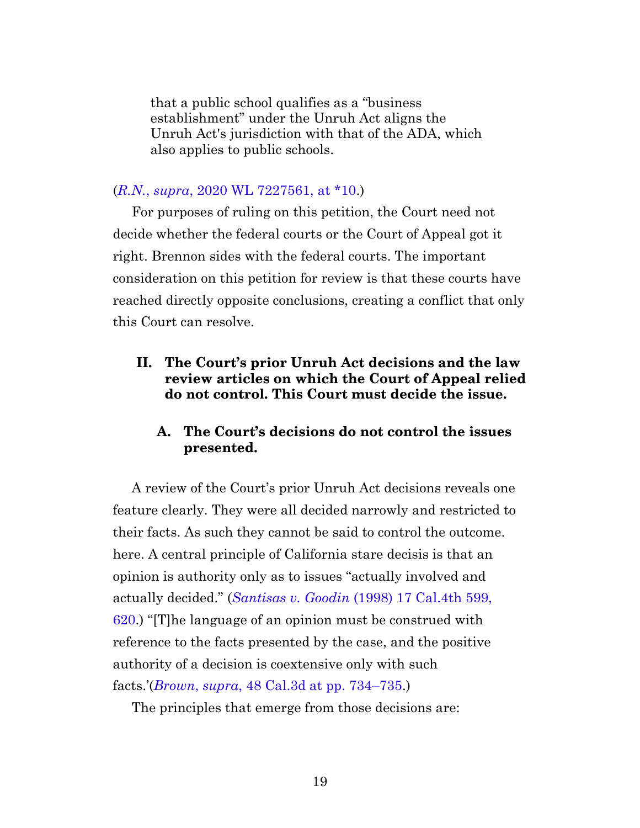that a public school qualifies as a "business establishment" under the Unruh Act aligns the Unruh Act's jurisdiction with that of the ADA, which also applies to public schools.

#### (*R.N.*, *supra*[, 2020 WL 7227561, at \\*10.](https://casetext.com/case/rn-v-travis-unified-sch-dist))

For purposes of ruling on this petition, the Court need not decide whether the federal courts or the Court of Appeal got it right. Brennon sides with the federal courts. The important consideration on this petition for review is that these courts have reached directly opposite conclusions, creating a conflict that only this Court can resolve.

### <span id="page-18-0"></span>**II. The Court's prior Unruh Act decisions and the law review articles on which the Court of Appeal relied do not control. This Court must decide the issue.**

## **A. The Court's decisions do not control the issues presented.**

<span id="page-18-1"></span>A review of the Court's prior Unruh Act decisions reveals one feature clearly. They were all decided narrowly and restricted to their facts. As such they cannot be said to control the outcome. here. A central principle of California stare decisis is that an opinion is authority only as to issues "actually involved and actually decided." (*Santisas v. Goodin* [\(1998\) 17 Cal.4th 599,](https://casetext.com/case/santisas-v-goodin#p620) [620.](https://casetext.com/case/santisas-v-goodin#p620)) "[T]he language of an opinion must be construed with reference to the facts presented by the case, and the positive authority of a decision is coextensive only with such facts.'(*Brown*, *supra*[, 48 Cal.3d at pp. 734–735.](https://casetext.com/case/brown-v-kelly-broadcasting-co#p734))

The principles that emerge from those decisions are: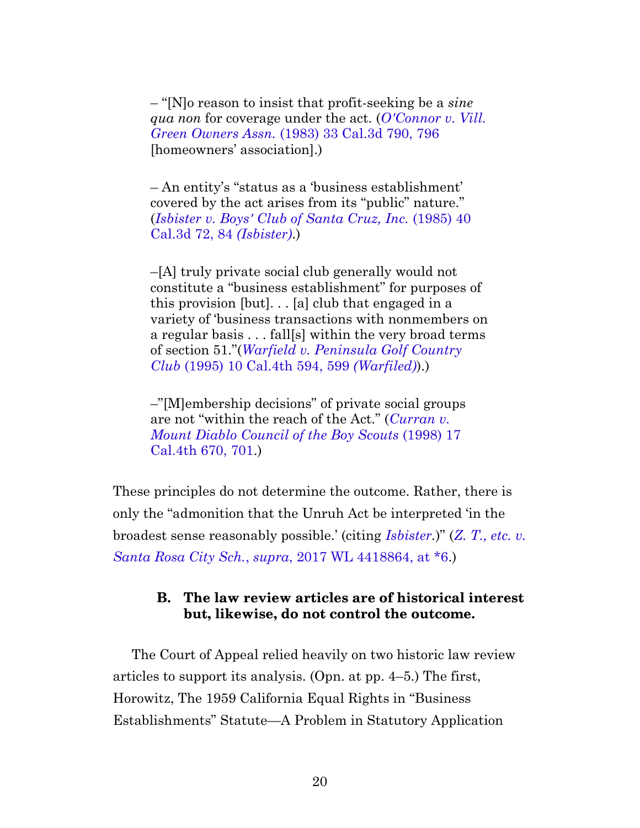– "[N]o reason to insist that profit-seeking be a *sine qua non* for coverage under the act. (*[O'Connor v. Vill.](https://casetext.com/case/oconnor-v-village-green-owners-assn#p796) Green Owners Assn.* [\(1983\) 33 Cal.3d 790, 796](https://casetext.com/case/oconnor-v-village-green-owners-assn#p796) [homeowners' association].)

– An entity's "status as a 'business establishment' covered by the act arises from its "public" nature." (*[Isbister v. Boys' Club of Santa Cruz, Inc.](https://casetext.com/case/isbister-v-boys-club-of-santa-cruz-inc#p84)* (1985) 40 [Cal.3d 72, 84](https://casetext.com/case/isbister-v-boys-club-of-santa-cruz-inc#p84) *(Isbister)*.)

–[A] truly private social club generally would not constitute a "business establishment" for purposes of this provision [but]. . . [a] club that engaged in a variety of 'business transactions with nonmembers on a regular basis . . . fall[s] within the very broad terms of section 51."(*[Warfield v. Peninsula Golf Country](https://casetext.com/case/warfield-v-peninsula-golf-country-club-3#p599) Club* [\(1995\) 10 Cal.4th 594, 599](https://casetext.com/case/warfield-v-peninsula-golf-country-club-3#p599) *(Warfiled)*).)

–"[M]embership decisions" of private social groups are not "within the reach of the Act." (*[Curran v.](https://casetext.com/case/curran-v-mount-diablo-council-of-the-boy-scouts-2#p701) [Mount Diablo Council of the Boy Scouts](https://casetext.com/case/curran-v-mount-diablo-council-of-the-boy-scouts-2#p701)* (1998) 17 [Cal.4th 670, 701.](https://casetext.com/case/curran-v-mount-diablo-council-of-the-boy-scouts-2#p701))

These principles do not determine the outcome. Rather, there is only the "admonition that the Unruh Act be interpreted 'in the broadest sense reasonably possible.' (citing *[Isbister](https://casetext.com/case/isbister-v-boys-club-of-santa-cruz-inc).*)" (*[Z. T., etc. v.](https://casetext.com/case/through-her-parent-gina-hunter-v-santa-rosa-city-sch) Santa Rosa City Sch.*, *supra*[, 2017 WL 4418864, at \\*6](https://casetext.com/case/through-her-parent-gina-hunter-v-santa-rosa-city-sch).)

#### **B. The law review articles are of historical interest but, likewise, do not control the outcome.**

<span id="page-19-1"></span><span id="page-19-0"></span>The Court of Appeal relied heavily on two historic law review articles to support its analysis. (Opn. at pp. 4–5.) The first, Horowitz, The 1959 California Equal Rights in "Business Establishments" Statute—A Problem in Statutory Application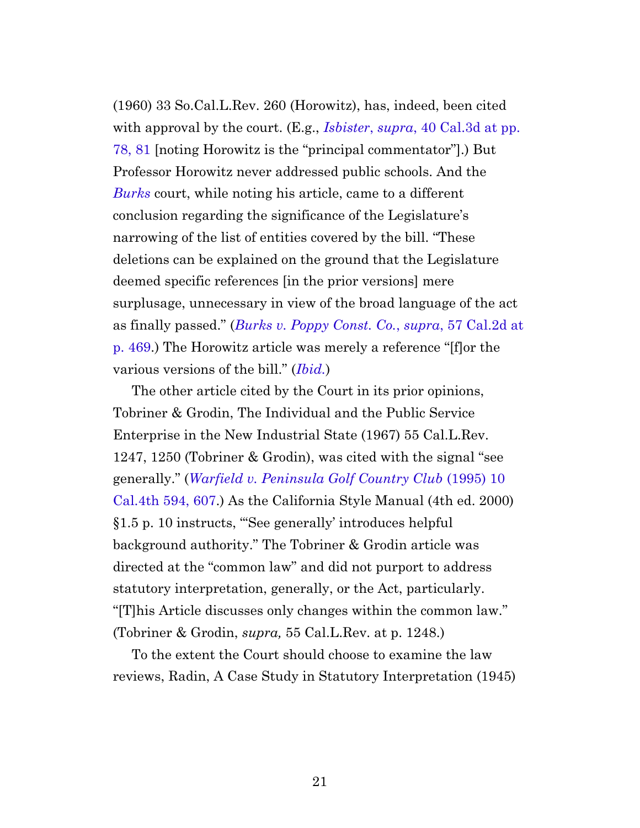(1960) 33 So.Cal.L.Rev. 260 (Horowitz), has, indeed, been cited with approval by the court. (E.g., *Isbister*, *supra*[, 40 Cal.3d at pp.](https://casetext.com/case/isbister-v-boys-club-of-santa-cruz-inc#p78) [78, 81](https://casetext.com/case/isbister-v-boys-club-of-santa-cruz-inc#p78) [noting Horowitz is the "principal commentator"].) But Professor Horowitz never addressed public schools. And the *[Burks](https://casetext.com/case/burks-v-poppy-construction-co)* court, while noting his article, came to a different conclusion regarding the significance of the Legislature's narrowing of the list of entities covered by the bill. "These deletions can be explained on the ground that the Legislature deemed specific references [in the prior versions] mere surplusage, unnecessary in view of the broad language of the act as finally passed." (*[Burks v. Poppy Const. Co.](https://casetext.com/case/burks-v-poppy-construction-co#p469)*, *supra*, 57 Cal.2d at [p. 469](https://casetext.com/case/burks-v-poppy-construction-co#p469).) The Horowitz article was merely a reference "[f]or the various versions of the bill." (*[Ibid.](https://casetext.com/case/burks-v-poppy-construction-co#p469)*)

<span id="page-20-1"></span>The other article cited by the Court in its prior opinions, Tobriner & Grodin, The Individual and the Public Service Enterprise in the New Industrial State (1967) 55 Cal.L.Rev. 1247, 1250 (Tobriner & Grodin), was cited with the signal "see generally." (*[Warfield v. Peninsula Golf Country Club](https://casetext.com/case/warfield-v-peninsula-golf-country-club-3#p607)* (1995) 10 [Cal.4th 594, 607.](https://casetext.com/case/warfield-v-peninsula-golf-country-club-3#p607)) As the California Style Manual (4th ed. 2000) §1.5 p. 10 instructs, "'See generally' introduces helpful background authority." The Tobriner & Grodin article was directed at the "common law" and did not purport to address statutory interpretation, generally, or the Act, particularly. "[T]his Article discusses only changes within the common law." (Tobriner & Grodin, *supra,* 55 Cal.L.Rev. at p. 1248.)

<span id="page-20-0"></span>To the extent the Court should choose to examine the law reviews, Radin, A Case Study in Statutory Interpretation (1945)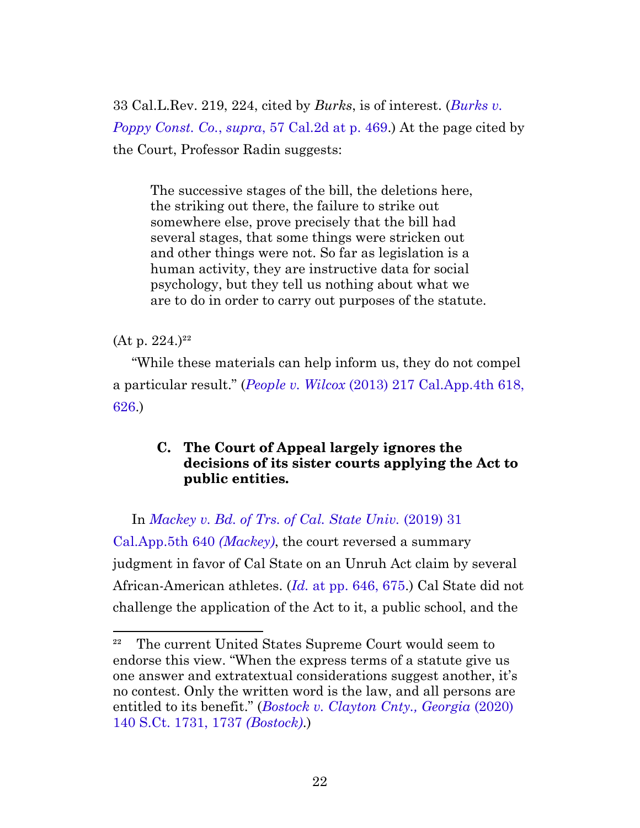33 Cal.L.Rev. 219, 224, cited by *Burks*, is of interest. (*[Burks v.](https://casetext.com/case/burks-v-poppy-construction-co#p469) Poppy Const. Co.*, *supra*[, 57 Cal.2d at p. 469.](https://casetext.com/case/burks-v-poppy-construction-co#p469)) At the page cited by the Court, Professor Radin suggests:

The successive stages of the bill, the deletions here, the striking out there, the failure to strike out somewhere else, prove precisely that the bill had several stages, that some things were stricken out and other things were not. So far as legislation is a human activity, they are instructive data for social psychology, but they tell us nothing about what we are to do in order to carry out purposes of the statute.

 $(At p. 224.)^{22}$ 

"While these materials can help inform us, they do not compel a particular result." (*People v. Wilcox* [\(2013\) 217 Cal.App.4th 618,](https://casetext.com/case/people-v-wilcox-73#p626) [626.](https://casetext.com/case/people-v-wilcox-73#p626))

## **C. The Court of Appeal largely ignores the decisions of its sister courts applying the Act to public entities.**

<span id="page-21-0"></span>In *[Mackey v. Bd. of Trs. of Cal. State Univ.](https://casetext.com/case/mackey-v-bd-of-trs-of-the-cal-state-univ)* (2019) 31 [Cal.App.5th 640](https://casetext.com/case/mackey-v-bd-of-trs-of-the-cal-state-univ) *(Mackey)*, the court reversed a summary judgment in favor of Cal State on an Unruh Act claim by several African-American athletes. (*Id.* [at pp. 646, 675.](https://casetext.com/case/mackey-v-bd-of-trs-of-the-cal-state-univ#p646)) Cal State did not challenge the application of the Act to it, a public school, and the

<sup>&</sup>lt;sup>22</sup> The current United States Supreme Court would seem to endorse this view. "When the express terms of a statute give us one answer and extratextual considerations suggest another, it's no contest. Only the written word is the law, and all persons are entitled to its benefit." (*[Bostock v. Clayton Cnty., Georgia](https://www.westlaw.com/Document/I576207cbaed911eaa4a6da07b08de5cd/View/FullText.html?transitionType=Default&contextData=(sc.Default)&VR=3.0&RS=cblt1.0#p1737)* (2020) [140 S.Ct. 1731, 1737](https://www.westlaw.com/Document/I576207cbaed911eaa4a6da07b08de5cd/View/FullText.html?transitionType=Default&contextData=(sc.Default)&VR=3.0&RS=cblt1.0#p1737) *(Bostock)*.)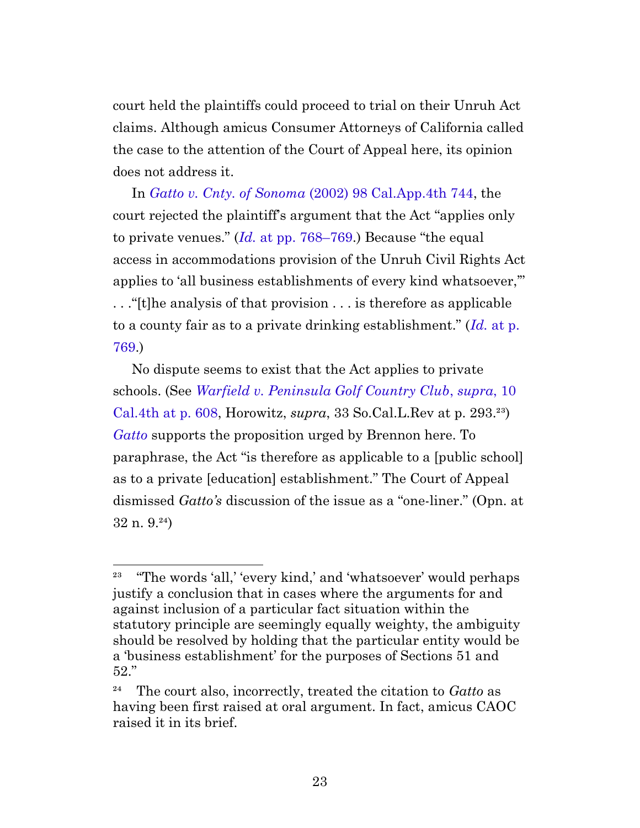court held the plaintiffs could proceed to trial on their Unruh Act claims. Although amicus Consumer Attorneys of California called the case to the attention of the Court of Appeal here, its opinion does not address it.

In *Gatto v. Cnty. of Sonoma* [\(2002\) 98 Cal.App.4th 744](https://casetext.com/case/gatto-v-county-of-sonoma), the court rejected the plaintiff's argument that the Act "applies only to private venues." (*Id.* [at pp. 768–769](https://casetext.com/case/gatto-v-county-of-sonoma#p768).) Because "the equal access in accommodations provision of the Unruh Civil Rights Act applies to 'all business establishments of every kind whatsoever,'" . . ."[t]he analysis of that provision . . . is therefore as applicable to a county fair as to a private drinking establishment." (*Id.* [at p.](https://casetext.com/case/gatto-v-county-of-sonoma#p769) [769.](https://casetext.com/case/gatto-v-county-of-sonoma#p769))

No dispute seems to exist that the Act applies to private schools. (See *[Warfield v. Peninsula Golf Country Club](https://casetext.com/case/warfield-v-peninsula-golf-country-club-3#p608)*, *supra*, 10 [Cal.4th at p. 608](https://casetext.com/case/warfield-v-peninsula-golf-country-club-3#p608), Horowitz, *supra*, 33 So.Cal.L.Rev at p. 293.²³) *[Gatto](https://casetext.com/case/gatto-v-county-of-sonoma)* supports the proposition urged by Brennon here. To paraphrase, the Act "is therefore as applicable to a [public school] as to a private [education] establishment." The Court of Appeal dismissed *Gatto's* discussion of the issue as a "one-liner." (Opn. at  $32$  n.  $9.^{24}$ 

<sup>&</sup>lt;sup>23</sup> "The words 'all,' 'every kind,' and 'whatsoever' would perhaps justify a conclusion that in cases where the arguments for and against inclusion of a particular fact situation within the statutory principle are seemingly equally weighty, the ambiguity should be resolved by holding that the particular entity would be a 'business establishment' for the purposes of Sections 51 and 52."

²⁴ The court also, incorrectly, treated the citation to *Gatto* as having been first raised at oral argument. In fact, amicus CAOC raised it in its brief.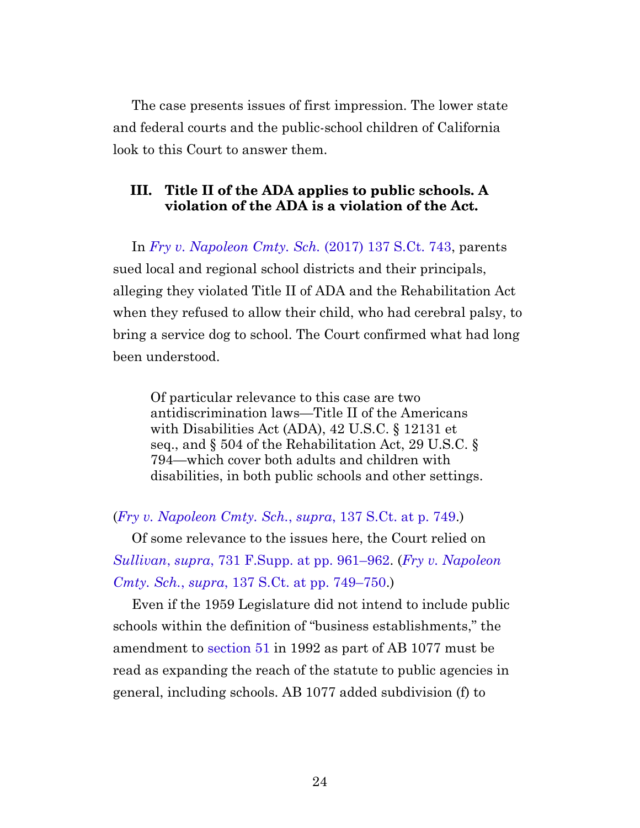The case presents issues of first impression. The lower state and federal courts and the public-school children of California look to this Court to answer them.

### **III. Title II of the ADA applies to public schools. A violation of the ADA is a violation of the Act.**

<span id="page-23-0"></span>In *[Fry v. Napoleon Cmty. Sch.](https://casetext.com/case/fry-v-napoleon-cmty-sch-1)* (2017) 137 S.Ct. 743, parents sued local and regional school districts and their principals, alleging they violated Title II of ADA and the Rehabilitation Act when they refused to allow their child, who had cerebral palsy, to bring a service dog to school. The Court confirmed what had long been understood.

Of particular relevance to this case are two antidiscrimination laws—Title II of the Americans with Disabilities Act (ADA), 42 U.S.C. § 12131 et seq., and § 504 of the Rehabilitation Act, 29 U.S.C. § 794—which cover both adults and children with disabilities, in both public schools and other settings.

(*[Fry v. Napoleon Cmty. Sch.](https://casetext.com/case/fry-v-napoleon-cmty-sch-1#p749)*, *supra*, 137 S.Ct. at p. 749.)

Of some relevance to the issues here, the Court relied on *Sullivan*, *supra*[, 731 F.Supp. at pp. 961–962](https://casetext.com/case/sullivan-v-vallejo-city-unified-school#p961). (*[Fry v. Napoleon](https://casetext.com/case/fry-v-napoleon-cmty-sch-1#p749) Cmty. Sch.*, *supra*[, 137 S.Ct. at pp. 749–750.](https://casetext.com/case/fry-v-napoleon-cmty-sch-1#p749))

Even if the 1959 Legislature did not intend to include public schools within the definition of "business establishments," the amendment to [section 51](https://leginfo.legislature.ca.gov/faces/codes_displaySection.xhtml?sectionNum=51.&lawCode=CIV) in 1992 as part of AB 1077 must be read as expanding the reach of the statute to public agencies in general, including schools. AB 1077 added subdivision (f) to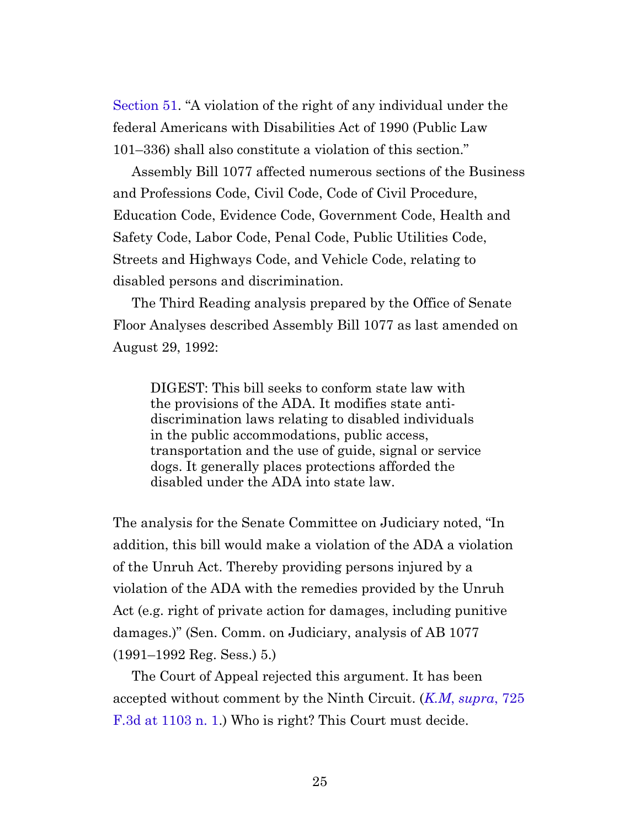[Section 51](https://leginfo.legislature.ca.gov/faces/codes_displaySection.xhtml?sectionNum=51.&lawCode=CIV). "A violation of the right of any individual under the federal Americans with Disabilities Act of 1990 (Public Law 101–336) shall also constitute a violation of this section."

Assembly Bill 1077 affected numerous sections of the Business and Professions Code, Civil Code, Code of Civil Procedure, Education Code, Evidence Code, Government Code, Health and Safety Code, Labor Code, Penal Code, Public Utilities Code, Streets and Highways Code, and Vehicle Code, relating to disabled persons and discrimination.

The Third Reading analysis prepared by the Office of Senate Floor Analyses described Assembly Bill 1077 as last amended on August 29, 1992:

DIGEST: This bill seeks to conform state law with the provisions of the ADA. It modifies state antidiscrimination laws relating to disabled individuals in the public accommodations, public access, transportation and the use of guide, signal or service dogs. It generally places protections afforded the disabled under the ADA into state law.

The analysis for the Senate Committee on Judiciary noted, "In addition, this bill would make a violation of the ADA a violation of the Unruh Act. Thereby providing persons injured by a violation of the ADA with the remedies provided by the Unruh Act (e.g. right of private action for damages, including punitive damages.)" (Sen. Comm. on Judiciary, analysis of AB 1077 (1991–1992 Reg. Sess.) 5.)

The Court of Appeal rejected this argument. It has been accepted without comment by the Ninth Circuit. (*K.M*, *[supra](https://casetext.com/case/km-v-tustin-unified-sch-dist#p1103)*, 725 [F.3d at 1103 n. 1](https://casetext.com/case/km-v-tustin-unified-sch-dist#p1103).) Who is right? This Court must decide.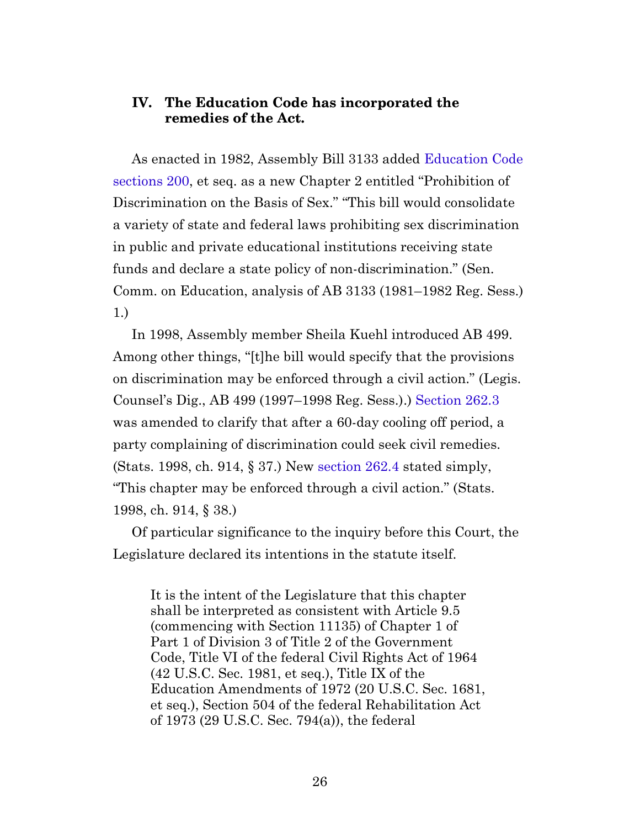#### **IV. The Education Code has incorporated the remedies of the Act.**

<span id="page-25-0"></span>As enacted in 1982, Assembly Bill 3133 added [Education Code](https://leginfo.legislature.ca.gov/faces/codes_displaySection.xhtml?sectionNum=200.&lawCode=EDC) [sections 200](https://leginfo.legislature.ca.gov/faces/codes_displaySection.xhtml?sectionNum=200.&lawCode=EDC), et seq. as a new Chapter 2 entitled "Prohibition of Discrimination on the Basis of Sex." "This bill would consolidate a variety of state and federal laws prohibiting sex discrimination in public and private educational institutions receiving state funds and declare a state policy of non-discrimination." (Sen. Comm. on Education, analysis of AB 3133 (1981–1982 Reg. Sess.) 1.)

<span id="page-25-2"></span><span id="page-25-1"></span>In 1998, Assembly member Sheila Kuehl introduced AB 499. Among other things, "[t]he bill would specify that the provisions on discrimination may be enforced through a civil action." (Legis. Counsel's Dig., AB 499 (1997–1998 Reg. Sess.).) [Section 262.3](https://leginfo.legislature.ca.gov/faces/codes_displaySection.xhtml?sectionNum=262.3.&lawCode=EDC) was amended to clarify that after a 60-day cooling off period, a party complaining of discrimination could seek civil remedies. (Stats. 1998, ch. 914, § 37.) New [section 262.4](https://leginfo.legislature.ca.gov/faces/codes_displaySection.xhtml?sectionNum=262.4.&lawCode=EDC) stated simply, "This chapter may be enforced through a civil action." (Stats. 1998, ch. 914, § 38.)

<span id="page-25-4"></span><span id="page-25-3"></span>Of particular significance to the inquiry before this Court, the Legislature declared its intentions in the statute itself.

It is the intent of the Legislature that this chapter shall be interpreted as consistent with Article 9.5 (commencing with Section 11135) of Chapter 1 of Part 1 of Division 3 of Title 2 of the Government Code, Title VI of the federal Civil Rights Act of 1964 (42 U.S.C. Sec. 1981, et seq.), Title IX of the Education Amendments of 1972 (20 U.S.C. Sec. 1681, et seq.), Section 504 of the federal Rehabilitation Act of 1973 (29 U.S.C. Sec. 794(a)), the federal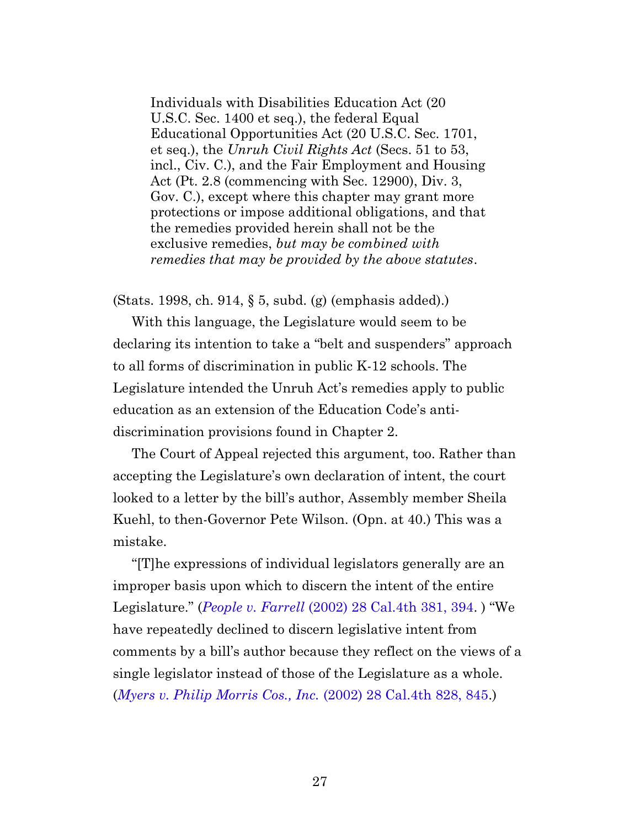Individuals with Disabilities Education Act (20 U.S.C. Sec. 1400 et seq.), the federal Equal Educational Opportunities Act (20 U.S.C. Sec. 1701, et seq.), the *Unruh Civil Rights Act* (Secs. 51 to 53, incl., Civ. C.), and the Fair Employment and Housing Act (Pt. 2.8 (commencing with Sec. 12900), Div. 3, Gov. C.), except where this chapter may grant more protections or impose additional obligations, and that the remedies provided herein shall not be the exclusive remedies, *but may be combined with remedies that may be provided by the above statutes*.

(Stats. 1998, ch. 914, § 5, subd. (g) (emphasis added).)

With this language, the Legislature would seem to be declaring its intention to take a "belt and suspenders" approach to all forms of discrimination in public K-12 schools. The Legislature intended the Unruh Act's remedies apply to public education as an extension of the Education Code's antidiscrimination provisions found in Chapter 2.

The Court of Appeal rejected this argument, too. Rather than accepting the Legislature's own declaration of intent, the court looked to a letter by the bill's author, Assembly member Sheila Kuehl, to then-Governor Pete Wilson. (Opn. at 40.) This was a mistake.

"[T]he expressions of individual legislators generally are an improper basis upon which to discern the intent of the entire Legislature." (*People v. Farrell* [\(2002\) 28 Cal.4th 381, 394](https://casetext.com/case/people-v-farell-2#p394). ) "We have repeatedly declined to discern legislative intent from comments by a bill's author because they reflect on the views of a single legislator instead of those of the Legislature as a whole. (*[Myers v. Philip Morris Cos., Inc.](https://casetext.com/case/myers-v-phillip-morris-co#p845)* (2002) 28 Cal.4th 828, 845.)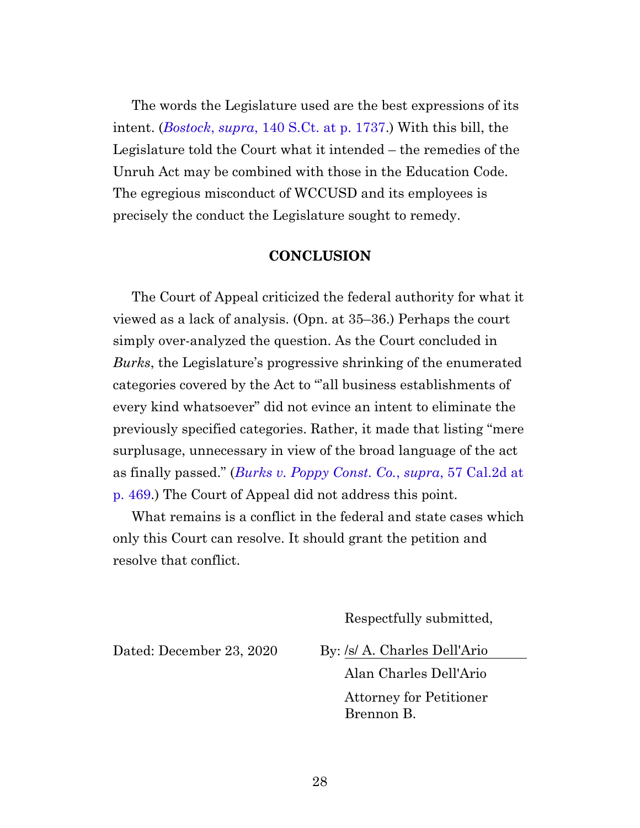The words the Legislature used are the best expressions of its intent. (*Bostock*, *supra*[, 140 S.Ct. at p. 1737](https://www.westlaw.com/Document/I576207cbaed911eaa4a6da07b08de5cd/View/FullText.html?transitionType=Default&contextData=(sc.Default)&VR=3.0&RS=cblt1.0#p1737).) With this bill, the Legislature told the Court what it intended – the remedies of the Unruh Act may be combined with those in the Education Code. The egregious misconduct of WCCUSD and its employees is precisely the conduct the Legislature sought to remedy.

#### **CONCLUSION**

<span id="page-27-0"></span>The Court of Appeal criticized the federal authority for what it viewed as a lack of analysis. (Opn. at 35–36.) Perhaps the court simply over-analyzed the question. As the Court concluded in *Burks*, the Legislature's progressive shrinking of the enumerated categories covered by the Act to "all business establishments of every kind whatsoever" did not evince an intent to eliminate the previously specified categories. Rather, it made that listing "mere surplusage, unnecessary in view of the broad language of the act as finally passed." (*[Burks v. Poppy Const. Co.](https://casetext.com/case/burks-v-poppy-construction-co#p469)*, *supra*, 57 Cal.2d at [p. 469](https://casetext.com/case/burks-v-poppy-construction-co#p469).) The Court of Appeal did not address this point.

What remains is a conflict in the federal and state cases which only this Court can resolve. It should grant the petition and resolve that conflict.

Respectfully submitted,

Dated: December 23, 2020 By: /s/ A. Charles Dell'Ario

Alan Charles Dell'Ario Attorney for Petitioner Brennon B.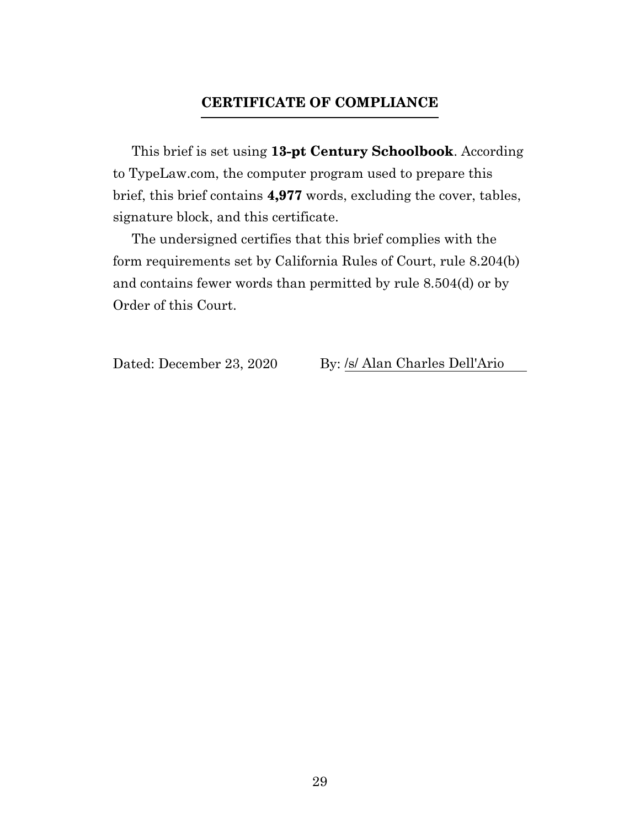### **CERTIFICATE OF COMPLIANCE**

<span id="page-28-0"></span>This brief is set using **13-pt Century Schoolbook**. According to TypeLaw.com, the computer program used to prepare this brief, this brief contains **4,977** words, excluding the cover, tables, signature block, and this certificate.

The undersigned certifies that this brief complies with the form requirements set by California Rules of Court, rule 8.204(b) and contains fewer words than permitted by rule 8.504(d) or by Order of this Court.

Dated: December 23, 2020 By: /s/ Alan Charles Dell'Ario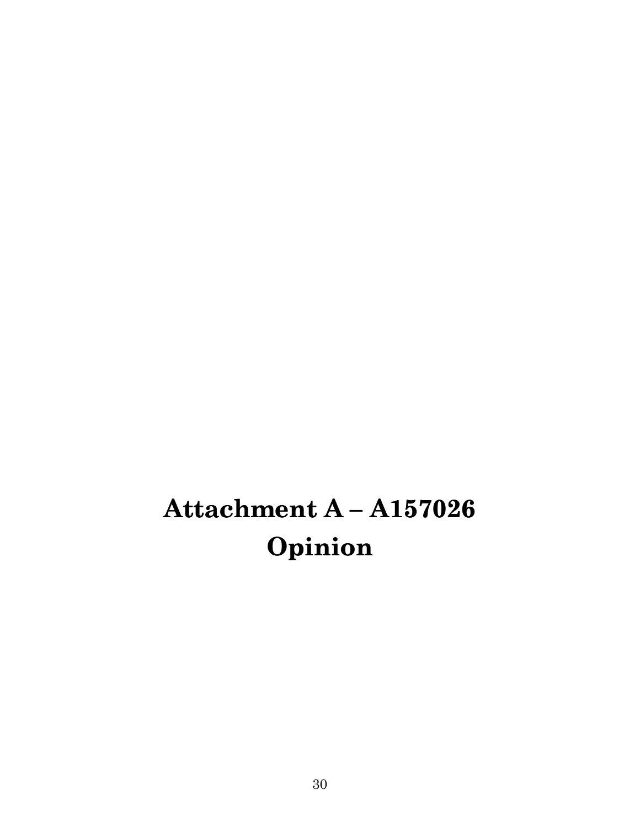# <span id="page-29-0"></span>**Attachment A – A157026 Opinion**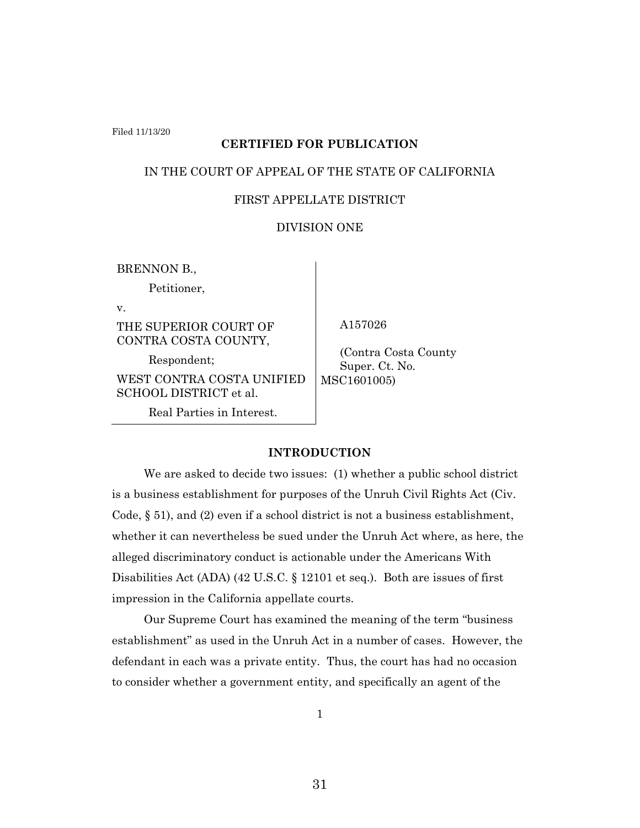Filed 11/13/20

#### **CERTIFIED FOR PUBLICATION**

#### IN THE COURT OF APPEAL OF THE STATE OF CALIFORNIA

#### FIRST APPELLATE DISTRICT

#### DIVISION ONE

BRENNON B.,

Petitioner,

v.

THE SUPERIOR COURT OF CONTRA COSTA COUNTY,

Respondent; WEST CONTRA COSTA UNIFIED SCHOOL DISTRICT et al.

Real Parties in Interest.

A157026

 (Contra Costa County Super. Ct. No. MSC1601005)

#### **INTRODUCTION**

We are asked to decide two issues: (1) whether a public school district is a business establishment for purposes of the Unruh Civil Rights Act (Civ. Code, § 51), and (2) even if a school district is not a business establishment, whether it can nevertheless be sued under the Unruh Act where, as here, the alleged discriminatory conduct is actionable under the Americans With Disabilities Act (ADA) (42 U.S.C. § 12101 et seq.). Both are issues of first impression in the California appellate courts.

Our Supreme Court has examined the meaning of the term "business establishment" as used in the Unruh Act in a number of cases. However, the defendant in each was a private entity. Thus, the court has had no occasion to consider whether a government entity, and specifically an agent of the

1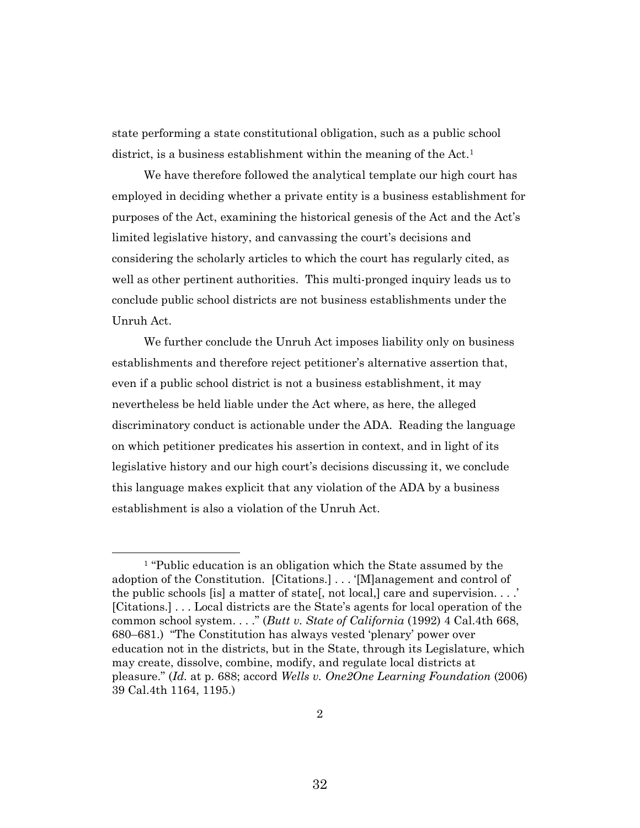state performing a state constitutional obligation, such as a public school district, is a business establishment within the meaning of the Act.<sup>1</sup>

We have therefore followed the analytical template our high court has employed in deciding whether a private entity is a business establishment for purposes of the Act, examining the historical genesis of the Act and the Act's limited legislative history, and canvassing the court's decisions and considering the scholarly articles to which the court has regularly cited, as well as other pertinent authorities. This multi-pronged inquiry leads us to conclude public school districts are not business establishments under the Unruh Act.

We further conclude the Unruh Act imposes liability only on business establishments and therefore reject petitioner's alternative assertion that, even if a public school district is not a business establishment, it may nevertheless be held liable under the Act where, as here, the alleged discriminatory conduct is actionable under the ADA. Reading the language on which petitioner predicates his assertion in context, and in light of its legislative history and our high court's decisions discussing it, we conclude this language makes explicit that any violation of the ADA by a business establishment is also a violation of the Unruh Act.

<sup>&</sup>lt;sup>1</sup> "Public education is an obligation which the State assumed by the adoption of the Constitution. [Citations.] . . . '[M]anagement and control of the public schools [is] a matter of state[, not local,] care and supervision. . . .' [Citations.] . . . Local districts are the State's agents for local operation of the common school system. . . ." (*Butt v. State of California* (1992) 4 Cal.4th 668, 680–681.) "The Constitution has always vested 'plenary' power over education not in the districts, but in the State, through its Legislature, which may create, dissolve, combine, modify, and regulate local districts at pleasure." (*Id.* at p. 688; accord *Wells v. One2One Learning Foundation* (2006) 39 Cal.4th 1164, 1195.)

<sup>32</sup>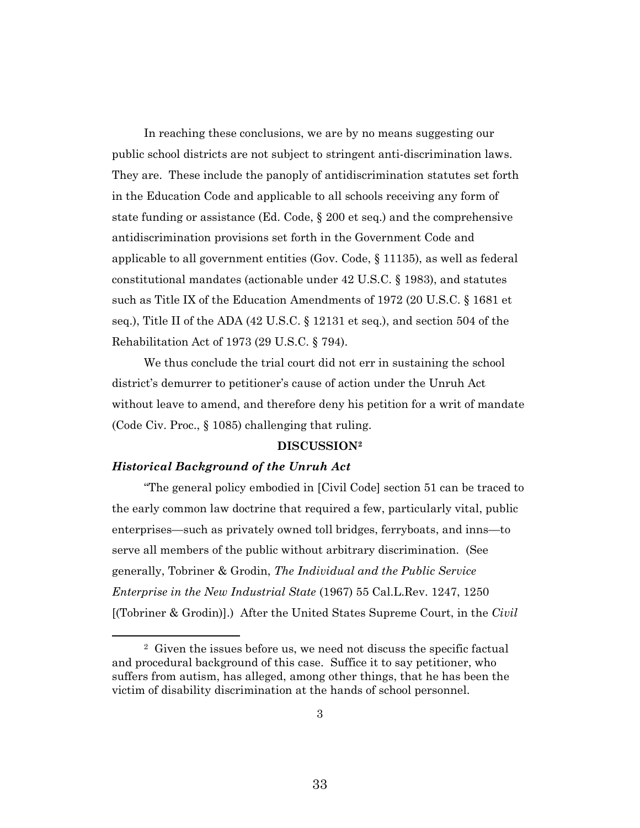In reaching these conclusions, we are by no means suggesting our public school districts are not subject to stringent anti-discrimination laws. They are. These include the panoply of antidiscrimination statutes set forth in the Education Code and applicable to all schools receiving any form of state funding or assistance (Ed. Code, § 200 et seq.) and the comprehensive antidiscrimination provisions set forth in the Government Code and applicable to all government entities (Gov. Code, § 11135), as well as federal constitutional mandates (actionable under 42 U.S.C. § 1983), and statutes such as Title IX of the Education Amendments of 1972 (20 U.S.C. § 1681 et seq.), Title II of the ADA (42 U.S.C. § 12131 et seq.), and section 504 of the Rehabilitation Act of 1973 (29 U.S.C. § 794).

We thus conclude the trial court did not err in sustaining the school district's demurrer to petitioner's cause of action under the Unruh Act without leave to amend, and therefore deny his petition for a writ of mandate (Code Civ. Proc., § 1085) challenging that ruling.

#### **DISCUSSION<sup>2</sup>**

#### *Historical Background of the Unruh Act*

"The general policy embodied in [Civil Code] section 51 can be traced to the early common law doctrine that required a few, particularly vital, public enterprises—such as privately owned toll bridges, ferryboats, and inns—to serve all members of the public without arbitrary discrimination. (See generally, Tobriner & Grodin, *The Individual and the Public Service Enterprise in the New Industrial State* (1967) 55 Cal.L.Rev. 1247, 1250 [(Tobriner & Grodin)].) After the United States Supreme Court, in the *Civil* 

<sup>2</sup> Given the issues before us, we need not discuss the specific factual and procedural background of this case. Suffice it to say petitioner, who suffers from autism, has alleged, among other things, that he has been the victim of disability discrimination at the hands of school personnel.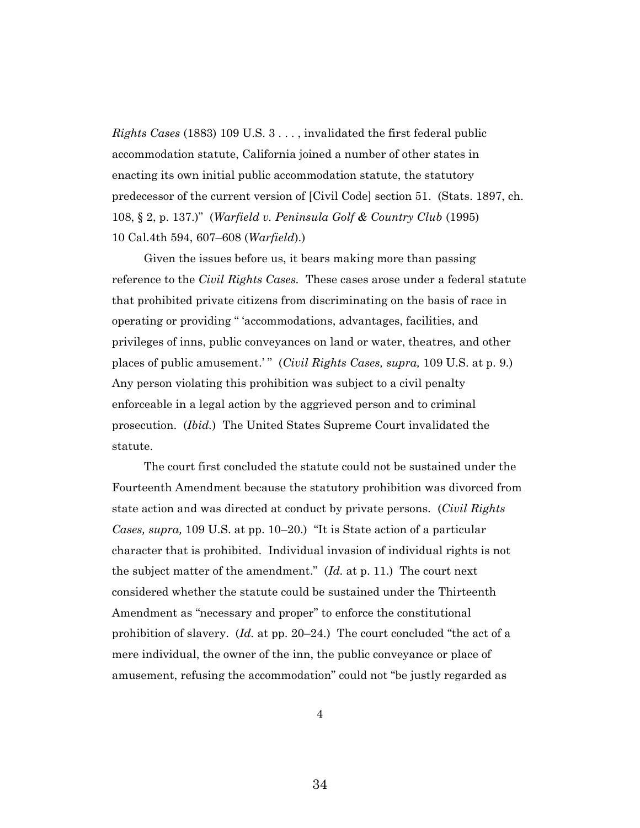*Rights Cases* (1883) 109 U.S. 3 . . . , invalidated the first federal public accommodation statute, California joined a number of other states in enacting its own initial public accommodation statute, the statutory predecessor of the current version of [Civil Code] section 51. (Stats. 1897, ch. 108, § 2, p. 137.)" (*Warfield v. Peninsula Golf & Country Club* (1995) 10 Cal.4th 594, 607–608 (*Warfield*).)

Given the issues before us, it bears making more than passing reference to the *Civil Rights Cases.* These cases arose under a federal statute that prohibited private citizens from discriminating on the basis of race in operating or providing " 'accommodations, advantages, facilities, and privileges of inns, public conveyances on land or water, theatres, and other places of public amusement.'" (*Civil Rights Cases, supra,* 109 U.S. at p. 9.) Any person violating this prohibition was subject to a civil penalty enforceable in a legal action by the aggrieved person and to criminal prosecution. (*Ibid.*) The United States Supreme Court invalidated the statute.

The court first concluded the statute could not be sustained under the Fourteenth Amendment because the statutory prohibition was divorced from state action and was directed at conduct by private persons. (*Civil Rights Cases, supra,* 109 U.S. at pp. 10–20.) "It is State action of a particular character that is prohibited. Individual invasion of individual rights is not the subject matter of the amendment." (*Id.* at p. 11.) The court next considered whether the statute could be sustained under the Thirteenth Amendment as "necessary and proper" to enforce the constitutional prohibition of slavery. (*Id.* at pp. 20–24.) The court concluded "the act of a mere individual, the owner of the inn, the public conveyance or place of amusement, refusing the accommodation" could not "be justly regarded as

4

34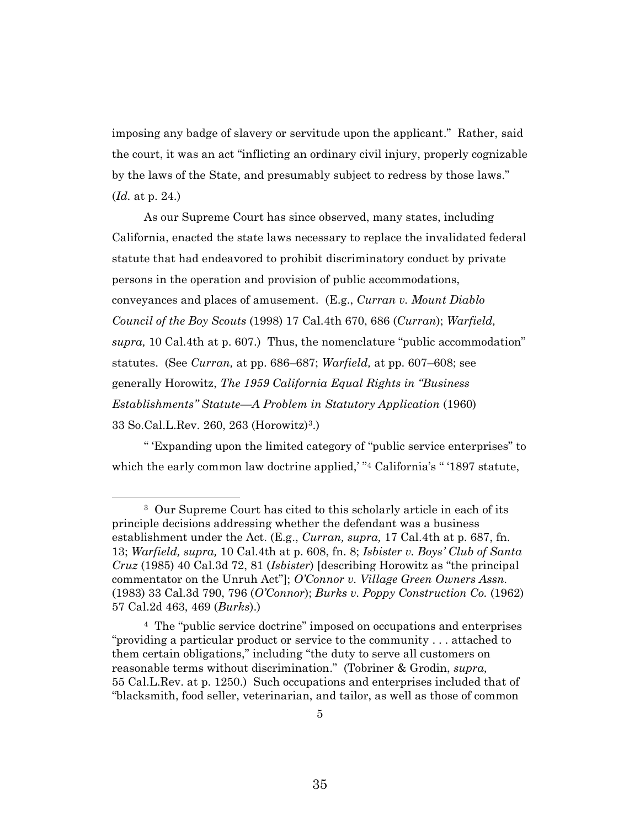imposing any badge of slavery or servitude upon the applicant." Rather, said the court, it was an act "inflicting an ordinary civil injury, properly cognizable by the laws of the State, and presumably subject to redress by those laws." (*Id.* at p. 24.)

As our Supreme Court has since observed, many states, including California, enacted the state laws necessary to replace the invalidated federal statute that had endeavored to prohibit discriminatory conduct by private persons in the operation and provision of public accommodations, conveyances and places of amusement. (E.g., *Curran v. Mount Diablo Council of the Boy Scouts* (1998) 17 Cal.4th 670, 686 (*Curran*); *Warfield, supra,* 10 Cal.4th at p. 607.) Thus, the nomenclature "public accommodation" statutes. (See *Curran,* at pp. 686–687; *Warfield,* at pp. 607–608; see generally Horowitz, *The 1959 California Equal Rights in "Business Establishments" Statute—A Problem in Statutory Application* (1960) 33 So.Cal.L.Rev. 260, 263 (Horowitz)<sup>3</sup> .)

" 'Expanding upon the limited category of "public service enterprises" to which the early common law doctrine applied, "<sup>4</sup> California's "'1897 statute,

<sup>3</sup> Our Supreme Court has cited to this scholarly article in each of its principle decisions addressing whether the defendant was a business establishment under the Act. (E.g., *Curran, supra,* 17 Cal.4th at p. 687, fn. 13; *Warfield, supra,* 10 Cal.4th at p. 608, fn. 8; *Isbister v. Boys' Club of Santa Cruz* (1985) 40 Cal.3d 72, 81 (*Isbister*) [describing Horowitz as "the principal commentator on the Unruh Act"]; *O'Connor v. Village Green Owners Assn.*  (1983) 33 Cal.3d 790, 796 (*O'Connor*); *Burks v. Poppy Construction Co.* (1962) 57 Cal.2d 463, 469 (*Burks*).)

<sup>4</sup> The "public service doctrine" imposed on occupations and enterprises "providing a particular product or service to the community . . . attached to them certain obligations," including "the duty to serve all customers on reasonable terms without discrimination." (Tobriner & Grodin, *supra,*  55 Cal.L.Rev. at p. 1250.) Such occupations and enterprises included that of "blacksmith, food seller, veterinarian, and tailor, as well as those of common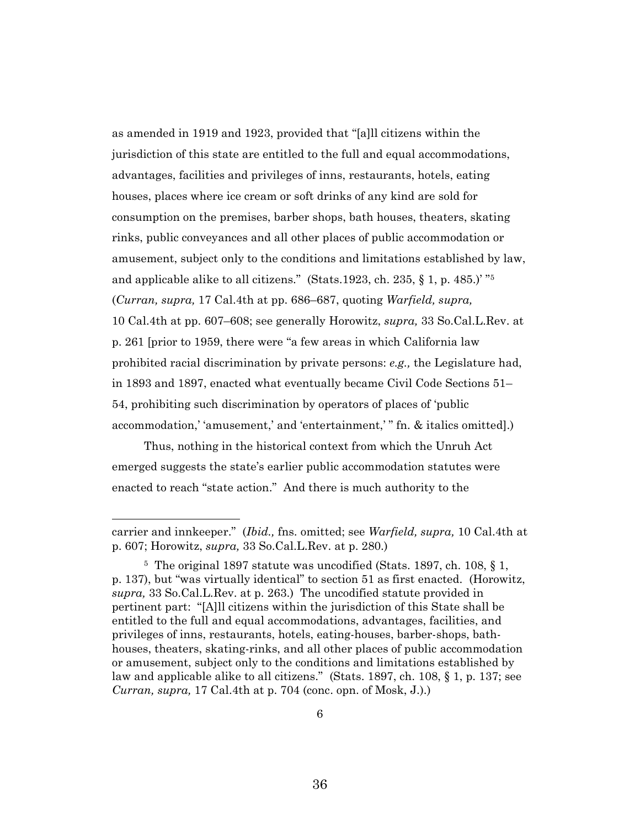as amended in 1919 and 1923, provided that "[a]ll citizens within the jurisdiction of this state are entitled to the full and equal accommodations, advantages, facilities and privileges of inns, restaurants, hotels, eating houses, places where ice cream or soft drinks of any kind are sold for consumption on the premises, barber shops, bath houses, theaters, skating rinks, public conveyances and all other places of public accommodation or amusement, subject only to the conditions and limitations established by law, and applicable alike to all citizens." (Stats.1923, ch. 235,  $\S$  1, p. 485.)' "<sup>5</sup> (*Curran, supra,* 17 Cal.4th at pp. 686–687, quoting *Warfield, supra,*  10 Cal.4th at pp. 607–608; see generally Horowitz, *supra,* 33 So.Cal.L.Rev. at p. 261 [prior to 1959, there were "a few areas in which California law prohibited racial discrimination by private persons: *e.g.,* the Legislature had, in 1893 and 1897, enacted what eventually became Civil Code Sections 51– 54, prohibiting such discrimination by operators of places of 'public accommodation,' 'amusement,' and 'entertainment,' " fn. & italics omitted].)

Thus, nothing in the historical context from which the Unruh Act emerged suggests the state's earlier public accommodation statutes were enacted to reach "state action." And there is much authority to the

carrier and innkeeper." (*Ibid.,* fns. omitted; see *Warfield, supra,* 10 Cal.4th at p. 607; Horowitz, *supra,* 33 So.Cal.L.Rev. at p. 280.)

<sup>5</sup> The original 1897 statute was uncodified (Stats. 1897, ch. 108, § 1, p. 137), but "was virtually identical" to section 51 as first enacted. (Horowitz, *supra,* 33 So.Cal.L.Rev. at p. 263.) The uncodified statute provided in pertinent part: "[A]ll citizens within the jurisdiction of this State shall be entitled to the full and equal accommodations, advantages, facilities, and privileges of inns, restaurants, hotels, eating-houses, barber-shops, bathhouses, theaters, skating-rinks, and all other places of public accommodation or amusement, subject only to the conditions and limitations established by law and applicable alike to all citizens." (Stats. 1897, ch. 108, § 1, p. 137; see *Curran, supra,* 17 Cal.4th at p. 704 (conc. opn. of Mosk, J.).)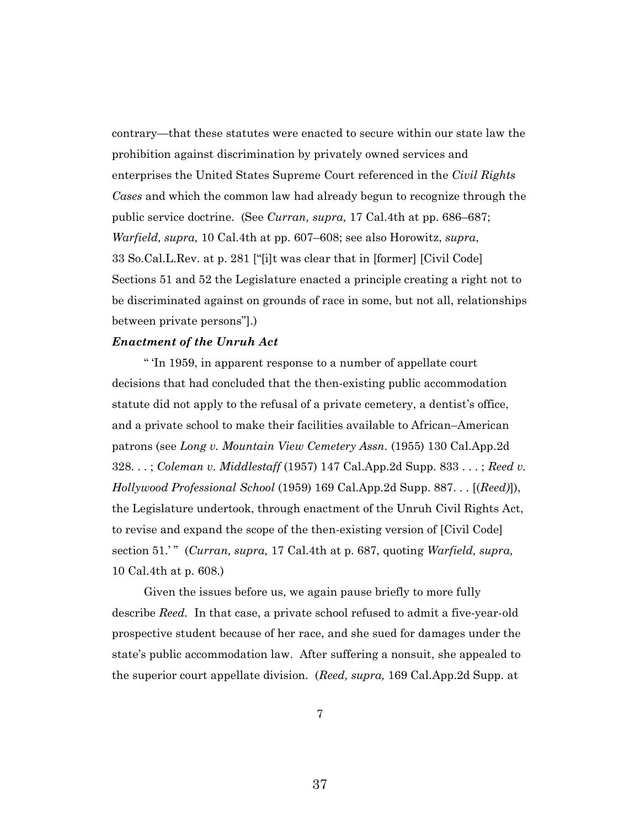contrary—that these statutes were enacted to secure within our state law the prohibition against discrimination by privately owned services and enterprises the United States Supreme Court referenced in the *Civil Rights Cases* and which the common law had already begun to recognize through the public service doctrine.(See *Curran, supra,* 17 Cal.4th at pp. 686–687; *Warfield, supra,* 10 Cal.4th at pp. 607–608; see also Horowitz, *supra*, 33 So.Cal.L.Rev. at p. 281 ["[i]t was clear that in [former] [Civil Code] Sections 51 and 52 the Legislature enacted a principle creating a right not to be discriminated against on grounds of race in some, but not all, relationships between private persons"].)

## *Enactment of the Unruh Act*

" 'In 1959, in apparent response to a number of appellate court decisions that had concluded that the then-existing public accommodation statute did not apply to the refusal of a private cemetery, a dentist's office, and a private school to make their facilities available to African–American patrons (see *Long v. Mountain View Cemetery Assn.* (1955) 130 Cal.App.2d 328. . . ; *Coleman v. Middlestaff* (1957) 147 Cal.App.2d Supp. 833 . . . ; *Reed v. Hollywood Professional School* (1959) 169 Cal.App.2d Supp. 887. . . [(*Reed)*]), the Legislature undertook, through enactment of the Unruh Civil Rights Act, to revise and expand the scope of the then-existing version of [Civil Code] section 51.' " (*Curran, supra,* 17 Cal.4th at p. 687, quoting *Warfield, supra,*  10 Cal.4th at p. 608.)

Given the issues before us, we again pause briefly to more fully describe *Reed.* In that case, a private school refused to admit a five-year-old prospective student because of her race, and she sued for damages under the state's public accommodation law. After suffering a nonsuit, she appealed to the superior court appellate division. (*Reed, supra,* 169 Cal.App.2d Supp. at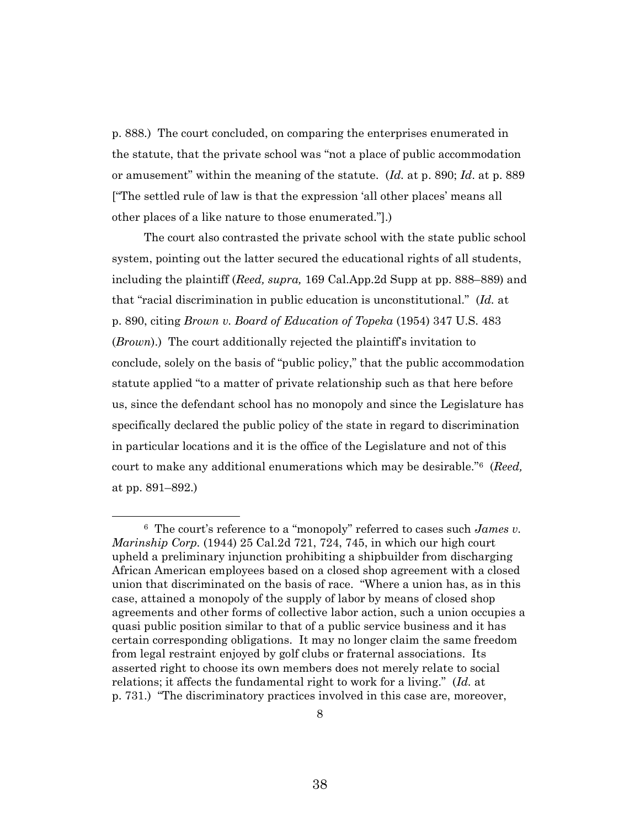p. 888.) The court concluded, on comparing the enterprises enumerated in the statute, that the private school was "not a place of public accommodation or amusement" within the meaning of the statute. (*Id.* at p. 890; *Id*. at p. 889 ["The settled rule of law is that the expression 'all other places' means all other places of a like nature to those enumerated."].)

The court also contrasted the private school with the state public school system, pointing out the latter secured the educational rights of all students, including the plaintiff (*Reed, supra,* 169 Cal.App.2d Supp at pp. 888–889) and that "racial discrimination in public education is unconstitutional." (*Id.* at p. 890, citing *Brown v. Board of Education of Topeka* (1954) 347 U.S. 483 (*Brown*).) The court additionally rejected the plaintiff's invitation to conclude, solely on the basis of "public policy," that the public accommodation statute applied "to a matter of private relationship such as that here before us, since the defendant school has no monopoly and since the Legislature has specifically declared the public policy of the state in regard to discrimination in particular locations and it is the office of the Legislature and not of this court to make any additional enumerations which may be desirable."<sup>6</sup> (*Reed,* at pp. 891–892.)

<sup>6</sup> The court's reference to a "monopoly" referred to cases such *James v. Marinship Corp.* (1944) 25 Cal.2d 721, 724, 745, in which our high court upheld a preliminary injunction prohibiting a shipbuilder from discharging African American employees based on a closed shop agreement with a closed union that discriminated on the basis of race. "Where a union has, as in this case, attained a monopoly of the supply of labor by means of closed shop agreements and other forms of collective labor action, such a union occupies a quasi public position similar to that of a public service business and it has certain corresponding obligations. It may no longer claim the same freedom from legal restraint enjoyed by golf clubs or fraternal associations. Its asserted right to choose its own members does not merely relate to social relations; it affects the fundamental right to work for a living." (*Id.* at p. 731.) "The discriminatory practices involved in this case are, moreover,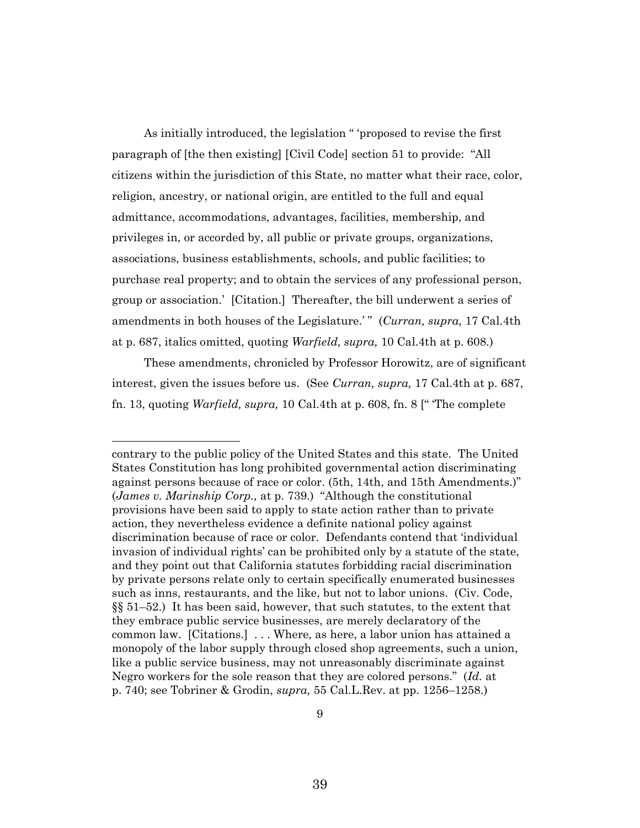As initially introduced, the legislation " 'proposed to revise the first paragraph of [the then existing] [Civil Code] section 51 to provide: "All citizens within the jurisdiction of this State, no matter what their race, color, religion, ancestry, or national origin, are entitled to the full and equal admittance, accommodations, advantages, facilities, membership, and privileges in, or accorded by, all public or private groups, organizations, associations, business establishments, schools, and public facilities; to purchase real property; and to obtain the services of any professional person, group or association.' [Citation.] Thereafter, the bill underwent a series of amendments in both houses of the Legislature.'" (*Curran, supra,* 17 Cal.4th at p. 687, italics omitted, quoting *Warfield, supra,* 10 Cal.4th at p. 608.)

These amendments, chronicled by Professor Horowitz, are of significant interest, given the issues before us. (See *Curran, supra,* 17 Cal.4th at p. 687, fn. 13, quoting *Warfield, supra,* 10 Cal.4th at p. 608, fn. 8 [" 'The complete

contrary to the public policy of the United States and this state. The United States Constitution has long prohibited governmental action discriminating against persons because of race or color. (5th, 14th, and 15th Amendments.)" (*James v. Marinship Corp.,* at p. 739.) "Although the constitutional provisions have been said to apply to state action rather than to private action, they nevertheless evidence a definite national policy against discrimination because of race or color. Defendants contend that 'individual invasion of individual rights' can be prohibited only by a statute of the state, and they point out that California statutes forbidding racial discrimination by private persons relate only to certain specifically enumerated businesses such as inns, restaurants, and the like, but not to labor unions. (Civ. Code, §§ 51–52.) It has been said, however, that such statutes, to the extent that they embrace public service businesses, are merely declaratory of the common law. [Citations.] . . . Where, as here, a labor union has attained a monopoly of the labor supply through closed shop agreements, such a union, like a public service business, may not unreasonably discriminate against Negro workers for the sole reason that they are colored persons." (*Id.* at p. 740; see Tobriner & Grodin, *supra,* 55 Cal.L.Rev. at pp. 1256–1258.)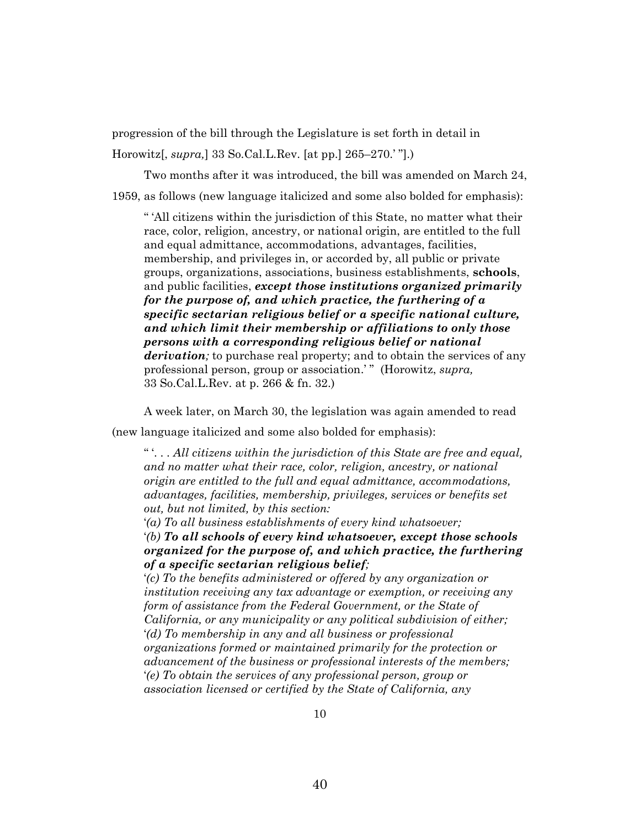progression of the bill through the Legislature is set forth in detail in

Horowitz[, *supra,*] 33 So.Cal.L.Rev. [at pp.] 265–270.' "].)

Two months after it was introduced, the bill was amended on March 24,

1959, as follows (new language italicized and some also bolded for emphasis):

" 'All citizens within the jurisdiction of this State, no matter what their race, color, religion, ancestry, or national origin, are entitled to the full and equal admittance, accommodations, advantages, facilities, membership, and privileges in, or accorded by, all public or private groups, organizations, associations, business establishments, **schools**, and public facilities, *except those institutions organized primarily for the purpose of, and which practice, the furthering of a specific sectarian religious belief or a specific national culture, and which limit their membership or affiliations to only those persons with a corresponding religious belief or national derivation*; to purchase real property; and to obtain the services of any professional person, group or association.' " (Horowitz, *supra,* 33 So.Cal.L.Rev. at p. 266 & fn. 32.)

A week later, on March 30, the legislation was again amended to read

(new language italicized and some also bolded for emphasis):

" '. . . *All citizens within the jurisdiction of this State are free and equal, and no matter what their race, color, religion, ancestry, or national origin are entitled to the full and equal admittance, accommodations, advantages, facilities, membership, privileges, services or benefits set out, but not limited, by this section:*

'*(a) To all business establishments of every kind whatsoever;*

'*(b) To all schools of every kind whatsoever, except those schools organized for the purpose of, and which practice, the furthering of a specific sectarian religious belief;*

'*(c) To the benefits administered or offered by any organization or institution receiving any tax advantage or exemption, or receiving any form of assistance from the Federal Government, or the State of California, or any municipality or any political subdivision of either;* '*(d) To membership in any and all business or professional organizations formed or maintained primarily for the protection or advancement of the business or professional interests of the members;* '*(e) To obtain the services of any professional person, group or association licensed or certified by the State of California, any*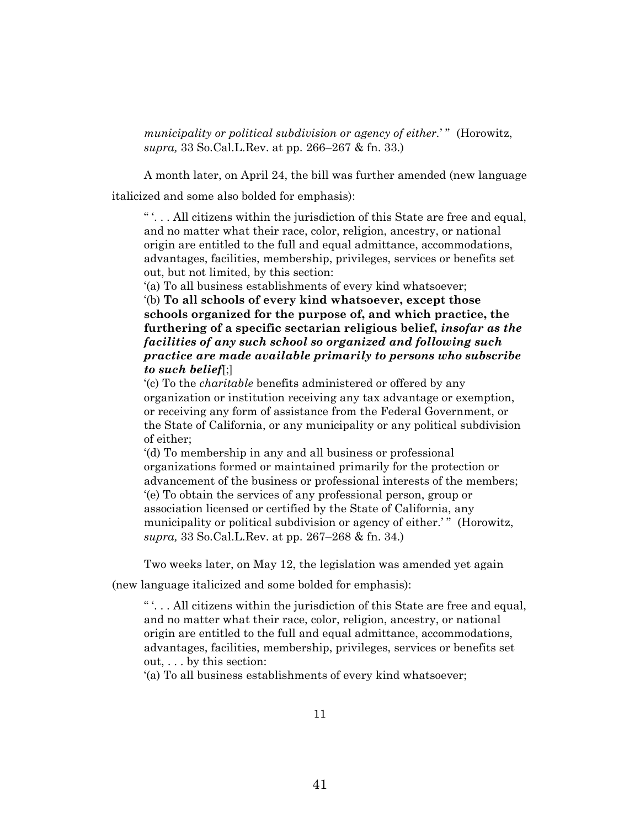*municipality or political subdivision or agency of either.*' " (Horowitz, *supra,* 33 So.Cal.L.Rev. at pp. 266–267 & fn. 33.)

A month later, on April 24, the bill was further amended (new language italicized and some also bolded for emphasis):

" '. . . All citizens within the jurisdiction of this State are free and equal, and no matter what their race, color, religion, ancestry, or national origin are entitled to the full and equal admittance, accommodations, advantages, facilities, membership, privileges, services or benefits set out, but not limited, by this section:

'(a) To all business establishments of every kind whatsoever;

'(b) **To all schools of every kind whatsoever, except those schools organized for the purpose of, and which practice, the furthering of a specific sectarian religious belief,** *insofar as the facilities of any such school so organized and following such practice are made available primarily to persons who subscribe to such belief*[;]

'(c) To the *charitable* benefits administered or offered by any organization or institution receiving any tax advantage or exemption, or receiving any form of assistance from the Federal Government, or the State of California, or any municipality or any political subdivision of either;

'(d) To membership in any and all business or professional organizations formed or maintained primarily for the protection or advancement of the business or professional interests of the members; '(e) To obtain the services of any professional person, group or association licensed or certified by the State of California, any municipality or political subdivision or agency of either.'" (Horowitz, *supra,* 33 So.Cal.L.Rev. at pp. 267–268 & fn. 34.)

Two weeks later, on May 12, the legislation was amended yet again

(new language italicized and some bolded for emphasis):

"... All citizens within the jurisdiction of this State are free and equal, and no matter what their race, color, religion, ancestry, or national origin are entitled to the full and equal admittance, accommodations, advantages, facilities, membership, privileges, services or benefits set out, . . . by this section:

'(a) To all business establishments of every kind whatsoever;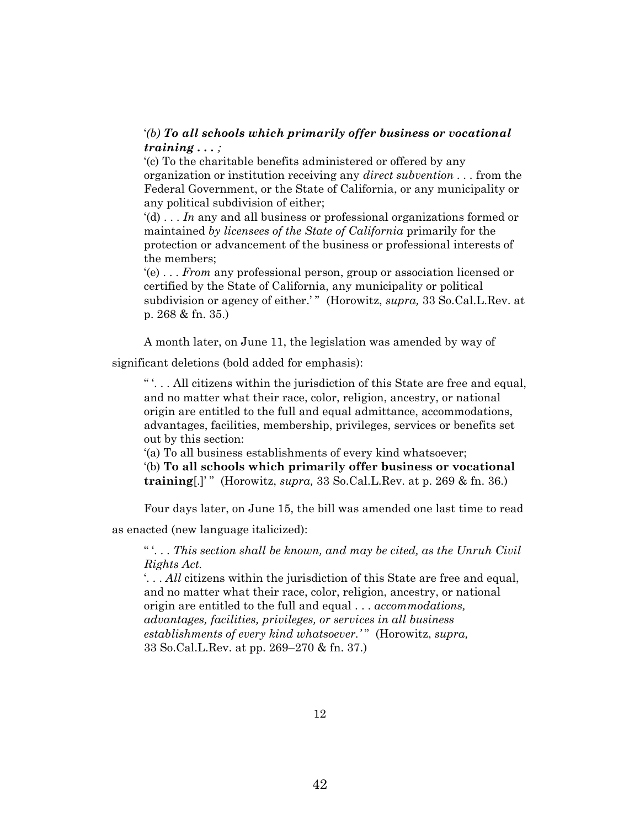## '*(b) To all schools which primarily offer business or vocational training . . . ;*

'(c) To the charitable benefits administered or offered by any organization or institution receiving any *direct subvention . . .* from the Federal Government, or the State of California, or any municipality or any political subdivision of either;

'(d) . . . *In* any and all business or professional organizations formed or maintained *by licensees of the State of California* primarily for the protection or advancement of the business or professional interests of the members;

'(e) . . . *From* any professional person, group or association licensed or certified by the State of California, any municipality or political subdivision or agency of either.'" (Horowitz, *supra*, 33 So.Cal.L.Rev. at p. 268 & fn. 35.)

A month later, on June 11, the legislation was amended by way of

significant deletions (bold added for emphasis):

" '. . . All citizens within the jurisdiction of this State are free and equal, and no matter what their race, color, religion, ancestry, or national origin are entitled to the full and equal admittance, accommodations, advantages, facilities, membership, privileges, services or benefits set out by this section:

'(a) To all business establishments of every kind whatsoever;

'(b) **To all schools which primarily offer business or vocational training**[.]' " (Horowitz, *supra,* 33 So.Cal.L.Rev. at p. 269 & fn. 36.)

Four days later, on June 15, the bill was amended one last time to read

as enacted (new language italicized):

" '. . . *This section shall be known, and may be cited, as the Unruh Civil Rights Act.*

'. . . *All* citizens within the jurisdiction of this State are free and equal, and no matter what their race, color, religion, ancestry, or national origin are entitled to the full and equal . . . *accommodations, advantages, facilities, privileges, or services in all business establishments of every kind whatsoever.'* " (Horowitz, *supra,* 33 So.Cal.L.Rev. at pp. 269–270 & fn. 37.)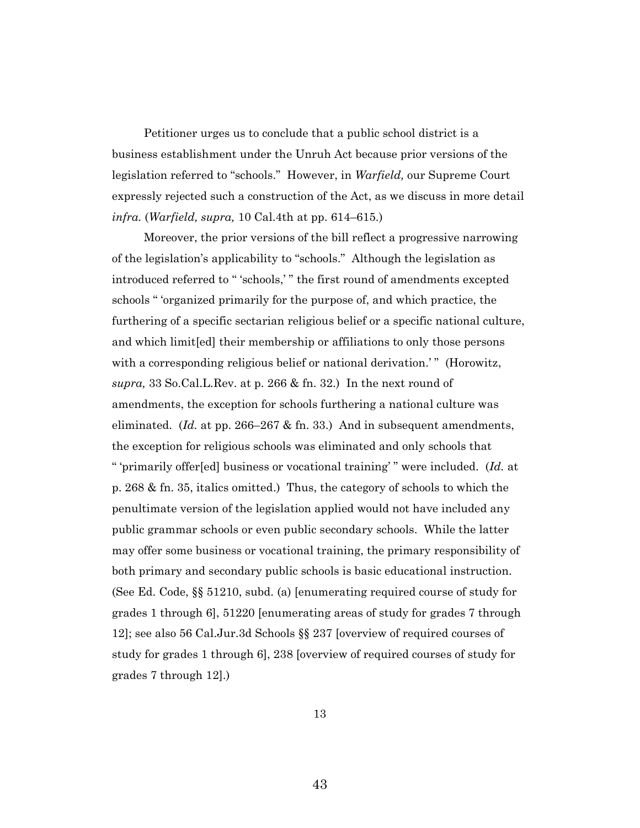Petitioner urges us to conclude that a public school district is a business establishment under the Unruh Act because prior versions of the legislation referred to "schools." However, in *Warfield,* our Supreme Court expressly rejected such a construction of the Act, as we discuss in more detail *infra.* (*Warfield, supra,* 10 Cal.4th at pp. 614–615.)

Moreover, the prior versions of the bill reflect a progressive narrowing of the legislation's applicability to "schools." Although the legislation as introduced referred to " 'schools,' " the first round of amendments excepted schools " 'organized primarily for the purpose of, and which practice, the furthering of a specific sectarian religious belief or a specific national culture, and which limit[ed] their membership or affiliations to only those persons with a corresponding religious belief or national derivation.'" (Horowitz, *supra,* 33 So.Cal.L.Rev. at p. 266 & fn. 32.) In the next round of amendments, the exception for schools furthering a national culture was eliminated. (*Id.* at pp. 266–267 & fn. 33.) And in subsequent amendments, the exception for religious schools was eliminated and only schools that

" 'primarily offer[ed] business or vocational training' " were included. (*Id.* at p. 268 & fn. 35, italics omitted.) Thus, the category of schools to which the penultimate version of the legislation applied would not have included any public grammar schools or even public secondary schools. While the latter may offer some business or vocational training, the primary responsibility of both primary and secondary public schools is basic educational instruction. (See Ed. Code, §§ 51210, subd. (a) [enumerating required course of study for grades 1 through 6], 51220 [enumerating areas of study for grades 7 through 12]; see also 56 Cal.Jur.3d Schools §§ 237 [overview of required courses of study for grades 1 through 6], 238 [overview of required courses of study for grades 7 through 12].)

13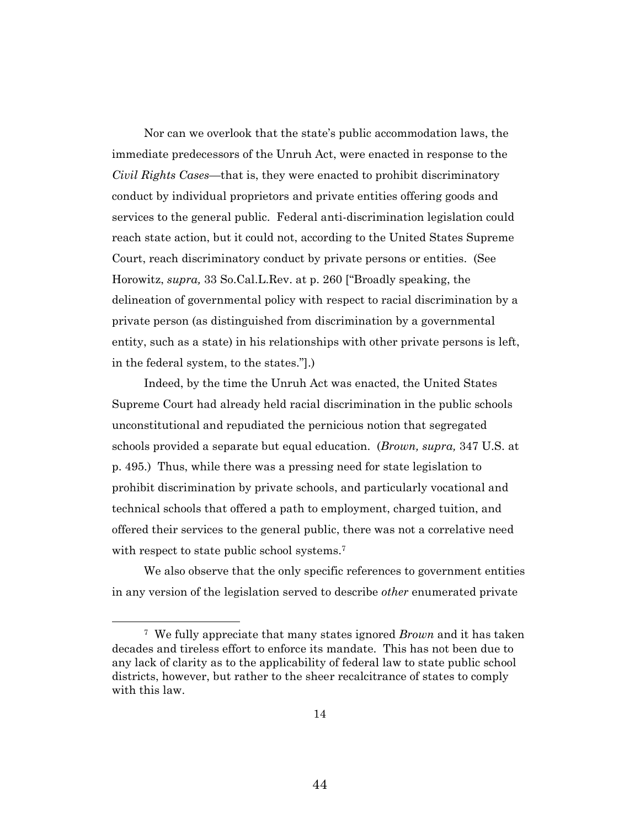Nor can we overlook that the state's public accommodation laws, the immediate predecessors of the Unruh Act, were enacted in response to the *Civil Rights Cases—*that is, they were enacted to prohibit discriminatory conduct by individual proprietors and private entities offering goods and services to the general public. Federal anti-discrimination legislation could reach state action, but it could not, according to the United States Supreme Court, reach discriminatory conduct by private persons or entities. (See Horowitz, *supra,* 33 So.Cal.L.Rev. at p. 260 ["Broadly speaking, the delineation of governmental policy with respect to racial discrimination by a private person (as distinguished from discrimination by a governmental entity, such as a state) in his relationships with other private persons is left, in the federal system, to the states."].)

Indeed, by the time the Unruh Act was enacted, the United States Supreme Court had already held racial discrimination in the public schools unconstitutional and repudiated the pernicious notion that segregated schools provided a separate but equal education. (*Brown, supra,* 347 U.S. at p. 495.) Thus, while there was a pressing need for state legislation to prohibit discrimination by private schools, and particularly vocational and technical schools that offered a path to employment, charged tuition, and offered their services to the general public, there was not a correlative need with respect to state public school systems.<sup>7</sup>

We also observe that the only specific references to government entities in any version of the legislation served to describe *other* enumerated private

<sup>7</sup> We fully appreciate that many states ignored *Brown* and it has taken decades and tireless effort to enforce its mandate. This has not been due to any lack of clarity as to the applicability of federal law to state public school districts, however, but rather to the sheer recalcitrance of states to comply with this law.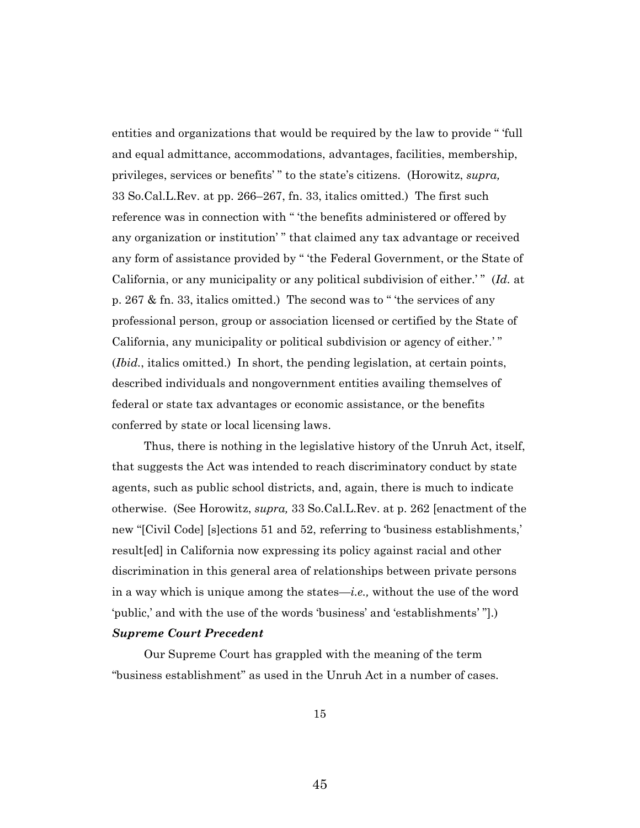entities and organizations that would be required by the law to provide " 'full and equal admittance, accommodations, advantages, facilities, membership, privileges, services or benefits' " to the state's citizens. (Horowitz, *supra,*  33 So.Cal.L.Rev. at pp. 266–267, fn. 33, italics omitted.) The first such reference was in connection with " 'the benefits administered or offered by any organization or institution' " that claimed any tax advantage or received any form of assistance provided by " 'the Federal Government, or the State of California, or any municipality or any political subdivision of either.' " (*Id.* at p. 267 & fn. 33, italics omitted.) The second was to " 'the services of any professional person, group or association licensed or certified by the State of California, any municipality or political subdivision or agency of either.' " (*Ibid.*, italics omitted.) In short, the pending legislation, at certain points, described individuals and nongovernment entities availing themselves of federal or state tax advantages or economic assistance, or the benefits conferred by state or local licensing laws.

Thus, there is nothing in the legislative history of the Unruh Act, itself, that suggests the Act was intended to reach discriminatory conduct by state agents, such as public school districts, and, again, there is much to indicate otherwise. (See Horowitz, *supra,* 33 So.Cal.L.Rev. at p. 262 [enactment of the new "[Civil Code] [s]ections 51 and 52, referring to 'business establishments,' result[ed] in California now expressing its policy against racial and other discrimination in this general area of relationships between private persons in a way which is unique among the states—*i.e.,* without the use of the word 'public,' and with the use of the words 'business' and 'establishments' "].) *Supreme Court Precedent*

Our Supreme Court has grappled with the meaning of the term "business establishment" as used in the Unruh Act in a number of cases.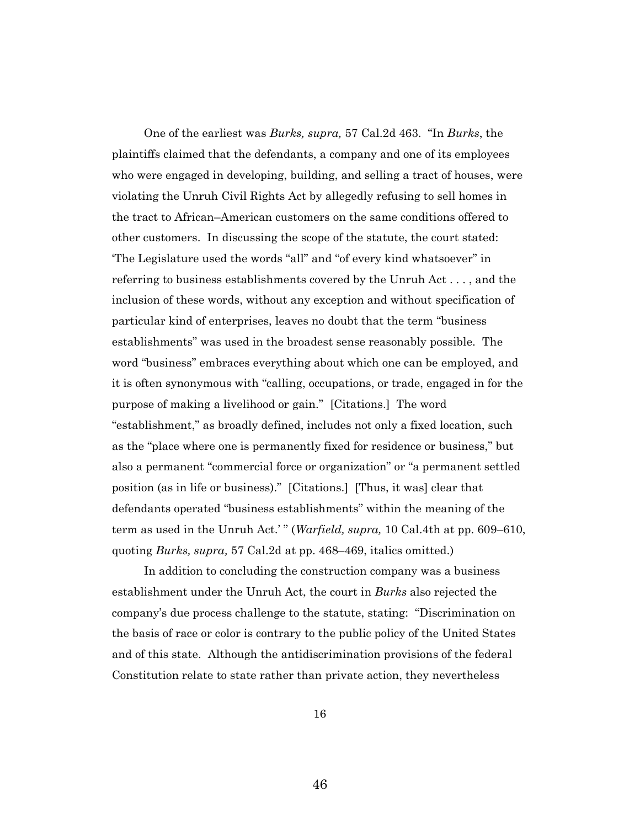One of the earliest was *Burks, supra,* 57 Cal.2d 463. "In *Burks*, the plaintiffs claimed that the defendants, a company and one of its employees who were engaged in developing, building, and selling a tract of houses, were violating the Unruh Civil Rights Act by allegedly refusing to sell homes in the tract to African–American customers on the same conditions offered to other customers. In discussing the scope of the statute, the court stated: 'The Legislature used the words "all" and "of every kind whatsoever" in referring to business establishments covered by the Unruh Act . . . , and the inclusion of these words, without any exception and without specification of particular kind of enterprises, leaves no doubt that the term "business establishments" was used in the broadest sense reasonably possible. The word "business" embraces everything about which one can be employed, and it is often synonymous with "calling, occupations, or trade, engaged in for the purpose of making a livelihood or gain." [Citations.] The word "establishment," as broadly defined, includes not only a fixed location, such as the "place where one is permanently fixed for residence or business," but also a permanent "commercial force or organization" or "a permanent settled position (as in life or business)." [Citations.] [Thus, it was] clear that defendants operated "business establishments" within the meaning of the term as used in the Unruh Act.' " (*Warfield, supra,* 10 Cal.4th at pp. 609–610, quoting *Burks, supra,* 57 Cal.2d at pp. 468–469, italics omitted.)

In addition to concluding the construction company was a business establishment under the Unruh Act, the court in *Burks* also rejected the company's due process challenge to the statute, stating: "Discrimination on the basis of race or color is contrary to the public policy of the United States and of this state. Although the antidiscrimination provisions of the federal Constitution relate to state rather than private action, they nevertheless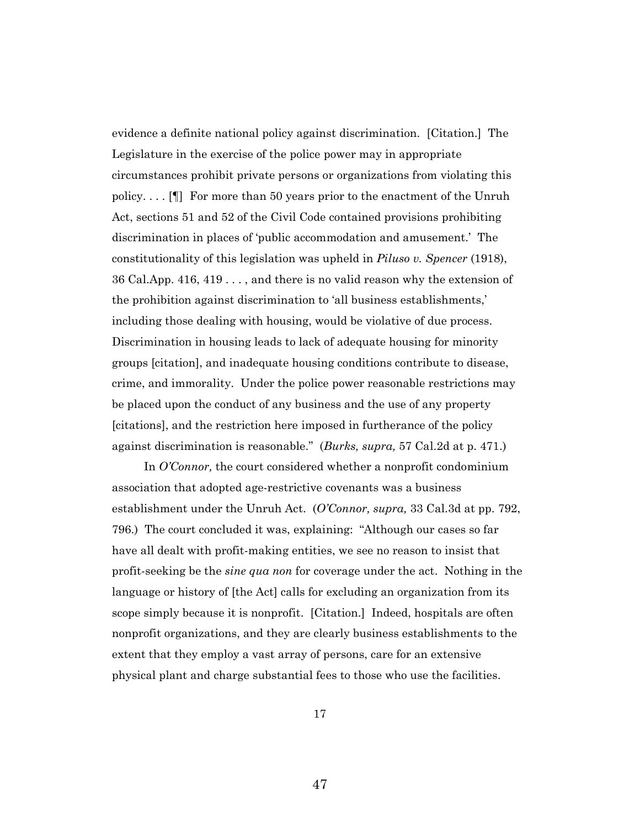evidence a definite national policy against discrimination. [Citation.] The Legislature in the exercise of the police power may in appropriate circumstances prohibit private persons or organizations from violating this policy. . . . [¶] For more than 50 years prior to the enactment of the Unruh Act, sections 51 and 52 of the Civil Code contained provisions prohibiting discrimination in places of 'public accommodation and amusement.' The constitutionality of this legislation was upheld in *Piluso v. Spencer* (1918), 36 Cal.App. 416, 419 . . . , and there is no valid reason why the extension of the prohibition against discrimination to 'all business establishments,' including those dealing with housing, would be violative of due process. Discrimination in housing leads to lack of adequate housing for minority groups [citation], and inadequate housing conditions contribute to disease, crime, and immorality. Under the police power reasonable restrictions may be placed upon the conduct of any business and the use of any property [citations], and the restriction here imposed in furtherance of the policy against discrimination is reasonable." (*Burks, supra,* 57 Cal.2d at p. 471.)

In *O'Connor,* the court considered whether a nonprofit condominium association that adopted age-restrictive covenants was a business establishment under the Unruh Act. (*O'Connor, supra,* 33 Cal.3d at pp. 792, 796.) The court concluded it was, explaining: "Although our cases so far have all dealt with profit-making entities, we see no reason to insist that profit-seeking be the *sine qua non* for coverage under the act. Nothing in the language or history of [the Act] calls for excluding an organization from its scope simply because it is nonprofit. [Citation.] Indeed, hospitals are often nonprofit organizations, and they are clearly business establishments to the extent that they employ a vast array of persons, care for an extensive physical plant and charge substantial fees to those who use the facilities.

17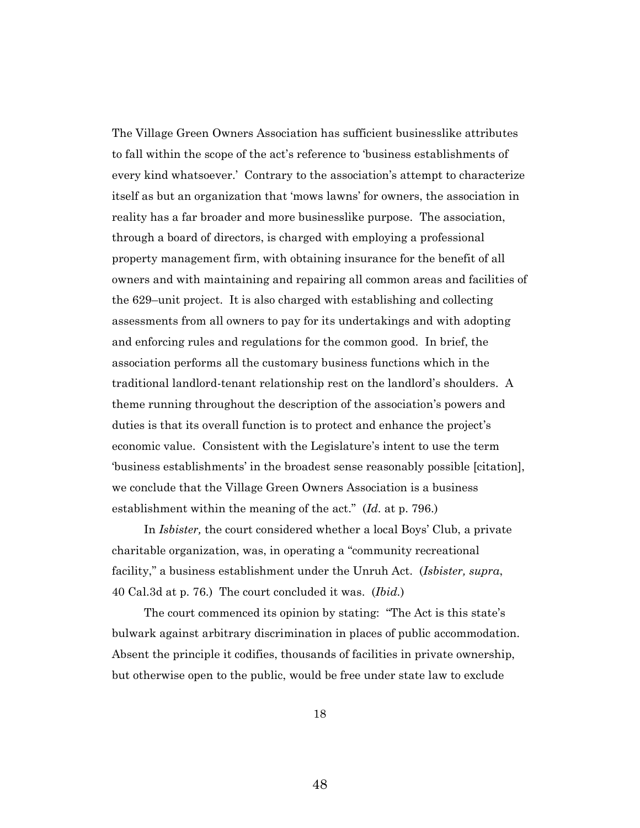The Village Green Owners Association has sufficient businesslike attributes to fall within the scope of the act's reference to 'business establishments of every kind whatsoever.' Contrary to the association's attempt to characterize itself as but an organization that 'mows lawns' for owners, the association in reality has a far broader and more businesslike purpose. The association, through a board of directors, is charged with employing a professional property management firm, with obtaining insurance for the benefit of all owners and with maintaining and repairing all common areas and facilities of the 629–unit project. It is also charged with establishing and collecting assessments from all owners to pay for its undertakings and with adopting and enforcing rules and regulations for the common good. In brief, the association performs all the customary business functions which in the traditional landlord-tenant relationship rest on the landlord's shoulders. A theme running throughout the description of the association's powers and duties is that its overall function is to protect and enhance the project's economic value. Consistent with the Legislature's intent to use the term 'business establishments' in the broadest sense reasonably possible [citation], we conclude that the Village Green Owners Association is a business establishment within the meaning of the act." (*Id.* at p. 796.)

In *Isbister,* the court considered whether a local Boys' Club, a private charitable organization, was, in operating a "community recreational facility," a business establishment under the Unruh Act. (*Isbister, supra*, 40 Cal.3d at p. 76.) The court concluded it was. (*Ibid.*)

The court commenced its opinion by stating: "The Act is this state's bulwark against arbitrary discrimination in places of public accommodation. Absent the principle it codifies, thousands of facilities in private ownership, but otherwise open to the public, would be free under state law to exclude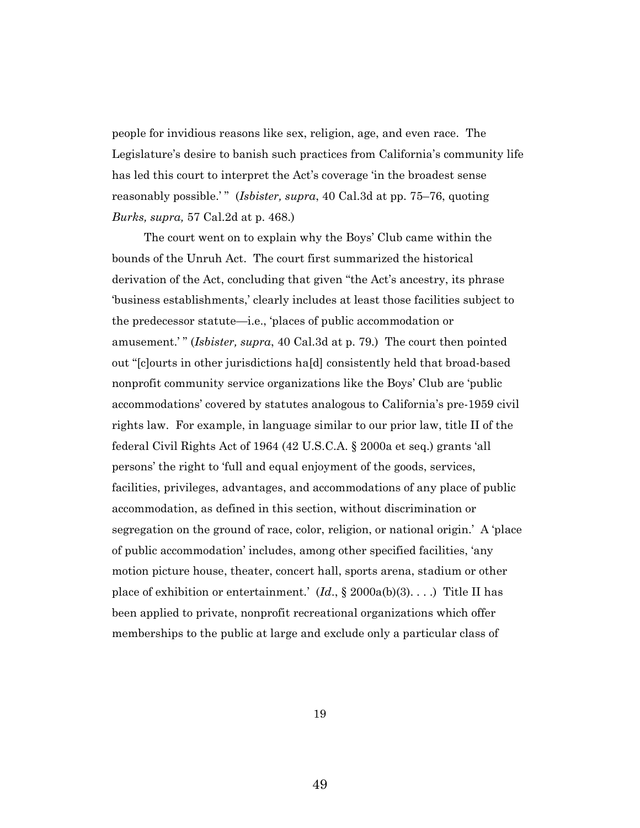people for invidious reasons like sex, religion, age, and even race. The Legislature's desire to banish such practices from California's community life has led this court to interpret the Act's coverage 'in the broadest sense reasonably possible.'" (*Isbister, supra,* 40 Cal.3d at pp. 75–76, quoting *Burks, supra,* 57 Cal.2d at p. 468.)

The court went on to explain why the Boys' Club came within the bounds of the Unruh Act. The court first summarized the historical derivation of the Act, concluding that given "the Act's ancestry, its phrase 'business establishments,' clearly includes at least those facilities subject to the predecessor statute—i.e., 'places of public accommodation or amusement.'" (*Isbister, supra,* 40 Cal.3d at p. 79.) The court then pointed out "[c]ourts in other jurisdictions ha[d] consistently held that broad-based nonprofit community service organizations like the Boys' Club are 'public accommodations' covered by statutes analogous to California's pre-1959 civil rights law. For example, in language similar to our prior law, title II of the federal Civil Rights Act of 1964 (42 U.S.C.A. § 2000a et seq.) grants 'all persons' the right to 'full and equal enjoyment of the goods, services, facilities, privileges, advantages, and accommodations of any place of public accommodation, as defined in this section, without discrimination or segregation on the ground of race, color, religion, or national origin.' A 'place of public accommodation' includes, among other specified facilities, 'any motion picture house, theater, concert hall, sports arena, stadium or other place of exhibition or entertainment*.*' (*Id*., § 2000a(b)(3). . . .) Title II has been applied to private, nonprofit recreational organizations which offer memberships to the public at large and exclude only a particular class of

19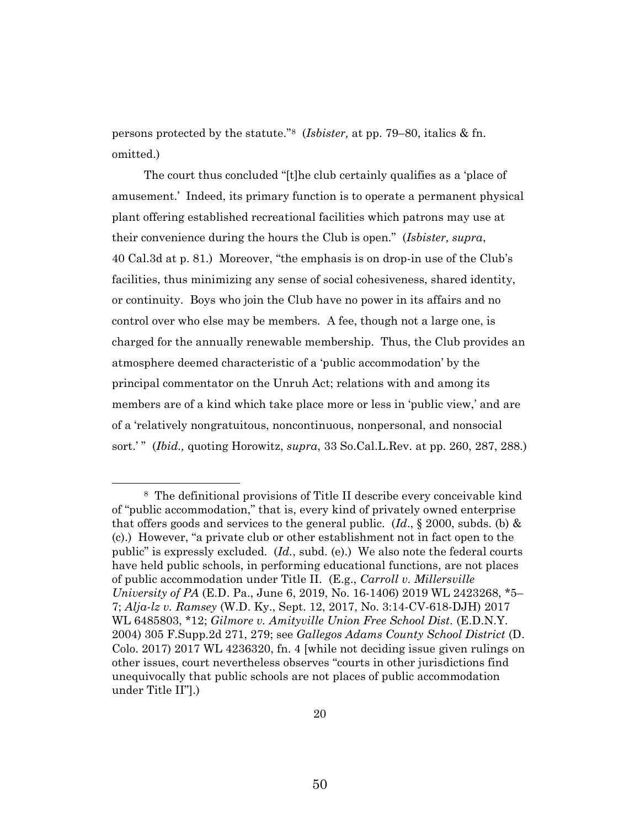persons protected by the statute."<sup>8</sup> (*Isbister,* at pp. 79–80, italics & fn. omitted.)

The court thus concluded "[t]he club certainly qualifies as a 'place of amusement.' Indeed, its primary function is to operate a permanent physical plant offering established recreational facilities which patrons may use at their convenience during the hours the Club is open." (*Isbister, supra*, 40 Cal.3d at p. 81.) Moreover, "the emphasis is on drop-in use of the Club's facilities, thus minimizing any sense of social cohesiveness, shared identity, or continuity. Boys who join the Club have no power in its affairs and no control over who else may be members. A fee, though not a large one, is charged for the annually renewable membership. Thus, the Club provides an atmosphere deemed characteristic of a 'public accommodation' by the principal commentator on the Unruh Act; relations with and among its members are of a kind which take place more or less in 'public view,' and are of a 'relatively nongratuitous, noncontinuous, nonpersonal, and nonsocial sort.' " (*Ibid.,* quoting Horowitz, *supra*, 33 So.Cal.L.Rev. at pp. 260, 287, 288.)

<sup>8</sup> The definitional provisions of Title II describe every conceivable kind of "public accommodation," that is, every kind of privately owned enterprise that offers goods and services to the general public. (*Id*., § 2000, subds. (b) & (c).) However, "a private club or other establishment not in fact open to the public" is expressly excluded. (*Id.*, subd. (e).) We also note the federal courts have held public schools, in performing educational functions, are not places of public accommodation under Title II. (E.g., *Carroll v. Millersville University of PA* (E.D. Pa., June 6, 2019, No. 16-1406) 2019 WL 2423268, \*5– 7; *Alja-lz v. Ramsey* (W.D. Ky., Sept. 12, 2017, No. 3:14-CV-618-DJH) 2017 WL 6485803, \*12; *Gilmore v. Amityville Union Free School Dist.* (E.D.N.Y. 2004) 305 F.Supp.2d 271, 279; see *Gallegos Adams County School District* (D. Colo. 2017) 2017 WL 4236320, fn. 4 [while not deciding issue given rulings on other issues, court nevertheless observes "courts in other jurisdictions find unequivocally that public schools are not places of public accommodation under Title II"].)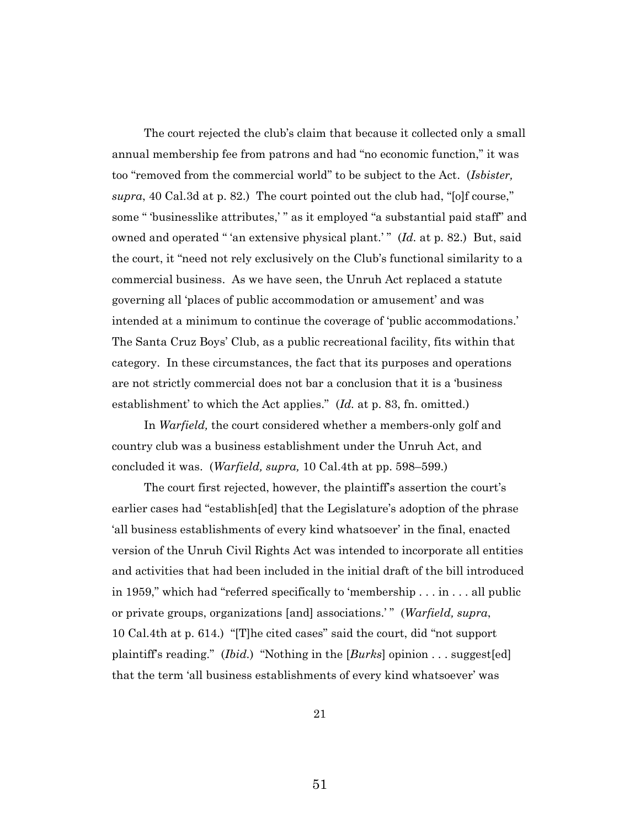The court rejected the club's claim that because it collected only a small annual membership fee from patrons and had "no economic function," it was too "removed from the commercial world" to be subject to the Act. (*Isbister, supra*, 40 Cal.3d at p. 82.) The court pointed out the club had, "[o]f course," some " 'businesslike attributes,' " as it employed "a substantial paid staff" and owned and operated " 'an extensive physical plant.' " (*Id.* at p. 82.) But, said the court, it "need not rely exclusively on the Club's functional similarity to a commercial business. As we have seen, the Unruh Act replaced a statute governing all 'places of public accommodation or amusement' and was intended at a minimum to continue the coverage of 'public accommodations.' The Santa Cruz Boys' Club, as a public recreational facility, fits within that category. In these circumstances, the fact that its purposes and operations are not strictly commercial does not bar a conclusion that it is a 'business establishment' to which the Act applies." (*Id.* at p. 83, fn. omitted.)

In *Warfield,* the court considered whether a members-only golf and country club was a business establishment under the Unruh Act, and concluded it was. (*Warfield, supra,* 10 Cal.4th at pp. 598–599.)

The court first rejected, however, the plaintiff's assertion the court's earlier cases had "establish[ed] that the Legislature's adoption of the phrase 'all business establishments of every kind whatsoever' in the final, enacted version of the Unruh Civil Rights Act was intended to incorporate all entities and activities that had been included in the initial draft of the bill introduced in 1959," which had "referred specifically to 'membership . . . in . . . all public or private groups, organizations [and] associations.' " (*Warfield, supra*, 10 Cal.4th at p. 614.)"[T]he cited cases" said the court, did "not support plaintiff's reading." (*Ibid.*) "Nothing in the [*Burks*] opinion . . . suggest[ed] that the term 'all business establishments of every kind whatsoever' was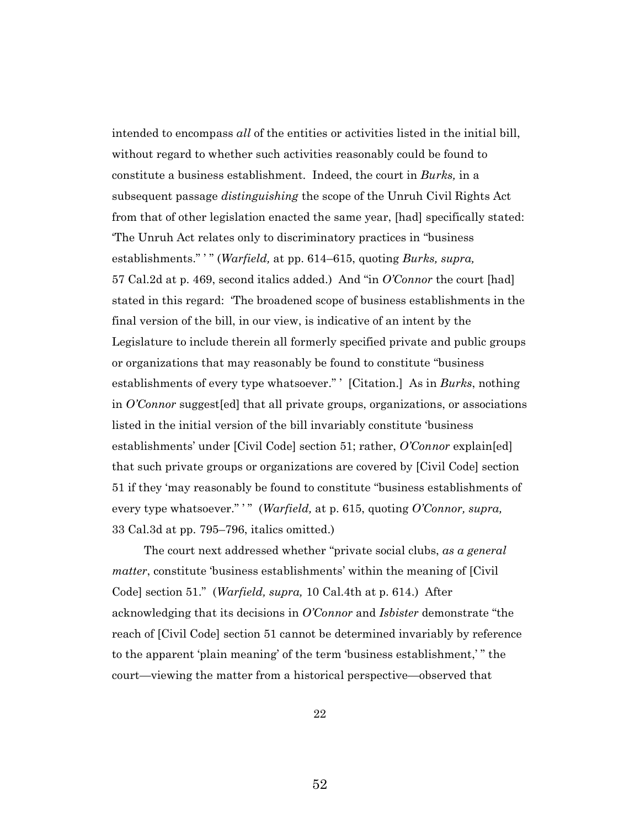intended to encompass *all* of the entities or activities listed in the initial bill, without regard to whether such activities reasonably could be found to constitute a business establishment. Indeed, the court in *Burks,* in a subsequent passage *distinguishing* the scope of the Unruh Civil Rights Act from that of other legislation enacted the same year, [had] specifically stated: 'The Unruh Act relates only to discriminatory practices in "business establishments." ' " (*Warfield,* at pp. 614–615, quoting *Burks, supra,*  57 Cal.2d at p. 469, second italics added.) And "in *O'Connor* the court [had] stated in this regard: 'The broadened scope of business establishments in the final version of the bill, in our view, is indicative of an intent by the Legislature to include therein all formerly specified private and public groups or organizations that may reasonably be found to constitute "business establishments of every type whatsoever." ' [Citation.] As in *Burks*, nothing in *O'Connor* suggest[ed] that all private groups, organizations, or associations listed in the initial version of the bill invariably constitute 'business establishments' under [Civil Code] section 51; rather, *O'Connor* explain[ed] that such private groups or organizations are covered by [Civil Code] section 51 if they 'may reasonably be found to constitute "business establishments of every type whatsoever." " (*Warfield*, at p. 615, quoting *O'Connor*, *supra*, 33 Cal.3d at pp. 795–796, italics omitted.)

The court next addressed whether "private social clubs, *as a general matter*, constitute 'business establishments' within the meaning of [Civil Code] section 51." (*Warfield, supra,* 10 Cal.4th at p. 614.) After acknowledging that its decisions in *O'Connor* and *Isbister* demonstrate "the reach of [Civil Code] section 51 cannot be determined invariably by reference to the apparent 'plain meaning' of the term 'business establishment,' " the court—viewing the matter from a historical perspective—observed that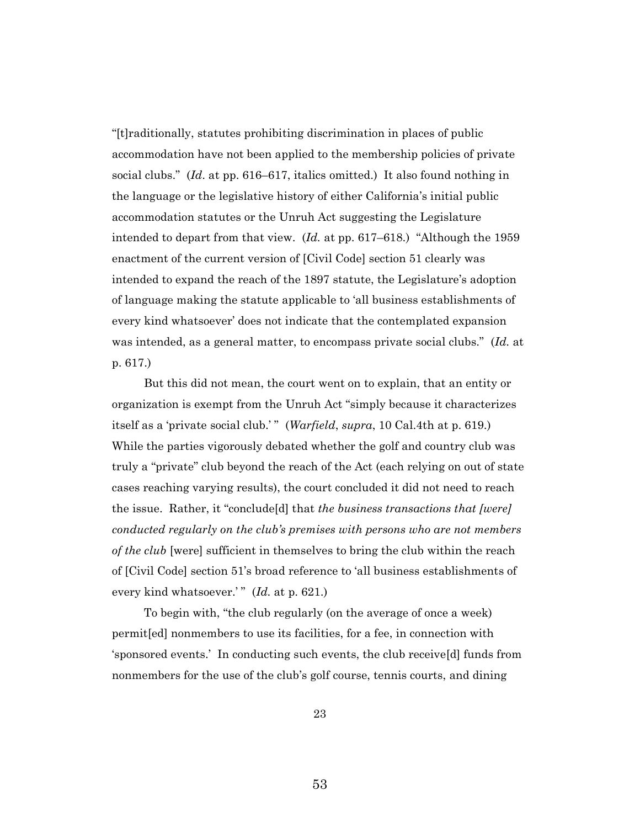"[t]raditionally, statutes prohibiting discrimination in places of public accommodation have not been applied to the membership policies of private social clubs." (*Id*. at pp. 616–617, italics omitted.) It also found nothing in the language or the legislative history of either California's initial public accommodation statutes or the Unruh Act suggesting the Legislature intended to depart from that view. (*Id.* at pp. 617–618.) "Although the 1959 enactment of the current version of [Civil Code] section 51 clearly was intended to expand the reach of the 1897 statute, the Legislature's adoption of language making the statute applicable to 'all business establishments of every kind whatsoever' does not indicate that the contemplated expansion was intended, as a general matter, to encompass private social clubs." (*Id.* at p. 617.)

But this did not mean, the court went on to explain, that an entity or organization is exempt from the Unruh Act "simply because it characterizes itself as a 'private social club.'" (*Warfield*, *supra*, 10 Cal.4th at p. 619.) While the parties vigorously debated whether the golf and country club was truly a "private" club beyond the reach of the Act (each relying on out of state cases reaching varying results), the court concluded it did not need to reach the issue. Rather, it "conclude[d] that *the business transactions that [were] conducted regularly on the club's premises with persons who are not members of the club* [were] sufficient in themselves to bring the club within the reach of [Civil Code] section 51's broad reference to 'all business establishments of every kind whatsoever.'" (*Id.* at p. 621.)

To begin with, "the club regularly (on the average of once a week) permit[ed] nonmembers to use its facilities, for a fee, in connection with 'sponsored events.' In conducting such events, the club receive[d] funds from nonmembers for the use of the club's golf course, tennis courts, and dining

23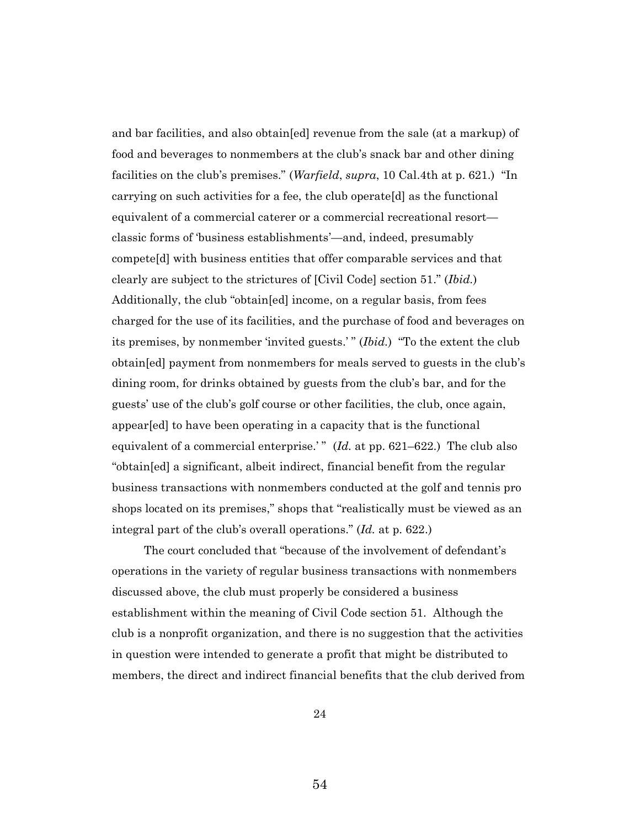and bar facilities, and also obtain[ed] revenue from the sale (at a markup) of food and beverages to nonmembers at the club's snack bar and other dining facilities on the club's premises." (*Warfield*, *supra*, 10 Cal.4th at p. 621.) "In carrying on such activities for a fee, the club operate[d] as the functional equivalent of a commercial caterer or a commercial recreational resort classic forms of 'business establishments'—and, indeed, presumably compete[d] with business entities that offer comparable services and that clearly are subject to the strictures of [Civil Code] section 51." (*Ibid.*) Additionally, the club "obtain[ed] income, on a regular basis, from fees charged for the use of its facilities, and the purchase of food and beverages on its premises, by nonmember 'invited guests.' " (*Ibid.*) "To the extent the club obtain[ed] payment from nonmembers for meals served to guests in the club's dining room, for drinks obtained by guests from the club's bar, and for the guests' use of the club's golf course or other facilities, the club, once again, appear[ed] to have been operating in a capacity that is the functional equivalent of a commercial enterprise.'" (*Id.* at pp. 621–622.) The club also "obtain[ed] a significant, albeit indirect, financial benefit from the regular business transactions with nonmembers conducted at the golf and tennis pro shops located on its premises," shops that "realistically must be viewed as an integral part of the club's overall operations." (*Id.* at p. 622.)

The court concluded that "because of the involvement of defendant's operations in the variety of regular business transactions with nonmembers discussed above, the club must properly be considered a business establishment within the meaning of Civil Code section 51. Although the club is a nonprofit organization, and there is no suggestion that the activities in question were intended to generate a profit that might be distributed to members, the direct and indirect financial benefits that the club derived from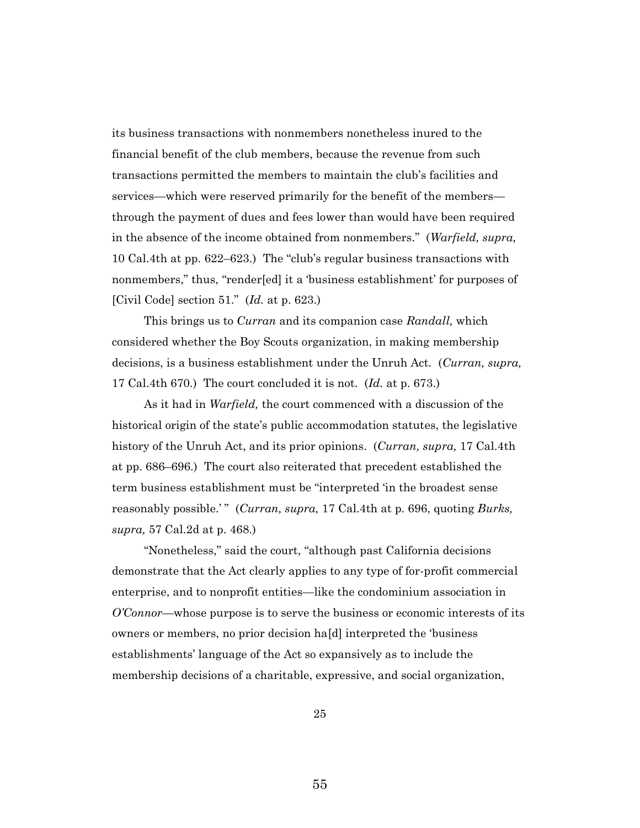its business transactions with nonmembers nonetheless inured to the financial benefit of the club members, because the revenue from such transactions permitted the members to maintain the club's facilities and services—which were reserved primarily for the benefit of the members through the payment of dues and fees lower than would have been required in the absence of the income obtained from nonmembers." (*Warfield, supra,*  10 Cal.4th at pp. 622–623.) The "club's regular business transactions with nonmembers," thus, "render[ed] it a 'business establishment' for purposes of [Civil Code] section 51." (*Id.* at p. 623.)

This brings us to *Curran* and its companion case *Randall,* which considered whether the Boy Scouts organization, in making membership decisions, is a business establishment under the Unruh Act. (*Curran, supra,*  17 Cal.4th 670.) The court concluded it is not. (*Id.* at p. 673.)

As it had in *Warfield,* the court commenced with a discussion of the historical origin of the state's public accommodation statutes, the legislative history of the Unruh Act, and its prior opinions. (*Curran, supra,* 17 Cal.4th at pp. 686–696.) The court also reiterated that precedent established the term business establishment must be "interpreted 'in the broadest sense reasonably possible.'" (*Curran, supra, 17 Cal.4th at p. 696, quoting Burks, supra,* 57 Cal.2d at p. 468.)

"Nonetheless," said the court, "although past California decisions demonstrate that the Act clearly applies to any type of for-profit commercial enterprise, and to nonprofit entities—like the condominium association in *O'Connor*—whose purpose is to serve the business or economic interests of its owners or members, no prior decision ha[d] interpreted the 'business establishments' language of the Act so expansively as to include the membership decisions of a charitable, expressive, and social organization,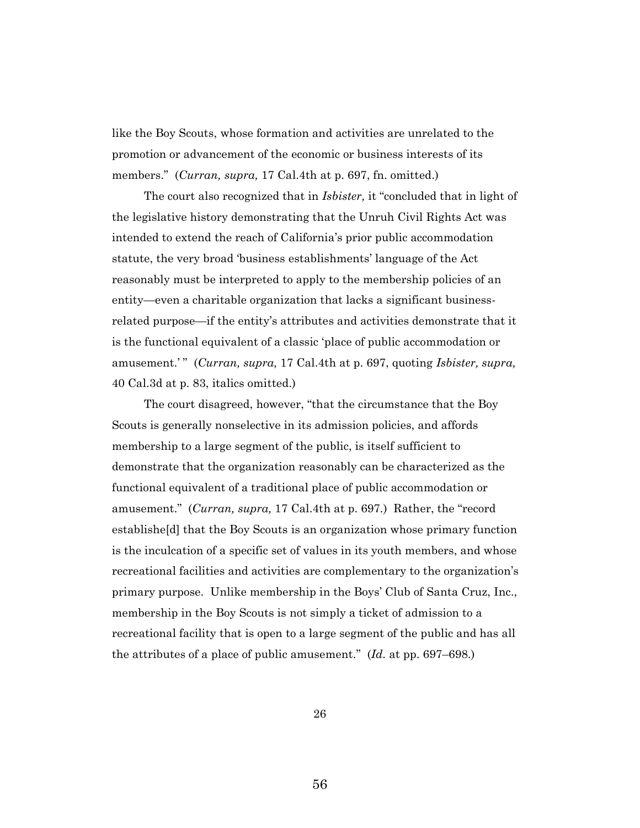like the Boy Scouts, whose formation and activities are unrelated to the promotion or advancement of the economic or business interests of its members." (*Curran, supra,* 17 Cal.4th at p. 697, fn. omitted.)

The court also recognized that in *Isbister,* it "concluded that in light of the legislative history demonstrating that the Unruh Civil Rights Act was intended to extend the reach of California's prior public accommodation statute, the very broad 'business establishments' language of the Act reasonably must be interpreted to apply to the membership policies of an entity—even a charitable organization that lacks a significant businessrelated purpose—if the entity's attributes and activities demonstrate that it is the functional equivalent of a classic 'place of public accommodation or amusement.'" (*Curran, supra,* 17 Cal.4th at p. 697, quoting *Isbister, supra,* 40 Cal.3d at p. 83, italics omitted.)

The court disagreed, however, "that the circumstance that the Boy Scouts is generally nonselective in its admission policies, and affords membership to a large segment of the public, is itself sufficient to demonstrate that the organization reasonably can be characterized as the functional equivalent of a traditional place of public accommodation or amusement." (*Curran, supra,* 17 Cal.4th at p. 697*.*) Rather, the "record establishe[d] that the Boy Scouts is an organization whose primary function is the inculcation of a specific set of values in its youth members, and whose recreational facilities and activities are complementary to the organization's primary purpose. Unlike membership in the Boys' Club of Santa Cruz, Inc., membership in the Boy Scouts is not simply a ticket of admission to a recreational facility that is open to a large segment of the public and has all the attributes of a place of public amusement." (*Id.* at pp. 697–698.)

26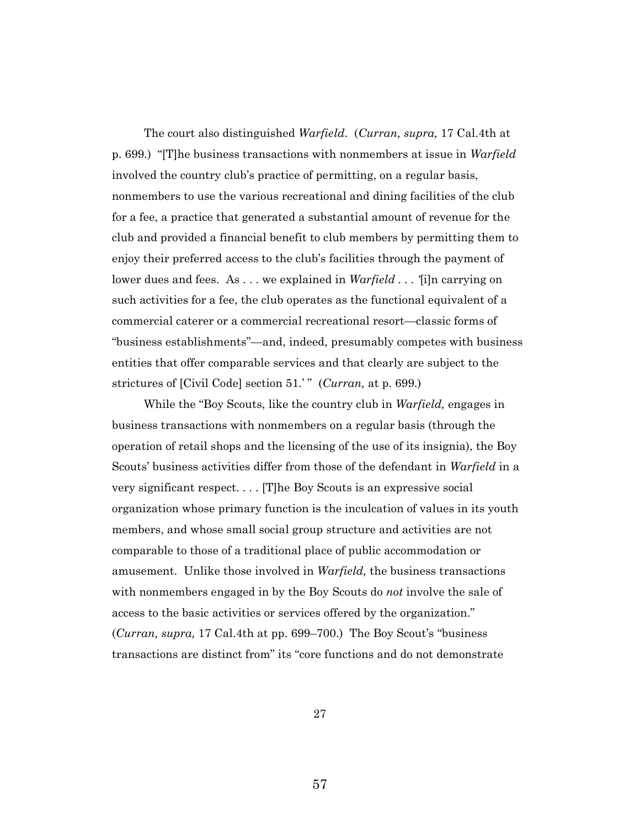The court also distinguished *Warfield*. (*Curran, supra,* 17 Cal.4th at p. 699.) "[T]he business transactions with nonmembers at issue in *Warfield* involved the country club's practice of permitting, on a regular basis, nonmembers to use the various recreational and dining facilities of the club for a fee, a practice that generated a substantial amount of revenue for the club and provided a financial benefit to club members by permitting them to enjoy their preferred access to the club's facilities through the payment of lower dues and fees. As . . . we explained in *Warfield . . . '*[i]n carrying on such activities for a fee, the club operates as the functional equivalent of a commercial caterer or a commercial recreational resort—classic forms of "business establishments"—and, indeed, presumably competes with business entities that offer comparable services and that clearly are subject to the strictures of [Civil Code] section 51.' " (*Curran,* at p. 699.)

While the "Boy Scouts, like the country club in *Warfield,* engages in business transactions with nonmembers on a regular basis (through the operation of retail shops and the licensing of the use of its insignia), the Boy Scouts' business activities differ from those of the defendant in *Warfield* in a very significant respect. . . . [T]he Boy Scouts is an expressive social organization whose primary function is the inculcation of values in its youth members, and whose small social group structure and activities are not comparable to those of a traditional place of public accommodation or amusement. Unlike those involved in *Warfield,* the business transactions with nonmembers engaged in by the Boy Scouts do *not* involve the sale of access to the basic activities or services offered by the organization." (*Curran, supra,* 17 Cal.4th at pp. 699–700.) The Boy Scout's "business transactions are distinct from" its "core functions and do not demonstrate

27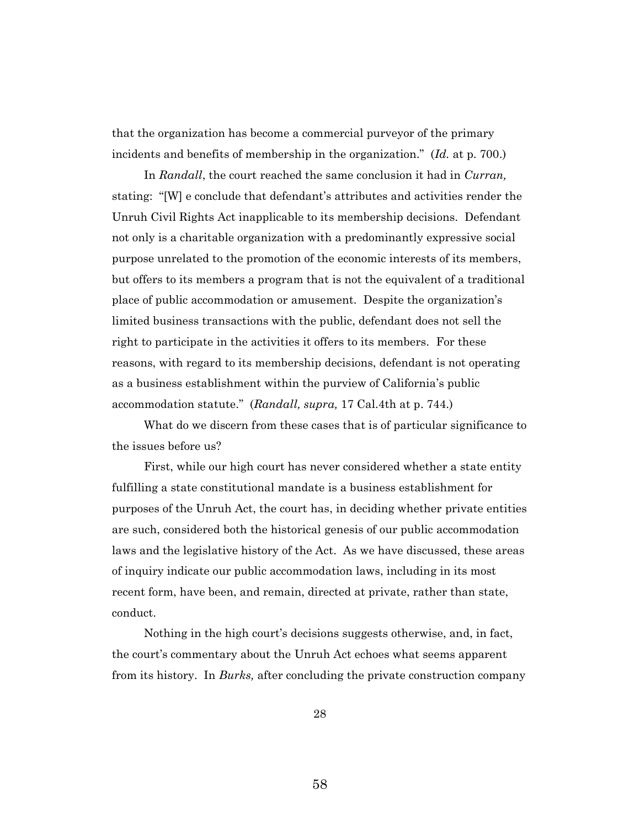that the organization has become a commercial purveyor of the primary incidents and benefits of membership in the organization." (*Id.* at p. 700.)

In *Randall*, the court reached the same conclusion it had in *Curran,*  stating: "[W] e conclude that defendant's attributes and activities render the Unruh Civil Rights Act inapplicable to its membership decisions. Defendant not only is a charitable organization with a predominantly expressive social purpose unrelated to the promotion of the economic interests of its members, but offers to its members a program that is not the equivalent of a traditional place of public accommodation or amusement. Despite the organization's limited business transactions with the public, defendant does not sell the right to participate in the activities it offers to its members. For these reasons, with regard to its membership decisions, defendant is not operating as a business establishment within the purview of California's public accommodation statute." (*Randall, supra,* 17 Cal.4th at p. 744.)

What do we discern from these cases that is of particular significance to the issues before us?

First, while our high court has never considered whether a state entity fulfilling a state constitutional mandate is a business establishment for purposes of the Unruh Act, the court has, in deciding whether private entities are such, considered both the historical genesis of our public accommodation laws and the legislative history of the Act. As we have discussed, these areas of inquiry indicate our public accommodation laws, including in its most recent form, have been, and remain, directed at private, rather than state, conduct.

Nothing in the high court's decisions suggests otherwise, and, in fact, the court's commentary about the Unruh Act echoes what seems apparent from its history. In *Burks,* after concluding the private construction company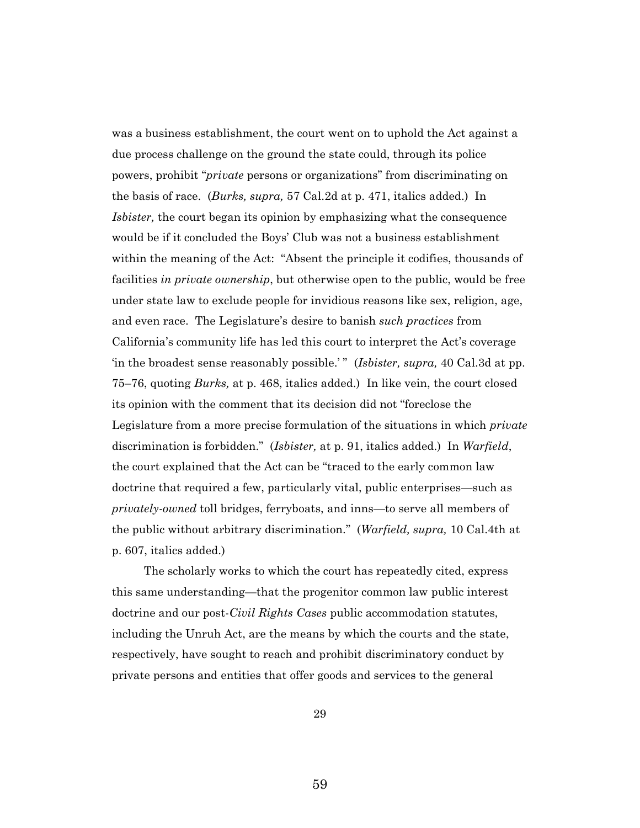was a business establishment, the court went on to uphold the Act against a due process challenge on the ground the state could, through its police powers, prohibit "*private* persons or organizations" from discriminating on the basis of race. (*Burks, supra,* 57 Cal.2d at p. 471, italics added.) In *Isbister,* the court began its opinion by emphasizing what the consequence would be if it concluded the Boys' Club was not a business establishment within the meaning of the Act: "Absent the principle it codifies, thousands of facilities *in private ownership*, but otherwise open to the public, would be free under state law to exclude people for invidious reasons like sex, religion, age, and even race. The Legislature's desire to banish *such practices* from California's community life has led this court to interpret the Act's coverage 'in the broadest sense reasonably possible.'" (*Isbister, supra,* 40 Cal.3d at pp. 75–76, quoting *Burks,* at p. 468, italics added.) In like vein, the court closed its opinion with the comment that its decision did not "foreclose the Legislature from a more precise formulation of the situations in which *private*  discrimination is forbidden." (*Isbister,* at p. 91, italics added.) In *Warfield*, the court explained that the Act can be "traced to the early common law doctrine that required a few, particularly vital, public enterprises—such as *privately-owned* toll bridges, ferryboats, and inns—to serve all members of the public without arbitrary discrimination." (*Warfield, supra,* 10 Cal.4th at p. 607, italics added.)

The scholarly works to which the court has repeatedly cited, express this same understanding—that the progenitor common law public interest doctrine and our post-*Civil Rights Cases* public accommodation statutes, including the Unruh Act, are the means by which the courts and the state, respectively, have sought to reach and prohibit discriminatory conduct by private persons and entities that offer goods and services to the general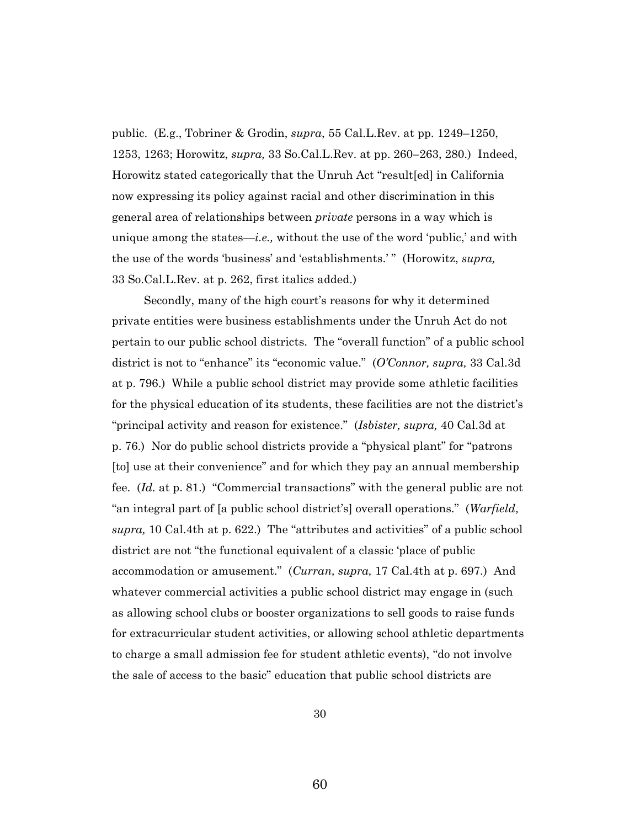public. (E.g., Tobriner & Grodin, *supra*, 55 Cal.L.Rev. at pp. 1249–1250, 1253, 1263; Horowitz, *supra,* 33 So.Cal.L.Rev. at pp. 260–263, 280.) Indeed, Horowitz stated categorically that the Unruh Act "result[ed] in California now expressing its policy against racial and other discrimination in this general area of relationships between *private* persons in a way which is unique among the states—*i.e.,* without the use of the word 'public,' and with the use of the words 'business' and 'establishments.' " (Horowitz, *supra,* 33 So.Cal.L.Rev. at p. 262, first italics added.)

Secondly, many of the high court's reasons for why it determined private entities were business establishments under the Unruh Act do not pertain to our public school districts. The "overall function" of a public school district is not to "enhance" its "economic value." (*O'Connor, supra,* 33 Cal.3d at p. 796.) While a public school district may provide some athletic facilities for the physical education of its students, these facilities are not the district's "principal activity and reason for existence." (*Isbister, supra,* 40 Cal.3d at p. 76.) Nor do public school districts provide a "physical plant" for "patrons [to] use at their convenience" and for which they pay an annual membership fee. (*Id.* at p. 81.) "Commercial transactions" with the general public are not "an integral part of [a public school district's] overall operations." (*Warfield, supra,* 10 Cal.4th at p. 622.) The "attributes and activities" of a public school district are not "the functional equivalent of a classic 'place of public accommodation or amusement." (*Curran, supra,* 17 Cal.4th at p. 697.) And whatever commercial activities a public school district may engage in (such as allowing school clubs or booster organizations to sell goods to raise funds for extracurricular student activities, or allowing school athletic departments to charge a small admission fee for student athletic events), "do not involve the sale of access to the basic" education that public school districts are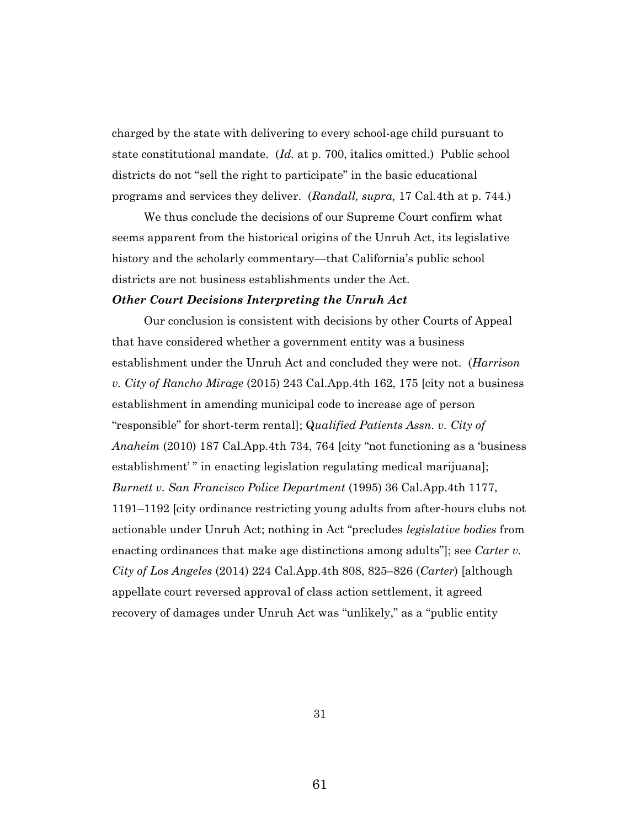charged by the state with delivering to every school-age child pursuant to state constitutional mandate. (*Id.* at p. 700, italics omitted.) Public school districts do not "sell the right to participate" in the basic educational programs and services they deliver. (*Randall, supra,* 17 Cal.4th at p. 744.)

We thus conclude the decisions of our Supreme Court confirm what seems apparent from the historical origins of the Unruh Act, its legislative history and the scholarly commentary—that California's public school districts are not business establishments under the Act.

## *Other Court Decisions Interpreting the Unruh Act*

Our conclusion is consistent with decisions by other Courts of Appeal that have considered whether a government entity was a business establishment under the Unruh Act and concluded they were not. (*Harrison v. City of Rancho Mirage* (2015) 243 Cal.App.4th 162, 175 [city not a business establishment in amending municipal code to increase age of person "responsible" for short-term rental]; Q*ualified Patients Assn. v. City of Anaheim* (2010) 187 Cal.App.4th 734, 764 [city "not functioning as a 'business establishment' " in enacting legislation regulating medical marijuana]; *Burnett v. San Francisco Police Department* (1995) 36 Cal.App.4th 1177, 1191–1192 [city ordinance restricting young adults from after-hours clubs not actionable under Unruh Act; nothing in Act "precludes *legislative bodies* from enacting ordinances that make age distinctions among adults"]; see *Carter v. City of Los Angeles* (2014) 224 Cal.App.4th 808, 825–826 (*Carter*) [although appellate court reversed approval of class action settlement, it agreed recovery of damages under Unruh Act was "unlikely," as a "public entity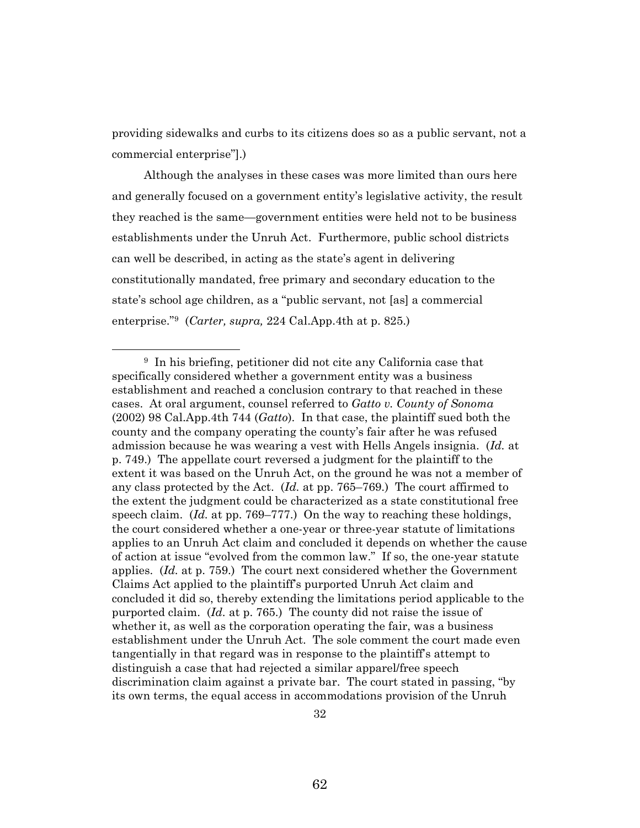providing sidewalks and curbs to its citizens does so as a public servant, not a commercial enterprise"].)

Although the analyses in these cases was more limited than ours here and generally focused on a government entity's legislative activity, the result they reached is the same—government entities were held not to be business establishments under the Unruh Act. Furthermore, public school districts can well be described, in acting as the state's agent in delivering constitutionally mandated, free primary and secondary education to the state's school age children, as a "public servant, not [as] a commercial enterprise."<sup>9</sup> (*Carter, supra,* 224 Cal.App.4th at p. 825.)

<sup>9</sup> In his briefing, petitioner did not cite any California case that specifically considered whether a government entity was a business establishment and reached a conclusion contrary to that reached in these cases. At oral argument, counsel referred to *Gatto v. County of Sonoma*  (2002) 98 Cal.App.4th 744 (*Gatto*). In that case, the plaintiff sued both the county and the company operating the county's fair after he was refused admission because he was wearing a vest with Hells Angels insignia. (*Id.* at p. 749.) The appellate court reversed a judgment for the plaintiff to the extent it was based on the Unruh Act, on the ground he was not a member of any class protected by the Act. (*Id.* at pp. 765–769.) The court affirmed to the extent the judgment could be characterized as a state constitutional free speech claim. (*Id.* at pp. 769–777.) On the way to reaching these holdings, the court considered whether a one-year or three-year statute of limitations applies to an Unruh Act claim and concluded it depends on whether the cause of action at issue "evolved from the common law." If so, the one-year statute applies. (*Id.* at p. 759.) The court next considered whether the Government Claims Act applied to the plaintiff's purported Unruh Act claim and concluded it did so, thereby extending the limitations period applicable to the purported claim. (*Id.* at p. 765.) The county did not raise the issue of whether it, as well as the corporation operating the fair, was a business establishment under the Unruh Act. The sole comment the court made even tangentially in that regard was in response to the plaintiff's attempt to distinguish a case that had rejected a similar apparel/free speech discrimination claim against a private bar. The court stated in passing, "by its own terms, the equal access in accommodations provision of the Unruh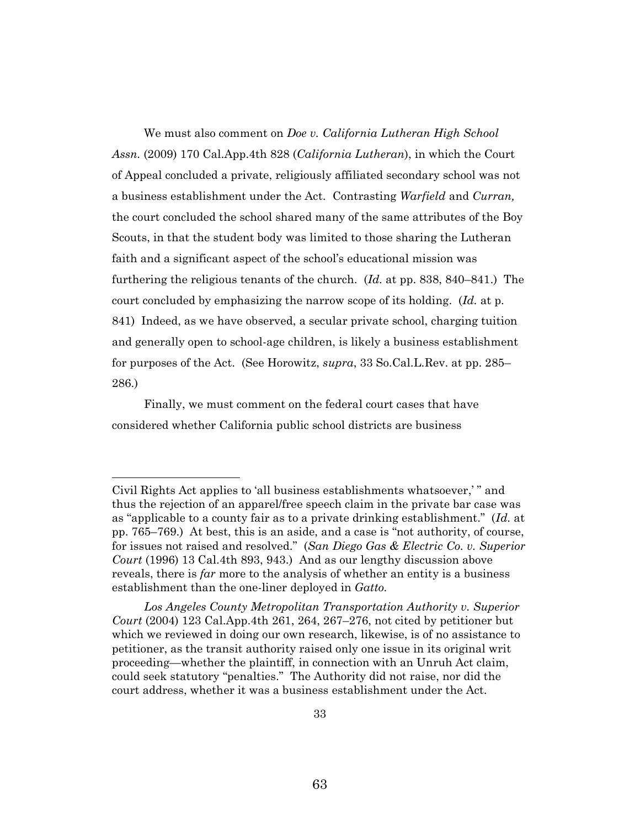We must also comment on *Doe v. California Lutheran High School Assn.* (2009) 170 Cal.App.4th 828 (*California Lutheran*), in which the Court of Appeal concluded a private, religiously affiliated secondary school was not a business establishment under the Act. Contrasting *Warfield* and *Curran,*  the court concluded the school shared many of the same attributes of the Boy Scouts, in that the student body was limited to those sharing the Lutheran faith and a significant aspect of the school's educational mission was furthering the religious tenants of the church. (*Id.* at pp. 838, 840–841.) The court concluded by emphasizing the narrow scope of its holding. (*Id.* at p. 841) Indeed, as we have observed, a secular private school, charging tuition and generally open to school-age children, is likely a business establishment for purposes of the Act. (See Horowitz, *supra*, 33 So.Cal.L.Rev. at pp. 285– 286.)

Finally, we must comment on the federal court cases that have considered whether California public school districts are business

Civil Rights Act applies to 'all business establishments whatsoever,' " and thus the rejection of an apparel/free speech claim in the private bar case was as "applicable to a county fair as to a private drinking establishment." (*Id.* at pp. 765–769.) At best, this is an aside, and a case is "not authority, of course, for issues not raised and resolved." (*San Diego Gas & Electric Co. v. Superior Court* (1996) 13 Cal.4th 893, 943.) And as our lengthy discussion above reveals, there is *far* more to the analysis of whether an entity is a business establishment than the one-liner deployed in *Gatto.* 

*Los Angeles County Metropolitan Transportation Authority v. Superior Court* (2004) 123 Cal.App.4th 261, 264, 267–276, not cited by petitioner but which we reviewed in doing our own research, likewise, is of no assistance to petitioner, as the transit authority raised only one issue in its original writ proceeding—whether the plaintiff, in connection with an Unruh Act claim, could seek statutory "penalties." The Authority did not raise, nor did the court address, whether it was a business establishment under the Act.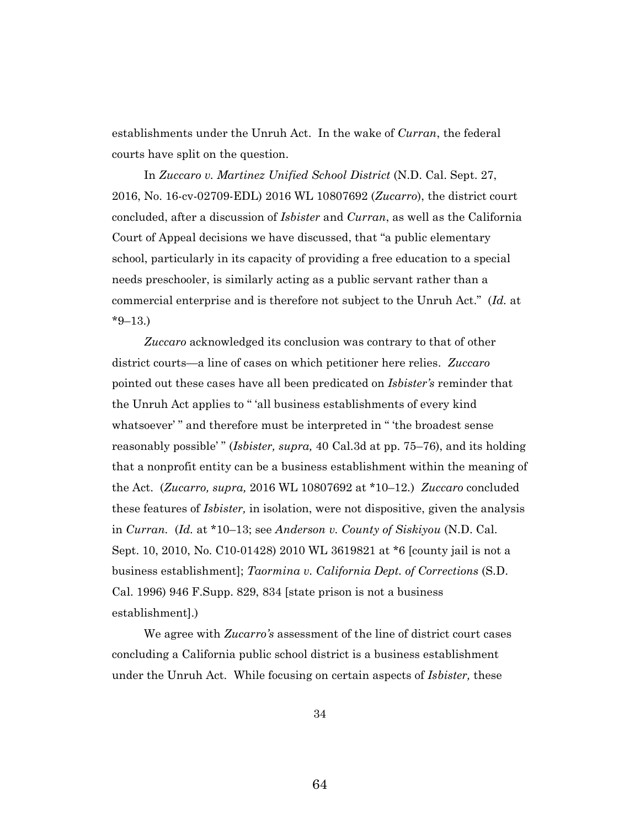establishments under the Unruh Act. In the wake of *Curran*, the federal courts have split on the question.

In *Zuccaro v. Martinez Unified School District* (N.D. Cal. Sept. 27, 2016, No. 16-cv-02709-EDL) 2016 WL 10807692 (*Zucarro*), the district court concluded, after a discussion of *Isbister* and *Curran*, as well as the California Court of Appeal decisions we have discussed, that "a public elementary school, particularly in its capacity of providing a free education to a special needs preschooler, is similarly acting as a public servant rather than a commercial enterprise and is therefore not subject to the Unruh Act." (*Id.* at  $*9-13.$ 

*Zuccaro* acknowledged its conclusion was contrary to that of other district courts—a line of cases on which petitioner here relies. *Zuccaro*  pointed out these cases have all been predicated on *Isbister's* reminder that the Unruh Act applies to " 'all business establishments of every kind whatsoever'" and therefore must be interpreted in "the broadest sense reasonably possible' " (*Isbister, supra,* 40 Cal.3d at pp. 75–76), and its holding that a nonprofit entity can be a business establishment within the meaning of the Act. (*Zucarro, supra,* 2016 WL 10807692 at \*10–12.) *Zuccaro* concluded these features of *Isbister,* in isolation, were not dispositive, given the analysis in *Curran.* (*Id.* at \*10–13; see *Anderson v. County of Siskiyou* (N.D. Cal. Sept. 10, 2010, No. C10-01428) 2010 WL 3619821 at \*6 [county jail is not a business establishment]; *Taormina v. California Dept. of Corrections* (S.D. Cal. 1996) 946 F.Supp. 829, 834 [state prison is not a business establishment].)

We agree with *Zucarro's* assessment of the line of district court cases concluding a California public school district is a business establishment under the Unruh Act. While focusing on certain aspects of *Isbister,* these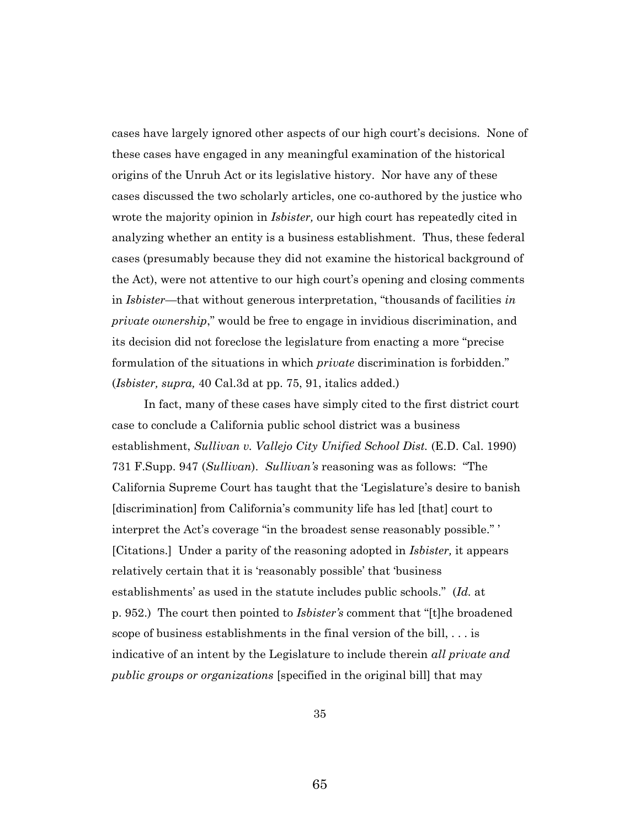cases have largely ignored other aspects of our high court's decisions. None of these cases have engaged in any meaningful examination of the historical origins of the Unruh Act or its legislative history. Nor have any of these cases discussed the two scholarly articles, one co-authored by the justice who wrote the majority opinion in *Isbister,* our high court has repeatedly cited in analyzing whether an entity is a business establishment. Thus, these federal cases (presumably because they did not examine the historical background of the Act), were not attentive to our high court's opening and closing comments in *Isbister*—that without generous interpretation, "thousands of facilities *in private ownership*," would be free to engage in invidious discrimination, and its decision did not foreclose the legislature from enacting a more "precise formulation of the situations in which *private* discrimination is forbidden." (*Isbister, supra,* 40 Cal.3d at pp. 75, 91, italics added.)

In fact, many of these cases have simply cited to the first district court case to conclude a California public school district was a business establishment, *Sullivan v. Vallejo City Unified School Dist.* (E.D. Cal. 1990) 731 F.Supp. 947 (*Sullivan*). *Sullivan's* reasoning was as follows: "The California Supreme Court has taught that the 'Legislature's desire to banish [discrimination] from California's community life has led [that] court to interpret the Act's coverage "in the broadest sense reasonably possible." ' [Citations.] Under a parity of the reasoning adopted in *Isbister,* it appears relatively certain that it is 'reasonably possible' that 'business establishments' as used in the statute includes public schools." (*Id.* at p. 952.) The court then pointed to *Isbister's* comment that "[t]he broadened scope of business establishments in the final version of the bill, . . . is indicative of an intent by the Legislature to include therein *all private and public groups or organizations* [specified in the original bill] that may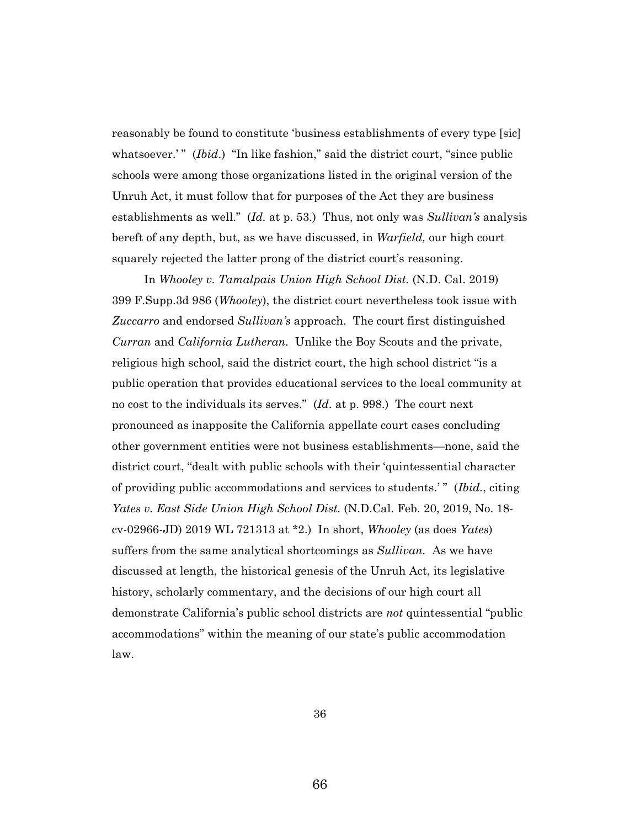reasonably be found to constitute 'business establishments of every type [sic] whatsoever.'" *(Ibid.)* "In like fashion," said the district court, "since public schools were among those organizations listed in the original version of the Unruh Act, it must follow that for purposes of the Act they are business establishments as well." (*Id.* at p. 53.) Thus, not only was *Sullivan's* analysis bereft of any depth, but, as we have discussed, in *Warfield,* our high court squarely rejected the latter prong of the district court's reasoning.

In *Whooley v. Tamalpais Union High School Dist.* (N.D. Cal. 2019) 399 F.Supp.3d 986 (*Whooley*), the district court nevertheless took issue with *Zuccarro* and endorsed *Sullivan's* approach. The court first distinguished *Curran* and *California Lutheran.* Unlike the Boy Scouts and the private, religious high school, said the district court, the high school district "is a public operation that provides educational services to the local community at no cost to the individuals its serves." (*Id.* at p. 998.) The court next pronounced as inapposite the California appellate court cases concluding other government entities were not business establishments—none, said the district court, "dealt with public schools with their 'quintessential character of providing public accommodations and services to students.' " (*Ibid.*, citing *Yates v. East Side Union High School Dist.* (N.D.Cal. Feb. 20, 2019, No. 18 cv-02966-JD) 2019 WL 721313 at \*2.) In short, *Whooley* (as does *Yates*) suffers from the same analytical shortcomings as *Sullivan.* As we have discussed at length, the historical genesis of the Unruh Act, its legislative history, scholarly commentary, and the decisions of our high court all demonstrate California's public school districts are *not* quintessential "public accommodations" within the meaning of our state's public accommodation law.

36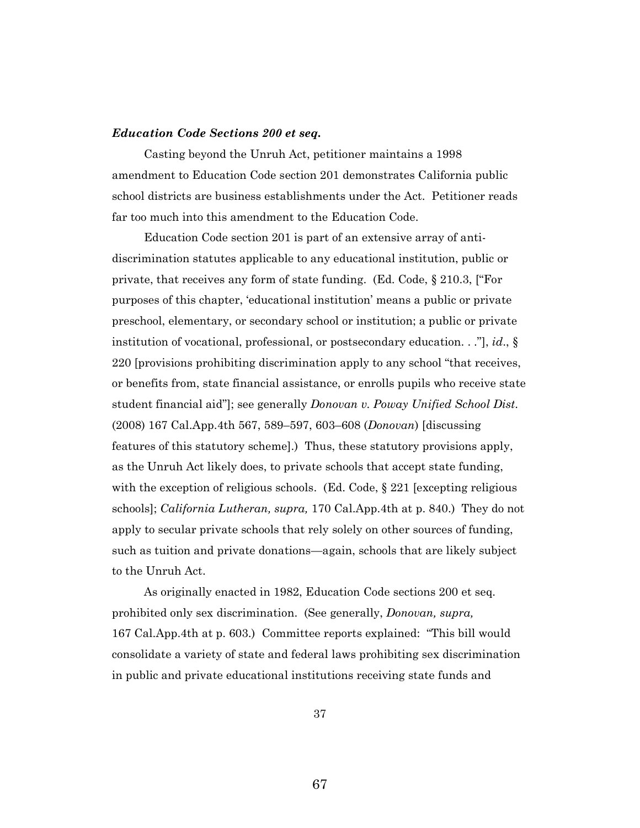## *Education Code Sections 200 et seq.*

Casting beyond the Unruh Act, petitioner maintains a 1998 amendment to Education Code section 201 demonstrates California public school districts are business establishments under the Act. Petitioner reads far too much into this amendment to the Education Code.

Education Code section 201 is part of an extensive array of antidiscrimination statutes applicable to any educational institution, public or private, that receives any form of state funding. (Ed. Code, § 210.3, ["For purposes of this chapter, 'educational institution' means a public or private preschool, elementary, or secondary school or institution; a public or private institution of vocational, professional, or postsecondary education. . ."], *id*., § 220 [provisions prohibiting discrimination apply to any school "that receives, or benefits from, state financial assistance, or enrolls pupils who receive state student financial aid"]; see generally *Donovan v. Poway Unified School Dist.* (2008) 167 Cal.App.4th 567, 589–597, 603–608 (*Donovan*) [discussing features of this statutory scheme].) Thus, these statutory provisions apply, as the Unruh Act likely does, to private schools that accept state funding, with the exception of religious schools. (Ed. Code, § 221 [excepting religious schools]; *California Lutheran, supra,* 170 Cal.App.4th at p. 840.) They do not apply to secular private schools that rely solely on other sources of funding, such as tuition and private donations—again, schools that are likely subject to the Unruh Act.

As originally enacted in 1982, Education Code sections 200 et seq. prohibited only sex discrimination. (See generally, *Donovan, supra,*  167 Cal.App.4th at p. 603.) Committee reports explained: "This bill would consolidate a variety of state and federal laws prohibiting sex discrimination in public and private educational institutions receiving state funds and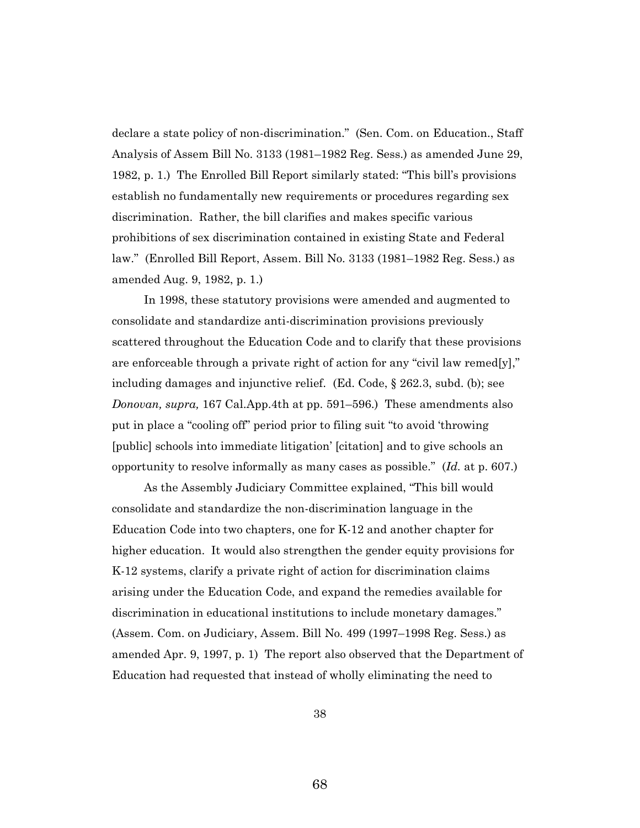declare a state policy of non-discrimination." (Sen. Com. on Education., Staff Analysis of Assem Bill No. 3133 (1981–1982 Reg. Sess.) as amended June 29, 1982, p. 1.) The Enrolled Bill Report similarly stated: "This bill's provisions establish no fundamentally new requirements or procedures regarding sex discrimination. Rather, the bill clarifies and makes specific various prohibitions of sex discrimination contained in existing State and Federal law." (Enrolled Bill Report, Assem. Bill No. 3133 (1981–1982 Reg. Sess.) as amended Aug. 9, 1982, p. 1.)

In 1998, these statutory provisions were amended and augmented to consolidate and standardize anti-discrimination provisions previously scattered throughout the Education Code and to clarify that these provisions are enforceable through a private right of action for any "civil law remed[y]," including damages and injunctive relief. (Ed. Code, § 262.3, subd. (b); see *Donovan, supra,* 167 Cal.App.4th at pp. 591–596.) These amendments also put in place a "cooling off" period prior to filing suit "to avoid 'throwing [public] schools into immediate litigation' [citation] and to give schools an opportunity to resolve informally as many cases as possible." (*Id.* at p. 607.)

As the Assembly Judiciary Committee explained, "This bill would consolidate and standardize the non-discrimination language in the Education Code into two chapters, one for K-12 and another chapter for higher education. It would also strengthen the gender equity provisions for K-12 systems, clarify a private right of action for discrimination claims arising under the Education Code, and expand the remedies available for discrimination in educational institutions to include monetary damages." (Assem. Com. on Judiciary, Assem. Bill No. 499 (1997–1998 Reg. Sess.) as amended Apr. 9, 1997, p. 1) The report also observed that the Department of Education had requested that instead of wholly eliminating the need to

38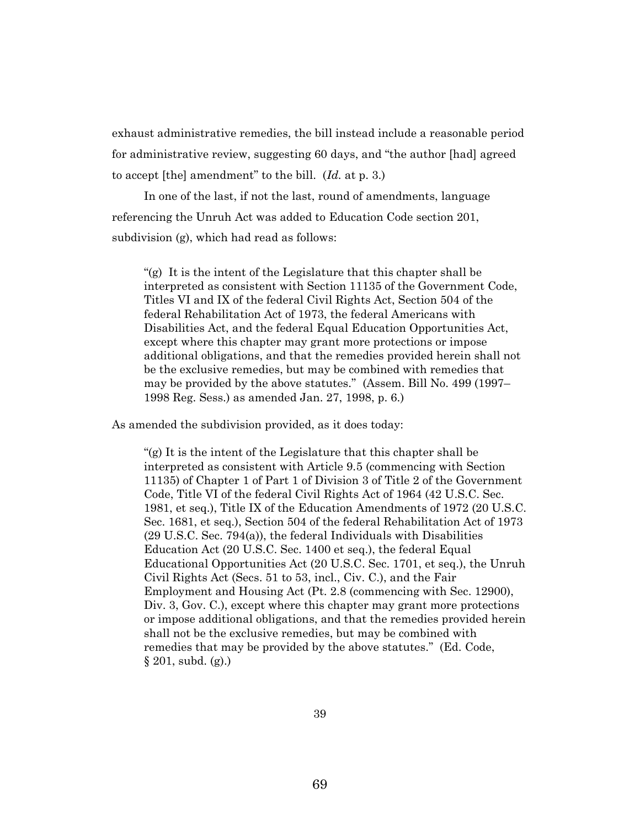exhaust administrative remedies, the bill instead include a reasonable period for administrative review, suggesting 60 days, and "the author [had] agreed to accept [the] amendment" to the bill. (*Id.* at p. 3.)

In one of the last, if not the last, round of amendments, language referencing the Unruh Act was added to Education Code section 201, subdivision (g), which had read as follows:

"(g) It is the intent of the Legislature that this chapter shall be interpreted as consistent with Section 11135 of the Government Code, Titles VI and IX of the federal Civil Rights Act, Section 504 of the federal Rehabilitation Act of 1973, the federal Americans with Disabilities Act, and the federal Equal Education Opportunities Act, except where this chapter may grant more protections or impose additional obligations, and that the remedies provided herein shall not be the exclusive remedies, but may be combined with remedies that may be provided by the above statutes." (Assem. Bill No. 499 (1997– 1998 Reg. Sess.) as amended Jan. 27, 1998, p. 6.)

As amended the subdivision provided, as it does today:

"(g) It is the intent of the Legislature that this chapter shall be interpreted as consistent with Article 9.5 (commencing with Section 11135) of Chapter 1 of Part 1 of Division 3 of Title 2 of the Government Code, Title VI of the federal Civil Rights Act of 1964 (42 U.S.C. Sec. 1981, et seq.), Title IX of the Education Amendments of 1972 (20 U.S.C. Sec. 1681, et seq.), Section 504 of the federal Rehabilitation Act of 1973 (29 U.S.C. Sec. 794(a)), the federal Individuals with Disabilities Education Act (20 U.S.C. Sec. 1400 et seq.), the federal Equal Educational Opportunities Act (20 U.S.C. Sec. 1701, et seq.), the Unruh Civil Rights Act (Secs. 51 to 53, incl., Civ. C.), and the Fair Employment and Housing Act (Pt. 2.8 (commencing with Sec. 12900), Div. 3, Gov. C.), except where this chapter may grant more protections or impose additional obligations, and that the remedies provided herein shall not be the exclusive remedies, but may be combined with remedies that may be provided by the above statutes." (Ed. Code, § 201, subd. (g).)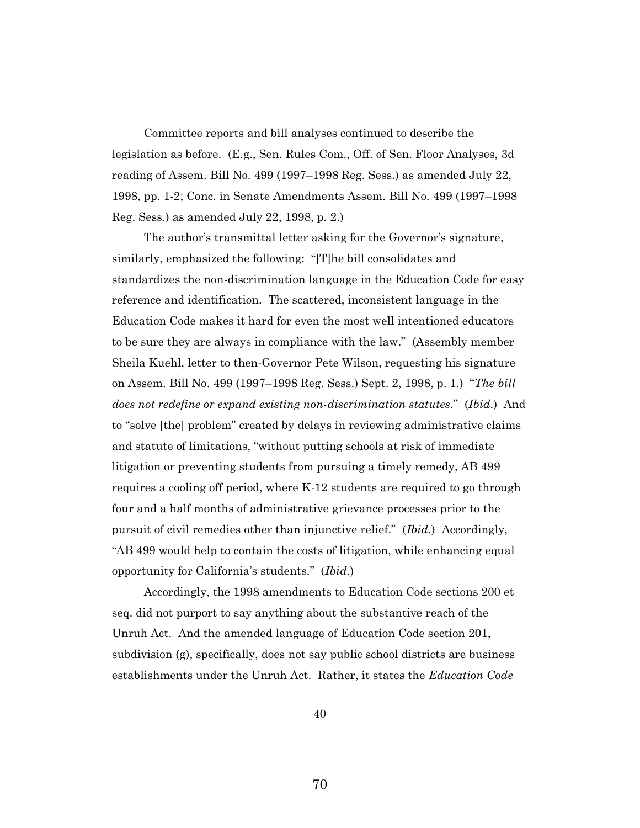Committee reports and bill analyses continued to describe the legislation as before. (E.g., Sen. Rules Com., Off. of Sen. Floor Analyses, 3d reading of Assem. Bill No. 499 (1997–1998 Reg. Sess.) as amended July 22, 1998, pp. 1-2; Conc. in Senate Amendments Assem. Bill No. 499 (1997–1998 Reg. Sess.) as amended July 22, 1998, p. 2.)

The author's transmittal letter asking for the Governor's signature, similarly, emphasized the following: "[T]he bill consolidates and standardizes the non-discrimination language in the Education Code for easy reference and identification. The scattered, inconsistent language in the Education Code makes it hard for even the most well intentioned educators to be sure they are always in compliance with the law." (Assembly member Sheila Kuehl, letter to then-Governor Pete Wilson, requesting his signature on Assem. Bill No. 499 (1997–1998 Reg. Sess.) Sept. 2, 1998, p. 1.) "*The bill does not redefine or expand existing non-discrimination statutes*." (*Ibid*.) And to "solve [the] problem" created by delays in reviewing administrative claims and statute of limitations, "without putting schools at risk of immediate litigation or preventing students from pursuing a timely remedy, AB 499 requires a cooling off period, where K-12 students are required to go through four and a half months of administrative grievance processes prior to the pursuit of civil remedies other than injunctive relief." (*Ibid.*) Accordingly, "AB 499 would help to contain the costs of litigation, while enhancing equal opportunity for California's students." (*Ibid.*)

Accordingly, the 1998 amendments to Education Code sections 200 et seq. did not purport to say anything about the substantive reach of the Unruh Act. And the amended language of Education Code section 201, subdivision (g), specifically, does not say public school districts are business establishments under the Unruh Act. Rather, it states the *Education Code*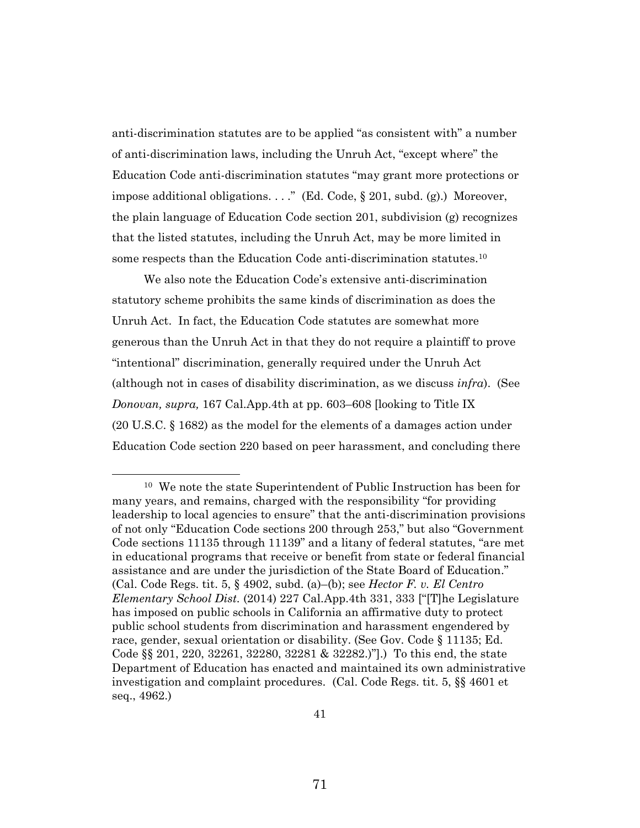anti-discrimination statutes are to be applied "as consistent with" a number of anti-discrimination laws, including the Unruh Act, "except where" the Education Code anti-discrimination statutes "may grant more protections or impose additional obligations. . . ." (Ed. Code, § 201, subd. (g).) Moreover, the plain language of Education Code section 201, subdivision (g) recognizes that the listed statutes, including the Unruh Act, may be more limited in some respects than the Education Code anti-discrimination statutes.<sup>10</sup>

We also note the Education Code's extensive anti-discrimination statutory scheme prohibits the same kinds of discrimination as does the Unruh Act. In fact, the Education Code statutes are somewhat more generous than the Unruh Act in that they do not require a plaintiff to prove "intentional" discrimination, generally required under the Unruh Act (although not in cases of disability discrimination, as we discuss *infra*). (See *Donovan, supra,* 167 Cal.App.4th at pp. 603–608 [looking to Title IX (20 U.S.C. § 1682) as the model for the elements of a damages action under Education Code section 220 based on peer harassment, and concluding there

<sup>10</sup> We note the state Superintendent of Public Instruction has been for many years, and remains, charged with the responsibility "for providing leadership to local agencies to ensure" that the anti-discrimination provisions of not only "Education Code sections 200 through 253," but also "Government Code sections 11135 through 11139" and a litany of federal statutes, "are met in educational programs that receive or benefit from state or federal financial assistance and are under the jurisdiction of the State Board of Education." (Cal. Code Regs. tit. 5, § 4902, subd. (a)–(b); see *Hector F. v. El Centro Elementary School Dist.* (2014) 227 Cal.App.4th 331, 333 ["[T]he Legislature has imposed on public schools in California an affirmative duty to protect public school students from discrimination and harassment engendered by race, gender, sexual orientation or disability. (See Gov. Code § 11135; Ed. Code §§ 201, 220, 32261, 32280, 32281 & 32282.)"].) To this end, the state Department of Education has enacted and maintained its own administrative investigation and complaint procedures. (Cal. Code Regs. tit. 5, §§ 4601 et seq., 4962.)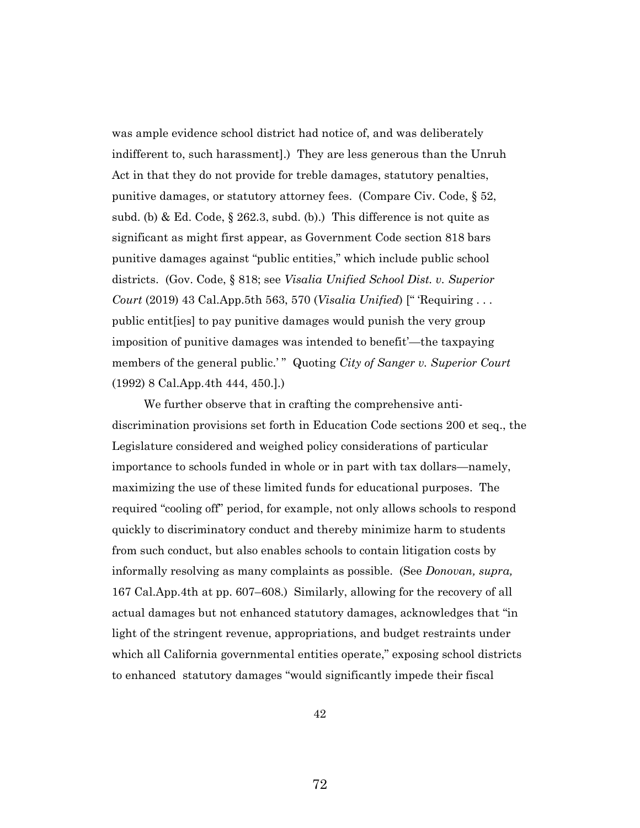was ample evidence school district had notice of, and was deliberately indifferent to, such harassment].) They are less generous than the Unruh Act in that they do not provide for treble damages, statutory penalties, punitive damages, or statutory attorney fees. (Compare Civ. Code, § 52, subd. (b) & Ed. Code, § 262.3, subd. (b).) This difference is not quite as significant as might first appear, as Government Code section 818 bars punitive damages against "public entities," which include public school districts. (Gov. Code, § 818; see *Visalia Unified School Dist. v. Superior Court* (2019) 43 Cal.App.5th 563, 570 (*Visalia Unified*) [" 'Requiring . . . public entit[ies] to pay punitive damages would punish the very group imposition of punitive damages was intended to benefit'—the taxpaying members of the general public.'" Quoting *City of Sanger v. Superior Court* (1992) 8 Cal.App.4th 444, 450.].)

We further observe that in crafting the comprehensive antidiscrimination provisions set forth in Education Code sections 200 et seq., the Legislature considered and weighed policy considerations of particular importance to schools funded in whole or in part with tax dollars—namely, maximizing the use of these limited funds for educational purposes. The required "cooling off" period, for example, not only allows schools to respond quickly to discriminatory conduct and thereby minimize harm to students from such conduct, but also enables schools to contain litigation costs by informally resolving as many complaints as possible. (See *Donovan, supra,* 167 Cal.App.4th at pp. 607–608.) Similarly, allowing for the recovery of all actual damages but not enhanced statutory damages, acknowledges that "in light of the stringent revenue, appropriations, and budget restraints under which all California governmental entities operate," exposing school districts to enhanced statutory damages "would significantly impede their fiscal

42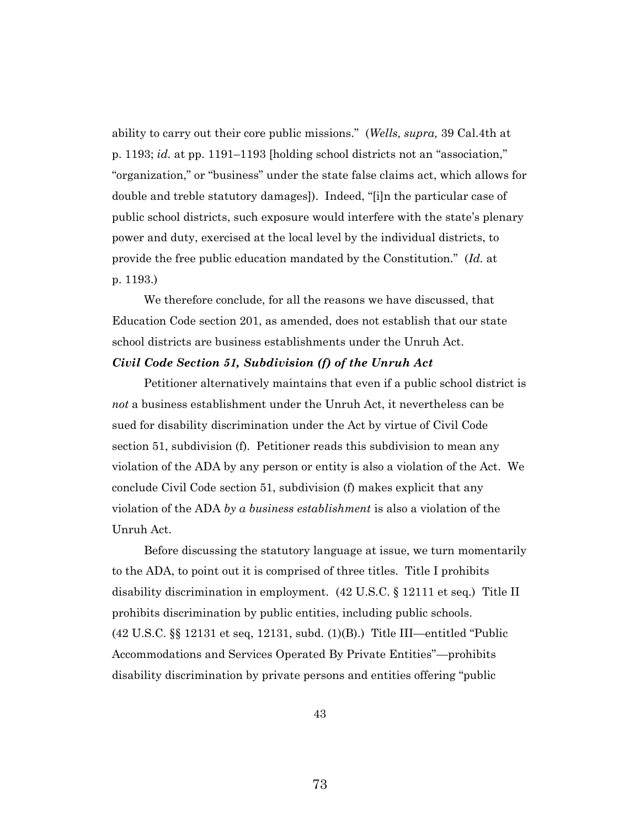ability to carry out their core public missions." (*Wells, supra,* 39 Cal.4th at p. 1193; *id.* at pp. 1191–1193 [holding school districts not an "association," "organization," or "business" under the state false claims act, which allows for double and treble statutory damages]). Indeed, "[i]n the particular case of public school districts, such exposure would interfere with the state's plenary power and duty, exercised at the local level by the individual districts, to provide the free public education mandated by the Constitution." (*Id.* at p. 1193.)

We therefore conclude, for all the reasons we have discussed, that Education Code section 201, as amended, does not establish that our state school districts are business establishments under the Unruh Act. *Civil Code Section 51, Subdivision (f) of the Unruh Act*

Petitioner alternatively maintains that even if a public school district is *not* a business establishment under the Unruh Act, it nevertheless can be sued for disability discrimination under the Act by virtue of Civil Code section 51, subdivision (f). Petitioner reads this subdivision to mean any violation of the ADA by any person or entity is also a violation of the Act. We conclude Civil Code section 51, subdivision (f) makes explicit that any violation of the ADA *by a business establishment* is also a violation of the Unruh Act.

Before discussing the statutory language at issue, we turn momentarily to the ADA, to point out it is comprised of three titles. Title I prohibits disability discrimination in employment. (42 U.S.C. § 12111 et seq.) Title II prohibits discrimination by public entities, including public schools. (42 U.S.C. §§ 12131 et seq, 12131, subd. (1)(B).) Title III—entitled "Public Accommodations and Services Operated By Private Entities"—prohibits disability discrimination by private persons and entities offering "public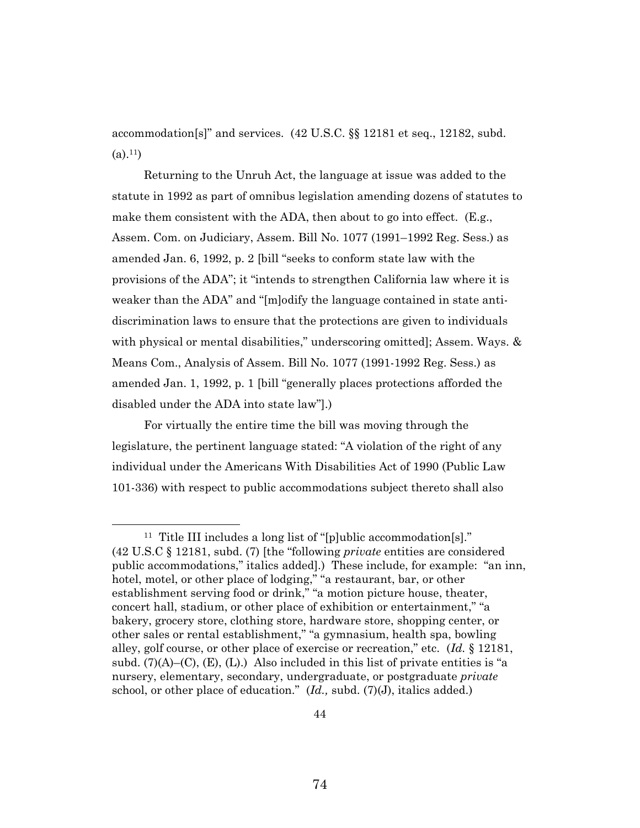accommodation[s]" and services. (42 U.S.C. §§ 12181 et seq., 12182, subd.  $(a).<sup>11</sup>$ 

Returning to the Unruh Act, the language at issue was added to the statute in 1992 as part of omnibus legislation amending dozens of statutes to make them consistent with the ADA, then about to go into effect. (E.g., Assem. Com. on Judiciary, Assem. Bill No. 1077 (1991–1992 Reg. Sess.) as amended Jan. 6, 1992, p. 2 [bill "seeks to conform state law with the provisions of the ADA"; it "intends to strengthen California law where it is weaker than the ADA" and "[m]odify the language contained in state antidiscrimination laws to ensure that the protections are given to individuals with physical or mental disabilities," underscoring omitted]; Assem. Ways. & Means Com., Analysis of Assem. Bill No. 1077 (1991-1992 Reg. Sess.) as amended Jan. 1, 1992, p. 1 [bill "generally places protections afforded the disabled under the ADA into state law"].)

For virtually the entire time the bill was moving through the legislature, the pertinent language stated: "A violation of the right of any individual under the Americans With Disabilities Act of 1990 (Public Law 101-336) with respect to public accommodations subject thereto shall also

<sup>&</sup>lt;sup>11</sup> Title III includes a long list of "[p]ublic accommodation[s]." (42 U.S.C § 12181, subd. (7) [the "following *private* entities are considered public accommodations," italics added].) These include, for example: "an inn, hotel, motel, or other place of lodging," "a restaurant, bar, or other establishment serving food or drink," "a motion picture house, theater, concert hall, stadium, or other place of exhibition or entertainment," "a bakery, grocery store, clothing store, hardware store, shopping center, or other sales or rental establishment," "a gymnasium, health spa, bowling alley, golf course, or other place of exercise or recreation," etc. (*Id.* § 12181, subd.  $(7)(A)$ –(C), (E), (L).) Also included in this list of private entities is "a nursery, elementary, secondary, undergraduate, or postgraduate *private* school, or other place of education." (*Id.,* subd. (7)(J), italics added.)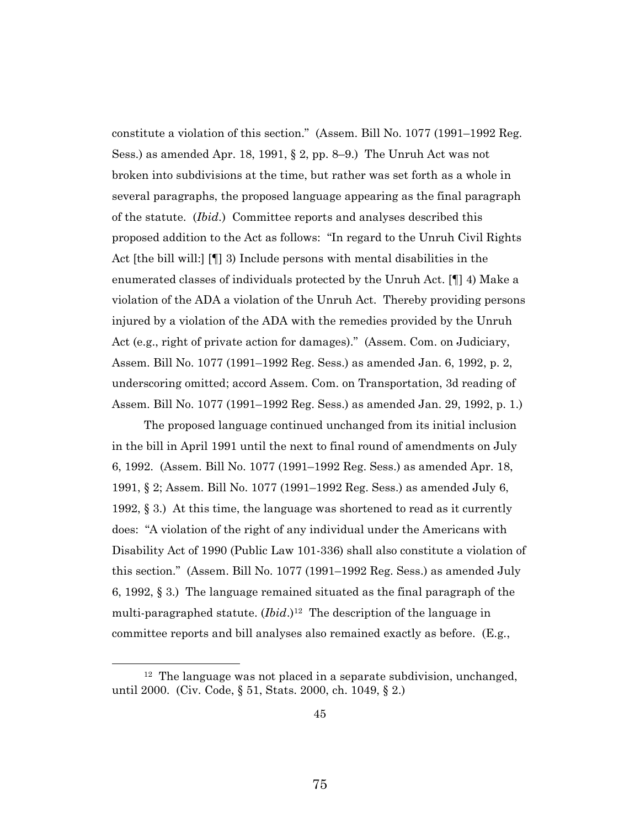constitute a violation of this section." (Assem. Bill No. 1077 (1991–1992 Reg. Sess.) as amended Apr. 18, 1991, § 2, pp. 8–9.) The Unruh Act was not broken into subdivisions at the time, but rather was set forth as a whole in several paragraphs, the proposed language appearing as the final paragraph of the statute. (*Ibid.*) Committee reports and analyses described this proposed addition to the Act as follows: "In regard to the Unruh Civil Rights Act [the bill will:] [¶] 3) Include persons with mental disabilities in the enumerated classes of individuals protected by the Unruh Act. [¶] 4) Make a violation of the ADA a violation of the Unruh Act. Thereby providing persons injured by a violation of the ADA with the remedies provided by the Unruh Act (e.g., right of private action for damages)." (Assem. Com. on Judiciary, Assem. Bill No. 1077 (1991–1992 Reg. Sess.) as amended Jan. 6, 1992, p. 2, underscoring omitted; accord Assem. Com. on Transportation, 3d reading of Assem. Bill No. 1077 (1991–1992 Reg. Sess.) as amended Jan. 29, 1992, p. 1.)

The proposed language continued unchanged from its initial inclusion in the bill in April 1991 until the next to final round of amendments on July 6, 1992. (Assem. Bill No. 1077 (1991–1992 Reg. Sess.) as amended Apr. 18, 1991, § 2; Assem. Bill No. 1077 (1991–1992 Reg. Sess.) as amended July 6, 1992,  $\S$  3.) At this time, the language was shortened to read as it currently does: "A violation of the right of any individual under the Americans with Disability Act of 1990 (Public Law 101-336) shall also constitute a violation of this section." (Assem. Bill No. 1077 (1991–1992 Reg. Sess.) as amended July 6, 1992, § 3.) The language remained situated as the final paragraph of the multi-paragraphed statute. (*Ibid*.) 12 The description of the language in committee reports and bill analyses also remained exactly as before. (E.g.,

<sup>&</sup>lt;sup>12</sup> The language was not placed in a separate subdivision, unchanged, until 2000. (Civ. Code, § 51, Stats. 2000, ch. 1049, § 2.)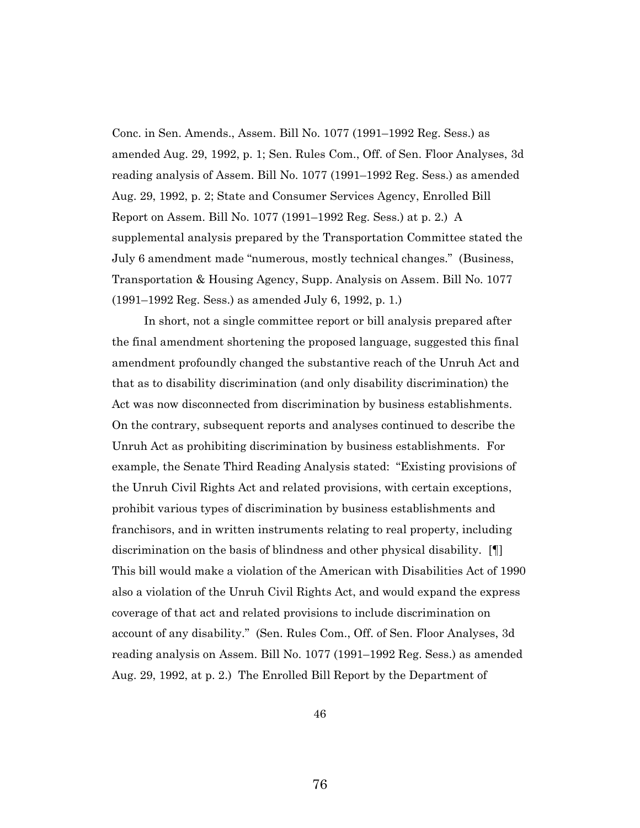Conc. in Sen. Amends., Assem. Bill No. 1077 (1991–1992 Reg. Sess.) as amended Aug. 29, 1992, p. 1; Sen. Rules Com., Off. of Sen. Floor Analyses, 3d reading analysis of Assem. Bill No. 1077 (1991–1992 Reg. Sess.) as amended Aug. 29, 1992, p. 2; State and Consumer Services Agency, Enrolled Bill Report on Assem. Bill No. 1077 (1991–1992 Reg. Sess.) at p. 2.) A supplemental analysis prepared by the Transportation Committee stated the July 6 amendment made "numerous, mostly technical changes." (Business, Transportation & Housing Agency, Supp. Analysis on Assem. Bill No. 1077 (1991–1992 Reg. Sess.) as amended July 6, 1992, p. 1.)

In short, not a single committee report or bill analysis prepared after the final amendment shortening the proposed language, suggested this final amendment profoundly changed the substantive reach of the Unruh Act and that as to disability discrimination (and only disability discrimination) the Act was now disconnected from discrimination by business establishments. On the contrary, subsequent reports and analyses continued to describe the Unruh Act as prohibiting discrimination by business establishments. For example, the Senate Third Reading Analysis stated: "Existing provisions of the Unruh Civil Rights Act and related provisions, with certain exceptions, prohibit various types of discrimination by business establishments and franchisors, and in written instruments relating to real property, including discrimination on the basis of blindness and other physical disability. [¶] This bill would make a violation of the American with Disabilities Act of 1990 also a violation of the Unruh Civil Rights Act, and would expand the express coverage of that act and related provisions to include discrimination on account of any disability." (Sen. Rules Com., Off. of Sen. Floor Analyses, 3d reading analysis on Assem. Bill No. 1077 (1991–1992 Reg. Sess.) as amended Aug. 29, 1992, at p. 2.) The Enrolled Bill Report by the Department of

46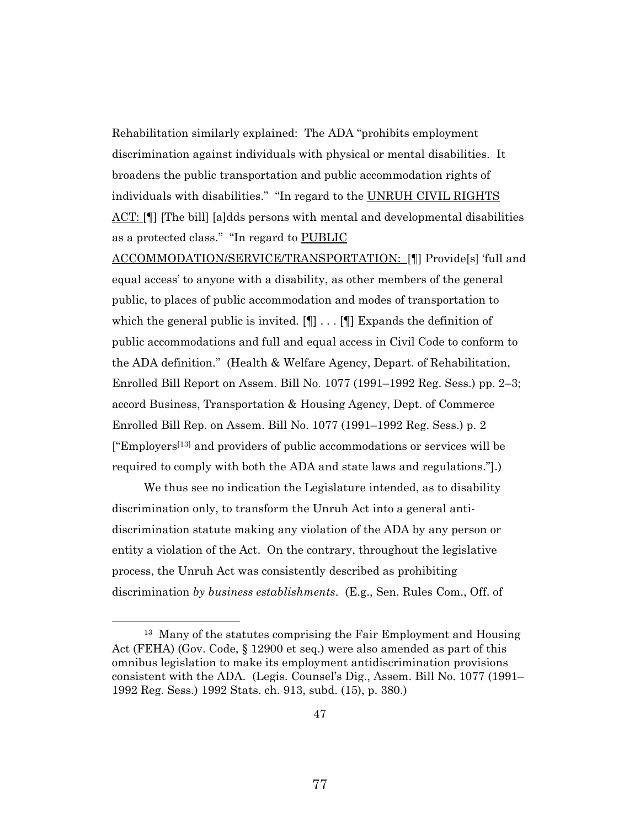Rehabilitation similarly explained: The ADA "prohibits employment discrimination against individuals with physical or mental disabilities. It broadens the public transportation and public accommodation rights of individuals with disabilities." "In regard to the UNRUH CIVIL RIGHTS ACT: [¶] [The bill] [a]dds persons with mental and developmental disabilities as a protected class." "In regard to PUBLIC

ACCOMMODATION/SERVICE/TRANSPORTATION: [¶] Provide[s] 'full and equal access' to anyone with a disability, as other members of the general public, to places of public accommodation and modes of transportation to which the general public is invited.  $[\P] \dots [\P]$  Expands the definition of public accommodations and full and equal access in Civil Code to conform to the ADA definition." (Health & Welfare Agency, Depart. of Rehabilitation, Enrolled Bill Report on Assem. Bill No. 1077 (1991–1992 Reg. Sess.) pp. 2–3; accord Business, Transportation & Housing Agency, Dept. of Commerce Enrolled Bill Rep. on Assem. Bill No. 1077 (1991–1992 Reg. Sess.) p. 2  $[$ "Employers<sup>[13]</sup> and providers of public accommodations or services will be required to comply with both the ADA and state laws and regulations."].)

We thus see no indication the Legislature intended, as to disability discrimination only, to transform the Unruh Act into a general antidiscrimination statute making any violation of the ADA by any person or entity a violation of the Act. On the contrary, throughout the legislative process, the Unruh Act was consistently described as prohibiting discrimination *by business establishments*. (E.g., Sen. Rules Com., Off. of

<sup>&</sup>lt;sup>13</sup> Many of the statutes comprising the Fair Employment and Housing Act (FEHA) (Gov. Code, § 12900 et seq.) were also amended as part of this omnibus legislation to make its employment antidiscrimination provisions consistent with the ADA. (Legis. Counsel's Dig., Assem. Bill No. 1077 (1991– 1992 Reg. Sess.) 1992 Stats. ch. 913, subd. (15), p. 380.)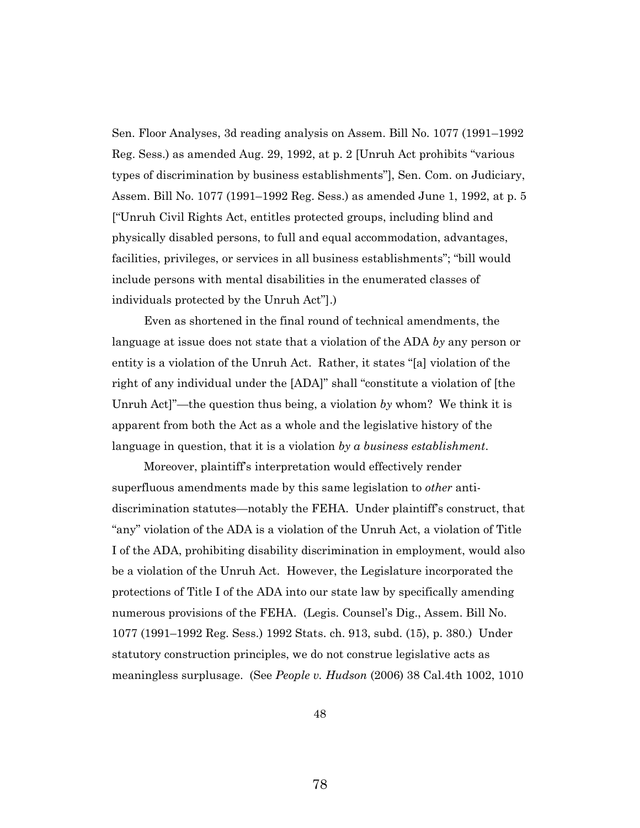Sen. Floor Analyses, 3d reading analysis on Assem. Bill No. 1077 (1991–1992 Reg. Sess.) as amended Aug. 29, 1992, at p. 2 [Unruh Act prohibits "various types of discrimination by business establishments"], Sen. Com. on Judiciary, Assem. Bill No. 1077 (1991–1992 Reg. Sess.) as amended June 1, 1992, at p. 5 ["Unruh Civil Rights Act, entitles protected groups, including blind and physically disabled persons, to full and equal accommodation, advantages, facilities, privileges, or services in all business establishments"; "bill would include persons with mental disabilities in the enumerated classes of individuals protected by the Unruh Act"].)

Even as shortened in the final round of technical amendments, the language at issue does not state that a violation of the ADA *by* any person or entity is a violation of the Unruh Act. Rather, it states "[a] violation of the right of any individual under the [ADA]" shall "constitute a violation of [the Unruh Act]"—the question thus being, a violation *by* whom? We think it is apparent from both the Act as a whole and the legislative history of the language in question, that it is a violation *by a business establishment*.

Moreover, plaintiff's interpretation would effectively render superfluous amendments made by this same legislation to *other* antidiscrimination statutes—notably the FEHA. Under plaintiff's construct, that "any" violation of the ADA is a violation of the Unruh Act, a violation of Title I of the ADA, prohibiting disability discrimination in employment, would also be a violation of the Unruh Act. However, the Legislature incorporated the protections of Title I of the ADA into our state law by specifically amending numerous provisions of the FEHA. (Legis. Counsel's Dig., Assem. Bill No. 1077 (1991–1992 Reg. Sess.) 1992 Stats. ch. 913, subd. (15), p. 380.) Under statutory construction principles, we do not construe legislative acts as meaningless surplusage. (See *People v. Hudson* (2006) 38 Cal.4th 1002, 1010

48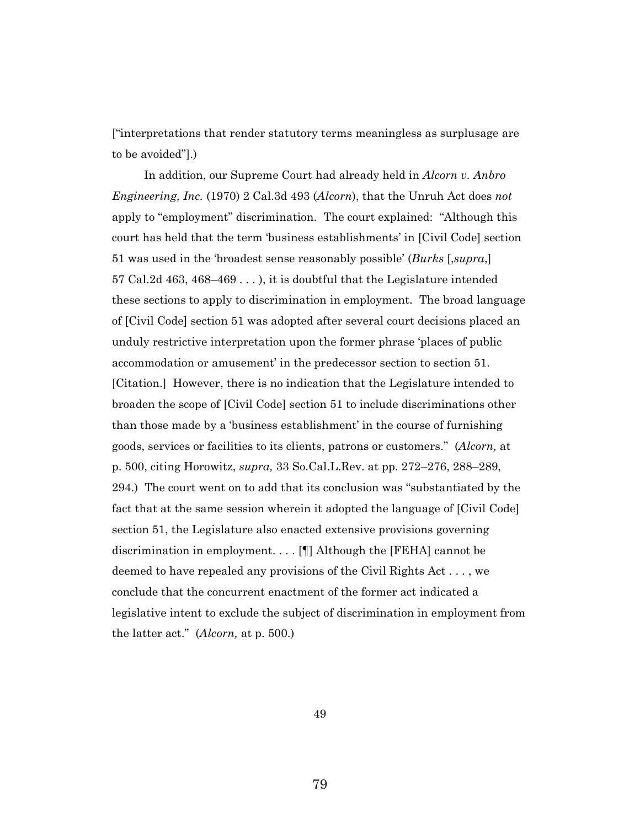["interpretations that render statutory terms meaningless as surplusage are to be avoided"].)

In addition, our Supreme Court had already held in *Alcorn v. Anbro Engineering, Inc.* (1970) 2 Cal.3d 493 (*Alcorn*), that the Unruh Act does *not* apply to "employment" discrimination. The court explained: "Although this court has held that the term 'business establishments' in [Civil Code] section 51 was used in the 'broadest sense reasonably possible' (*Burks* [,*supra*,] 57 Cal.2d 463, 468–469 . . . ), it is doubtful that the Legislature intended these sections to apply to discrimination in employment. The broad language of [Civil Code] section 51 was adopted after several court decisions placed an unduly restrictive interpretation upon the former phrase 'places of public accommodation or amusement' in the predecessor section to section 51. [Citation.] However, there is no indication that the Legislature intended to broaden the scope of [Civil Code] section 51 to include discriminations other than those made by a 'business establishment' in the course of furnishing goods, services or facilities to its clients, patrons or customers." (*Alcorn,* at p. 500, citing Horowitz, *supra,* 33 So.Cal.L.Rev. at pp. 272–276, 288–289, 294.) The court went on to add that its conclusion was "substantiated by the fact that at the same session wherein it adopted the language of [Civil Code] section 51, the Legislature also enacted extensive provisions governing discrimination in employment. . . . [¶] Although the [FEHA] cannot be deemed to have repealed any provisions of the Civil Rights Act . . . , we conclude that the concurrent enactment of the former act indicated a legislative intent to exclude the subject of discrimination in employment from the latter act." (*Alcorn,* at p. 500.)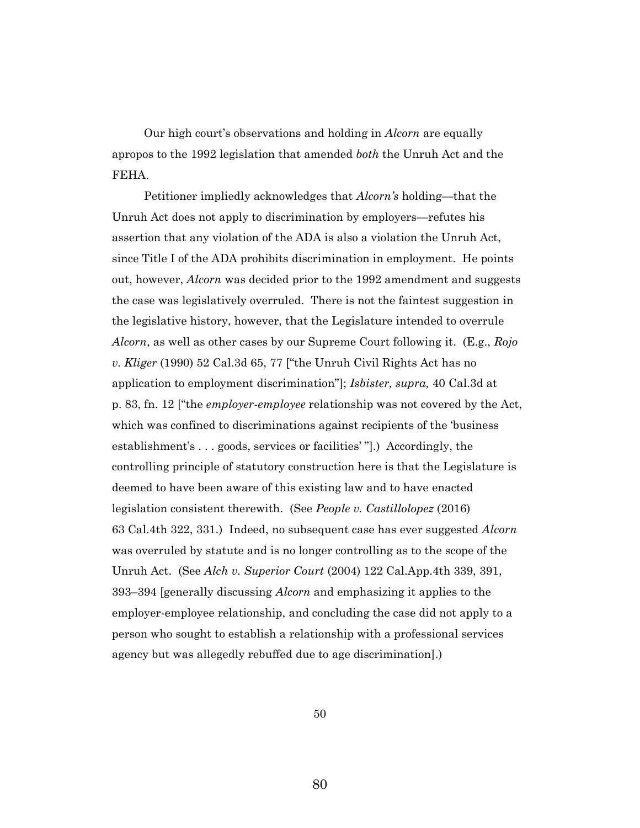Our high court's observations and holding in *Alcorn* are equally apropos to the 1992 legislation that amended *both* the Unruh Act and the FEHA.

Petitioner impliedly acknowledges that *Alcorn's* holding—that the Unruh Act does not apply to discrimination by employers—refutes his assertion that any violation of the ADA is also a violation the Unruh Act, since Title I of the ADA prohibits discrimination in employment. He points out, however, *Alcorn* was decided prior to the 1992 amendment and suggests the case was legislatively overruled. There is not the faintest suggestion in the legislative history, however, that the Legislature intended to overrule *Alcorn*, as well as other cases by our Supreme Court following it. (E.g., *Rojo v. Kliger* (1990) 52 Cal.3d 65, 77 ["the Unruh Civil Rights Act has no application to employment discrimination"]; *Isbister, supra,* 40 Cal.3d at p. 83, fn. 12 ["the *employer-employee* relationship was not covered by the Act, which was confined to discriminations against recipients of the 'business establishment's . . . goods, services or facilities' "].) Accordingly, the controlling principle of statutory construction here is that the Legislature is deemed to have been aware of this existing law and to have enacted legislation consistent therewith. (See *People v. Castillolopez* (2016) 63 Cal.4th 322, 331.) Indeed, no subsequent case has ever suggested *Alcorn*  was overruled by statute and is no longer controlling as to the scope of the Unruh Act. (See *Alch v. Superior Court* (2004) 122 Cal.App.4th 339, 391, 393–394 [generally discussing *Alcorn* and emphasizing it applies to the employer-employee relationship, and concluding the case did not apply to a person who sought to establish a relationship with a professional services agency but was allegedly rebuffed due to age discrimination].)

50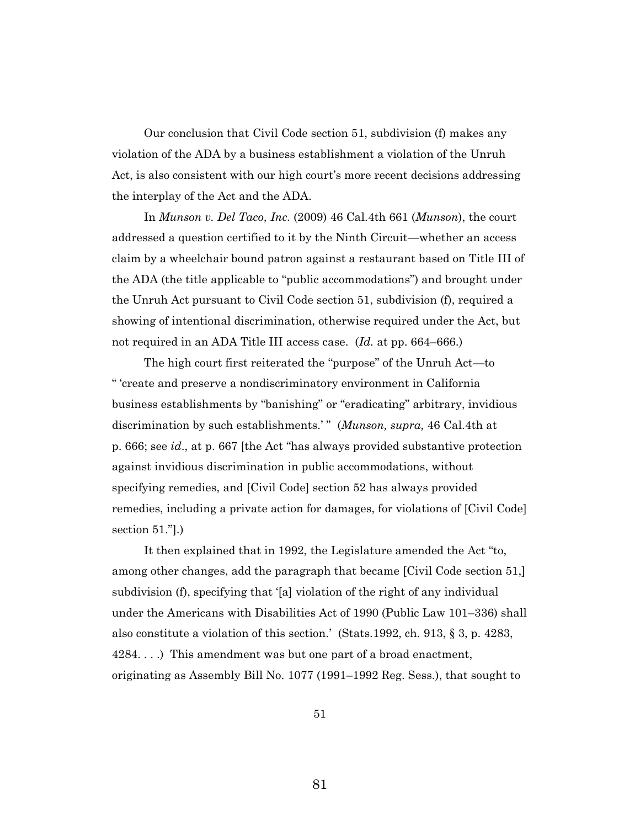Our conclusion that Civil Code section 51, subdivision (f) makes any violation of the ADA by a business establishment a violation of the Unruh Act, is also consistent with our high court's more recent decisions addressing the interplay of the Act and the ADA.

In *Munson v. Del Taco, Inc.* (2009) 46 Cal.4th 661 (*Munson*), the court addressed a question certified to it by the Ninth Circuit—whether an access claim by a wheelchair bound patron against a restaurant based on Title III of the ADA (the title applicable to "public accommodations") and brought under the Unruh Act pursuant to Civil Code section 51, subdivision (f), required a showing of intentional discrimination, otherwise required under the Act, but not required in an ADA Title III access case. (*Id.* at pp. 664–666.)

The high court first reiterated the "purpose" of the Unruh Act—to " 'create and preserve a nondiscriminatory environment in California business establishments by "banishing" or "eradicating" arbitrary, invidious discrimination by such establishments.'" (Munson, supra, 46 Cal.4th at p. 666; see *id*., at p. 667 [the Act "has always provided substantive protection against invidious discrimination in public accommodations, without specifying remedies, and [Civil Code] section 52 has always provided remedies, including a private action for damages, for violations of [Civil Code] section 51."].)

It then explained that in 1992, the Legislature amended the Act "to, among other changes, add the paragraph that became [Civil Code section 51,] subdivision (f), specifying that '[a] violation of the right of any individual under the Americans with Disabilities Act of 1990 (Public Law 101–336) shall also constitute a violation of this section.' (Stats.1992, ch. 913, § 3, p. 4283, 4284. . . .) This amendment was but one part of a broad enactment, originating as Assembly Bill No. 1077 (1991–1992 Reg. Sess.), that sought to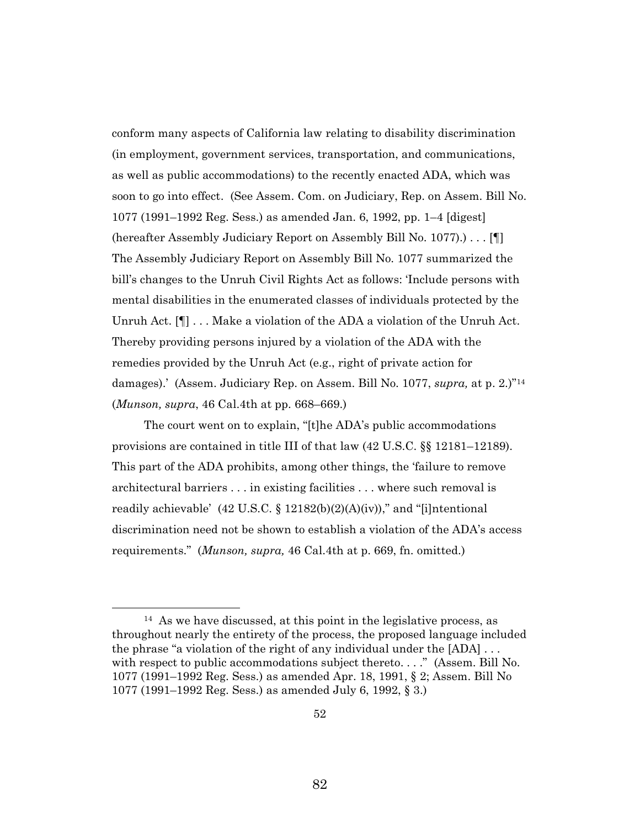conform many aspects of California law relating to disability discrimination (in employment, government services, transportation, and communications, as well as public accommodations) to the recently enacted ADA, which was soon to go into effect. (See Assem. Com. on Judiciary, Rep. on Assem. Bill No. 1077 (1991–1992 Reg. Sess.) as amended Jan. 6, 1992, pp. 1–4 [digest] (hereafter Assembly Judiciary Report on Assembly Bill No. 1077).) . . . [¶] The Assembly Judiciary Report on Assembly Bill No. 1077 summarized the bill's changes to the Unruh Civil Rights Act as follows: 'Include persons with mental disabilities in the enumerated classes of individuals protected by the Unruh Act. [¶] . . . Make a violation of the ADA a violation of the Unruh Act. Thereby providing persons injured by a violation of the ADA with the remedies provided by the Unruh Act (e.g., right of private action for damages).' (Assem. Judiciary Rep. on Assem. Bill No. 1077, *supra,* at p. 2.)" 14 (*Munson, supra*, 46 Cal.4th at pp. 668–669.)

The court went on to explain, "[t]he ADA's public accommodations provisions are contained in title III of that law (42 U.S.C. §§ 12181–12189). This part of the ADA prohibits, among other things, the 'failure to remove architectural barriers . . . in existing facilities . . . where such removal is readily achievable' (42 U.S.C. § 12182(b)(2)(A)(iv))," and "[i]ntentional discrimination need not be shown to establish a violation of the ADA's access requirements." (*Munson, supra,* 46 Cal.4th at p. 669, fn. omitted.)

<sup>&</sup>lt;sup>14</sup> As we have discussed, at this point in the legislative process, as throughout nearly the entirety of the process, the proposed language included the phrase "a violation of the right of any individual under the  $[ADA] \ldots$ with respect to public accommodations subject thereto. . . ." (Assem. Bill No. 1077 (1991–1992 Reg. Sess.) as amended Apr. 18, 1991, § 2; Assem. Bill No 1077 (1991–1992 Reg. Sess.) as amended July 6, 1992, § 3.)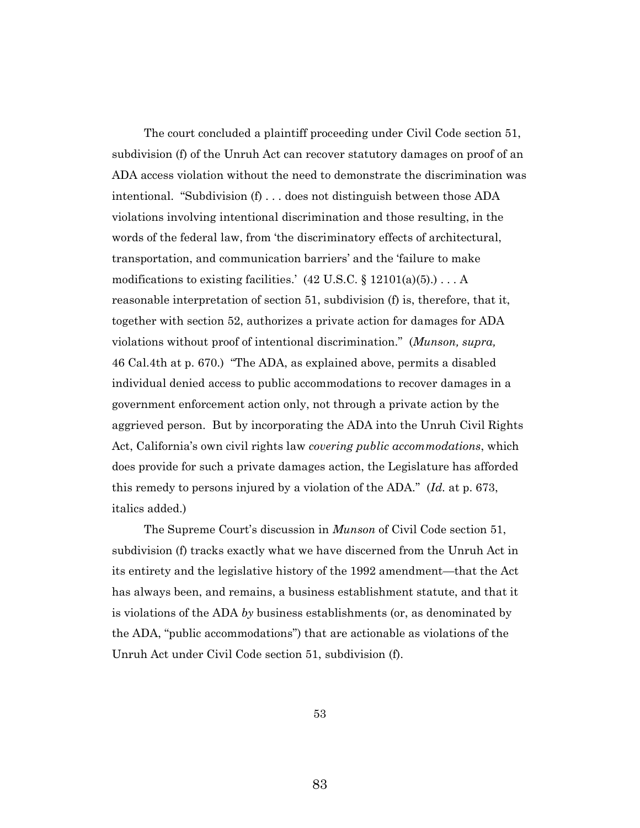The court concluded a plaintiff proceeding under Civil Code section 51, subdivision (f) of the Unruh Act can recover statutory damages on proof of an ADA access violation without the need to demonstrate the discrimination was intentional. "Subdivision (f) . . . does not distinguish between those ADA violations involving intentional discrimination and those resulting, in the words of the federal law, from 'the discriminatory effects of architectural, transportation, and communication barriers' and the 'failure to make modifications to existing facilities.'  $(42 \text{ U.S.C.} \S 12101(a)(5)) \ldots A$ reasonable interpretation of section 51, subdivision (f) is, therefore, that it, together with section 52, authorizes a private action for damages for ADA violations without proof of intentional discrimination." (*Munson, supra,*  46 Cal.4th at p. 670.) "The ADA, as explained above, permits a disabled individual denied access to public accommodations to recover damages in a government enforcement action only, not through a private action by the aggrieved person. But by incorporating the ADA into the Unruh Civil Rights Act, California's own civil rights law *covering public accommodations*, which does provide for such a private damages action, the Legislature has afforded this remedy to persons injured by a violation of the ADA." (*Id.* at p. 673, italics added.)

The Supreme Court's discussion in *Munson* of Civil Code section 51, subdivision (f) tracks exactly what we have discerned from the Unruh Act in its entirety and the legislative history of the 1992 amendment—that the Act has always been, and remains, a business establishment statute, and that it is violations of the ADA *by* business establishments (or, as denominated by the ADA, "public accommodations") that are actionable as violations of the Unruh Act under Civil Code section 51, subdivision (f).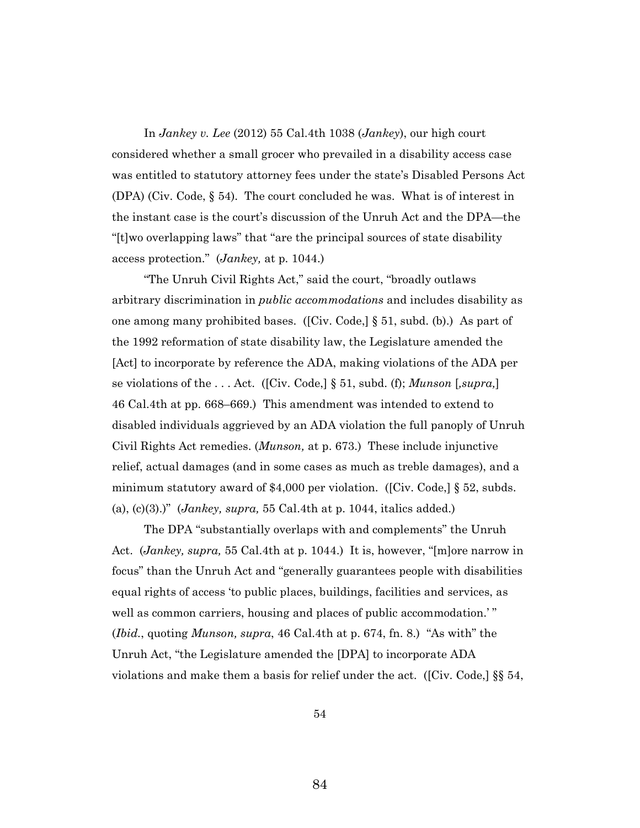In *Jankey v. Lee* (2012) 55 Cal.4th 1038 (*Jankey*), our high court considered whether a small grocer who prevailed in a disability access case was entitled to statutory attorney fees under the state's Disabled Persons Act (DPA) (Civ. Code, § 54). The court concluded he was. What is of interest in the instant case is the court's discussion of the Unruh Act and the DPA—the "[t]wo overlapping laws" that "are the principal sources of state disability access protection." (*Jankey,* at p. 1044.)

"The Unruh Civil Rights Act," said the court, "broadly outlaws arbitrary discrimination in *public accommodations* and includes disability as one among many prohibited bases. ([Civ. Code,] § 51, subd. (b).) As part of the 1992 reformation of state disability law, the Legislature amended the [Act] to incorporate by reference the ADA, making violations of the ADA per se violations of the . . . Act. ([Civ. Code,] § 51, subd. (f); *Munson* [*,supra,*] 46 Cal.4th at pp. 668–669.) This amendment was intended to extend to disabled individuals aggrieved by an ADA violation the full panoply of Unruh Civil Rights Act remedies. (*Munson,* at p. 673.) These include injunctive relief, actual damages (and in some cases as much as treble damages), and a minimum statutory award of \$4,000 per violation. ([Civ. Code,] § 52, subds. (a), (c)(3).)" (*Jankey, supra,* 55 Cal.4th at p. 1044, italics added.)

The DPA "substantially overlaps with and complements" the Unruh Act. (*Jankey, supra,* 55 Cal.4th at p. 1044.) It is, however, "[m]ore narrow in focus" than the Unruh Act and "generally guarantees people with disabilities equal rights of access 'to public places, buildings, facilities and services, as well as common carriers, housing and places of public accommodation.'" (*Ibid.*, quoting *Munson, supra*, 46 Cal.4th at p. 674, fn. 8.) "As with" the Unruh Act, "the Legislature amended the [DPA] to incorporate ADA violations and make them a basis for relief under the act. ([Civ. Code,] §§ 54,

54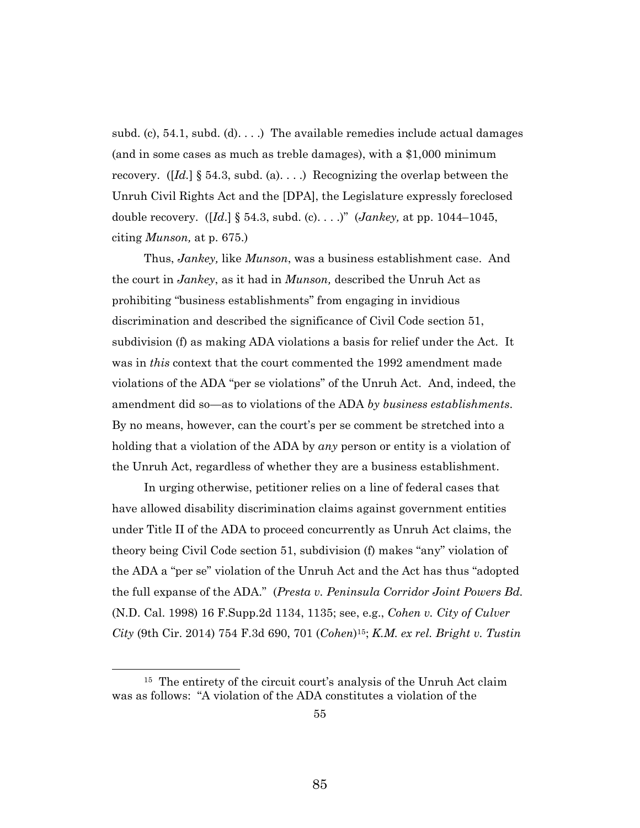subd. (c), 54.1, subd. (d)....) The available remedies include actual damages (and in some cases as much as treble damages), with a \$1,000 minimum recovery. ( $\left[\overline{Id}\right]$  § 54.3, subd. (a)...) Recognizing the overlap between the Unruh Civil Rights Act and the [DPA], the Legislature expressly foreclosed double recovery. ([*Id*.] § 54.3, subd. (c). . . .)" (*Jankey,* at pp. 1044–1045, citing *Munson,* at p. 675.)

Thus, *Jankey,* like *Munson*, was a business establishment case. And the court in *Jankey*, as it had in *Munson,* described the Unruh Act as prohibiting "business establishments" from engaging in invidious discrimination and described the significance of Civil Code section 51, subdivision (f) as making ADA violations a basis for relief under the Act. It was in *this* context that the court commented the 1992 amendment made violations of the ADA "per se violations" of the Unruh Act. And, indeed, the amendment did so—as to violations of the ADA *by business establishments*. By no means, however, can the court's per se comment be stretched into a holding that a violation of the ADA by *any* person or entity is a violation of the Unruh Act, regardless of whether they are a business establishment.

In urging otherwise, petitioner relies on a line of federal cases that have allowed disability discrimination claims against government entities under Title II of the ADA to proceed concurrently as Unruh Act claims, the theory being Civil Code section 51, subdivision (f) makes "any" violation of the ADA a "per se" violation of the Unruh Act and the Act has thus "adopted the full expanse of the ADA." (*Presta v. Peninsula Corridor Joint Powers Bd.* (N.D. Cal. 1998) 16 F.Supp.2d 1134, 1135; see, e.g., *Cohen v. City of Culver City* (9th Cir. 2014) 754 F.3d 690, 701 (*Cohen*) <sup>15</sup>; *K.M. ex rel. Bright v. Tustin* 

<sup>&</sup>lt;sup>15</sup> The entirety of the circuit court's analysis of the Unruh Act claim was as follows: "A violation of the ADA constitutes a violation of the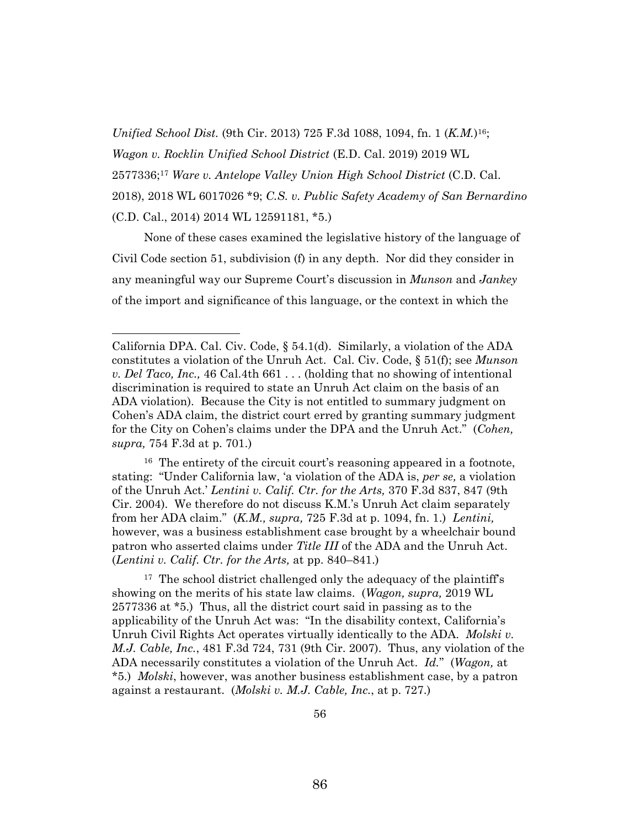*Unified School Dist.* (9th Cir. 2013) 725 F.3d 1088, 1094, fn. 1 (*K.M.*) <sup>16</sup>;

*Wagon v. Rocklin Unified School District* (E.D. Cal. 2019) 2019 WL

2577336; <sup>17</sup> *Ware v. Antelope Valley Union High School District* (C.D. Cal.

2018), 2018 WL 6017026 \*9; *C.S. v. Public Safety Academy of San Bernardino* (C.D. Cal., 2014) 2014 WL 12591181, \*5.)

None of these cases examined the legislative history of the language of Civil Code section 51, subdivision (f) in any depth. Nor did they consider in any meaningful way our Supreme Court's discussion in *Munson* and *Jankey*  of the import and significance of this language, or the context in which the

<sup>16</sup> The entirety of the circuit court's reasoning appeared in a footnote, stating: "Under California law, 'a violation of the ADA is, *per se,* a violation of the Unruh Act.' *Lentini v. Calif. Ctr. for the Arts,* 370 F.3d 837, 847 (9th Cir. 2004). We therefore do not discuss K.M.'s Unruh Act claim separately from her ADA claim." (*K.M., supra,* 725 F.3d at p. 1094, fn. 1.) *Lentini,*  however, was a business establishment case brought by a wheelchair bound patron who asserted claims under *Title III* of the ADA and the Unruh Act. (*Lentini v. Calif. Ctr. for the Arts,* at pp. 840–841.)

<sup>17</sup> The school district challenged only the adequacy of the plaintiff's showing on the merits of his state law claims. (*Wagon, supra,* 2019 WL 2577336 at \*5.) Thus, all the district court said in passing as to the applicability of the Unruh Act was: "In the disability context, California's Unruh Civil Rights Act operates virtually identically to the ADA. *Molski v. M.J. Cable, Inc.*, 481 F.3d 724, 731 (9th Cir. 2007). Thus, any violation of the ADA necessarily constitutes a violation of the Unruh Act. *Id.*"(*Wagon,* at \*5.) *Molski*, however, was another business establishment case, by a patron against a restaurant. (*Molski v. M.J. Cable, Inc.*, at p. 727.)

California DPA. Cal. Civ. Code, § 54.1(d). Similarly, a violation of the ADA constitutes a violation of the Unruh Act. Cal. Civ. Code, § 51(f); see *Munson v. Del Taco, Inc.,* 46 Cal.4th 661 . . . (holding that no showing of intentional discrimination is required to state an Unruh Act claim on the basis of an ADA violation). Because the City is not entitled to summary judgment on Cohen's ADA claim, the district court erred by granting summary judgment for the City on Cohen's claims under the DPA and the Unruh Act." (*Cohen, supra,* 754 F.3d at p. 701.)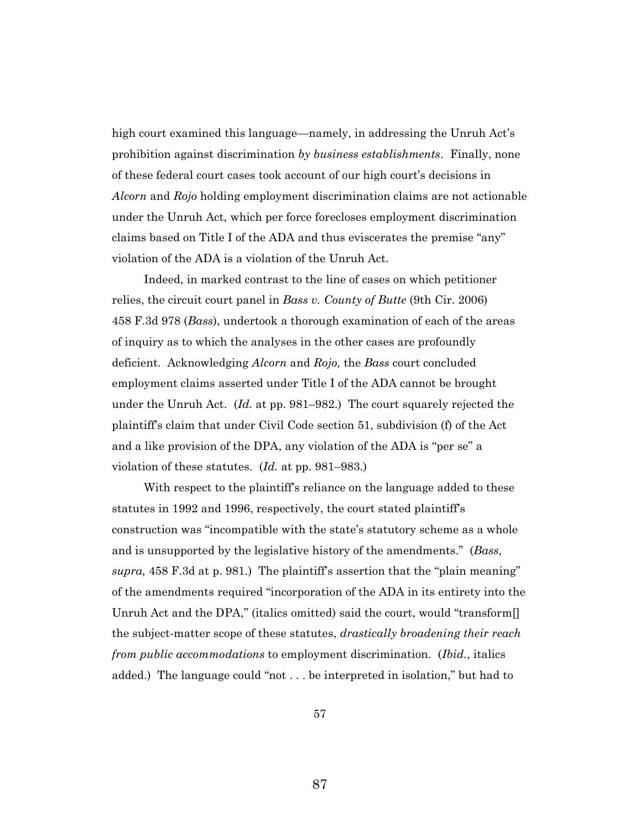high court examined this language—namely, in addressing the Unruh Act's prohibition against discrimination *by business establishments*. Finally, none of these federal court cases took account of our high court's decisions in *Alcorn* and *Rojo* holding employment discrimination claims are not actionable under the Unruh Act, which per force forecloses employment discrimination claims based on Title I of the ADA and thus eviscerates the premise "any" violation of the ADA is a violation of the Unruh Act.

Indeed, in marked contrast to the line of cases on which petitioner relies, the circuit court panel in *Bass v. County of Butte* (9th Cir. 2006) 458 F.3d 978 (*Bass*), undertook a thorough examination of each of the areas of inquiry as to which the analyses in the other cases are profoundly deficient. Acknowledging *Alcorn* and *Rojo,* the *Bass* court concluded employment claims asserted under Title I of the ADA cannot be brought under the Unruh Act. (*Id.* at pp. 981–982.) The court squarely rejected the plaintiff's claim that under Civil Code section 51, subdivision (f) of the Act and a like provision of the DPA, any violation of the ADA is "per se" a violation of these statutes. (*Id.* at pp. 981–983.)

With respect to the plaintiff's reliance on the language added to these statutes in 1992 and 1996, respectively, the court stated plaintiff's construction was "incompatible with the state's statutory scheme as a whole and is unsupported by the legislative history of the amendments." (*Bass, supra,* 458 F.3d at p. 981.) The plaintiff's assertion that the "plain meaning" of the amendments required "incorporation of the ADA in its entirety into the Unruh Act and the DPA," (italics omitted) said the court, would "transform. the subject-matter scope of these statutes, *drastically broadening their reach from public accommodations* to employment discrimination. (*Ibid.*, italics added.) The language could "not . . . be interpreted in isolation," but had to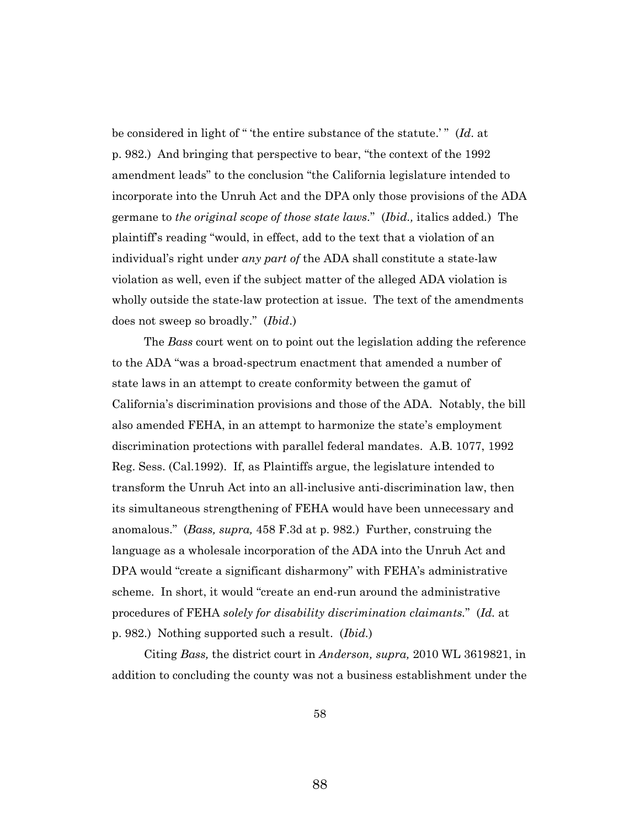be considered in light of " 'the entire substance of the statute.' " (*Id*. at p. 982.) And bringing that perspective to bear, "the context of the 1992 amendment leads" to the conclusion "the California legislature intended to incorporate into the Unruh Act and the DPA only those provisions of the ADA germane to *the original scope of those state laws.*" (*Ibid.,* italics added*.*) The plaintiff's reading "would, in effect, add to the text that a violation of an individual's right under *any part of* the ADA shall constitute a state-law violation as well, even if the subject matter of the alleged ADA violation is wholly outside the state-law protection at issue. The text of the amendments does not sweep so broadly." (*Ibid*.)

The *Bass* court went on to point out the legislation adding the reference to the ADA "was a broad-spectrum enactment that amended a number of state laws in an attempt to create conformity between the gamut of California's discrimination provisions and those of the ADA. Notably, the bill also amended FEHA, in an attempt to harmonize the state's employment discrimination protections with parallel federal mandates. A.B. 1077, 1992 Reg. Sess. (Cal.1992). If, as Plaintiffs argue, the legislature intended to transform the Unruh Act into an all-inclusive anti-discrimination law, then its simultaneous strengthening of FEHA would have been unnecessary and anomalous." (*Bass, supra,* 458 F.3d at p. 982.) Further, construing the language as a wholesale incorporation of the ADA into the Unruh Act and DPA would "create a significant disharmony" with FEHA's administrative scheme. In short, it would "create an end-run around the administrative procedures of FEHA *solely for disability discrimination claimants.*" (*Id.* at p. 982.) Nothing supported such a result. (*Ibid.*)

Citing *Bass,* the district court in *Anderson, supra,* 2010 WL 3619821, in addition to concluding the county was not a business establishment under the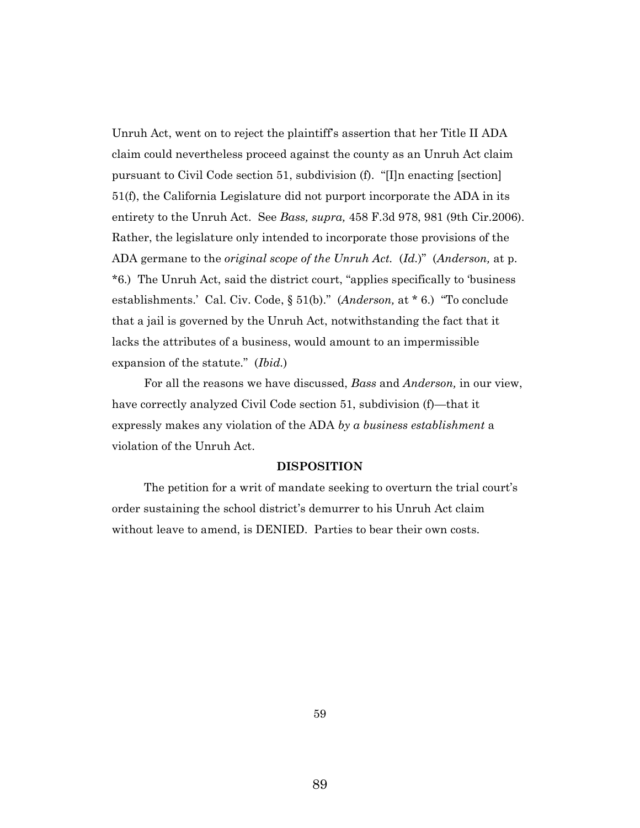Unruh Act, went on to reject the plaintiff's assertion that her Title II ADA claim could nevertheless proceed against the county as an Unruh Act claim pursuant to Civil Code section 51, subdivision (f). "[I]n enacting [section] 51(f), the California Legislature did not purport incorporate the ADA in its entirety to the Unruh Act. See *Bass, supra,* 458 F.3d 978, 981 (9th Cir.2006). Rather, the legislature only intended to incorporate those provisions of the ADA germane to the *original scope of the Unruh Act.* (*Id.*)" (*Anderson,* at p. \*6.) The Unruh Act, said the district court, "applies specifically to 'business establishments.' Cal. Civ. Code, § 51(b)." (*Anderson,* at \* 6.) "To conclude that a jail is governed by the Unruh Act, notwithstanding the fact that it lacks the attributes of a business, would amount to an impermissible expansion of the statute." (*Ibid.*)

For all the reasons we have discussed, *Bass* and *Anderson,* in our view, have correctly analyzed Civil Code section 51, subdivision (f)—that it expressly makes any violation of the ADA *by a business establishment* a violation of the Unruh Act.

#### **DISPOSITION**

The petition for a writ of mandate seeking to overturn the trial court's order sustaining the school district's demurrer to his Unruh Act claim without leave to amend, is DENIED. Parties to bear their own costs.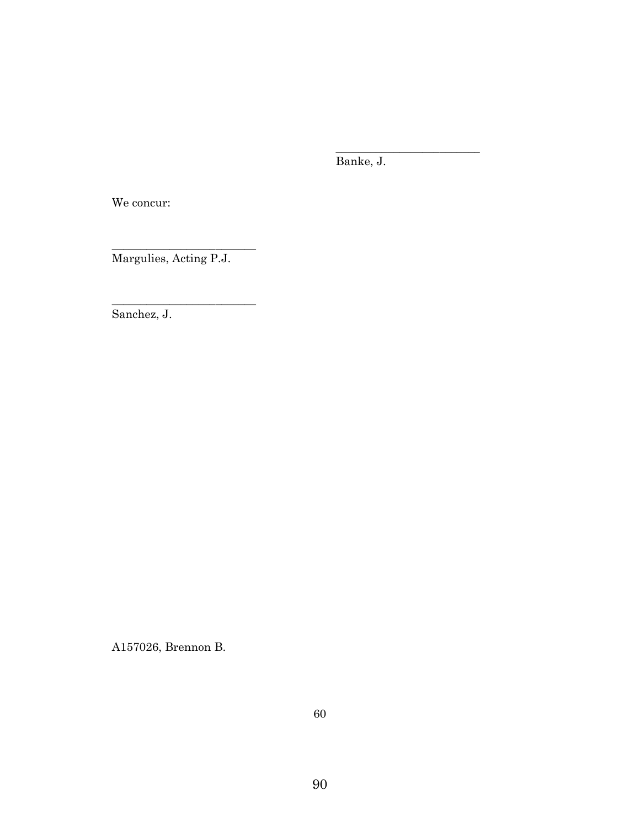Banke, J.

\_\_\_\_\_\_\_\_\_\_\_\_\_\_\_\_\_\_\_\_\_\_\_\_\_

We concur:

Margulies, Acting P.J.

\_\_\_\_\_\_\_\_\_\_\_\_\_\_\_\_\_\_\_\_\_\_\_\_\_

 $\_$ 

Sanchez, J.

A157026, Brennon B.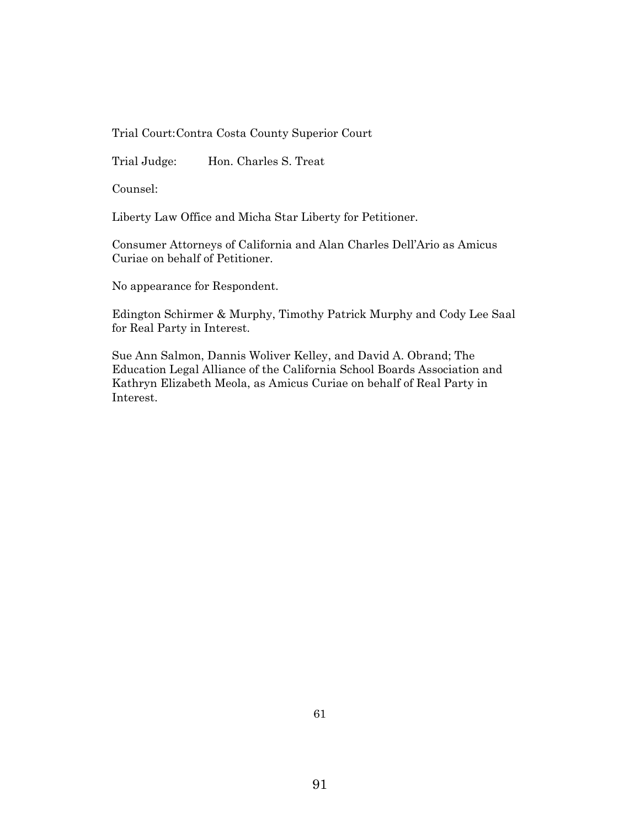Trial Court:Contra Costa County Superior Court

Trial Judge: Hon. Charles S. Treat

Counsel:

Liberty Law Office and Micha Star Liberty for Petitioner.

Consumer Attorneys of California and Alan Charles Dell'Ario as Amicus Curiae on behalf of Petitioner.

No appearance for Respondent.

Edington Schirmer & Murphy, Timothy Patrick Murphy and Cody Lee Saal for Real Party in Interest.

Sue Ann Salmon, Dannis Woliver Kelley, and David A. Obrand; The Education Legal Alliance of the California School Boards Association and Kathryn Elizabeth Meola, as Amicus Curiae on behalf of Real Party in Interest.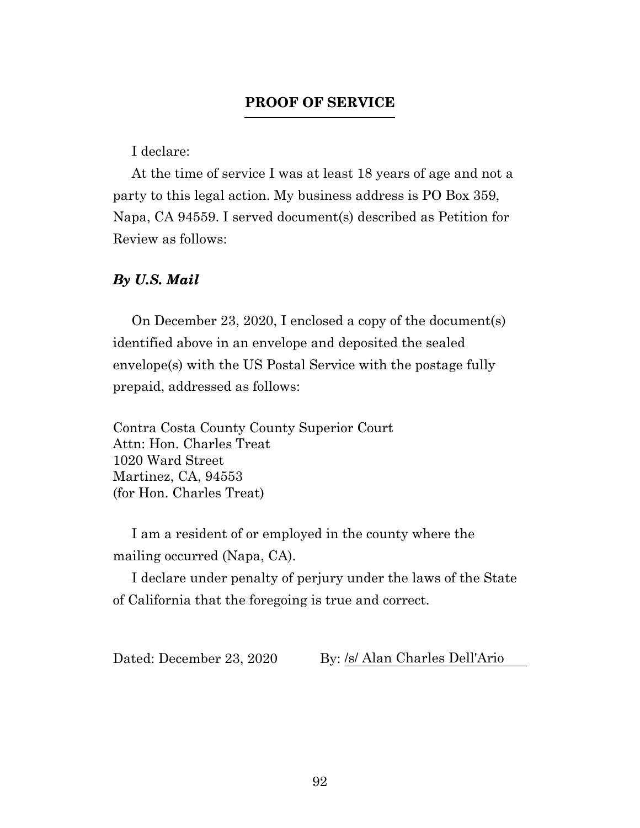## **PROOF OF SERVICE**

I declare:

At the time of service I was at least 18 years of age and not a party to this legal action. My business address is PO Box 359, Napa, CA 94559. I served document(s) described as Petition for Review as follows:

### *By U.S. Mail*

On December 23, 2020, I enclosed a copy of the document(s) identified above in an envelope and deposited the sealed envelope(s) with the US Postal Service with the postage fully prepaid, addressed as follows:

Contra Costa County County Superior Court Attn: Hon. Charles Treat 1020 Ward Street Martinez, CA, 94553 (for Hon. Charles Treat)

I am a resident of or employed in the county where the mailing occurred (Napa, CA).

I declare under penalty of perjury under the laws of the State of California that the foregoing is true and correct.

Dated: December 23, 2020 By: /s/ Alan Charles Dell'Ario